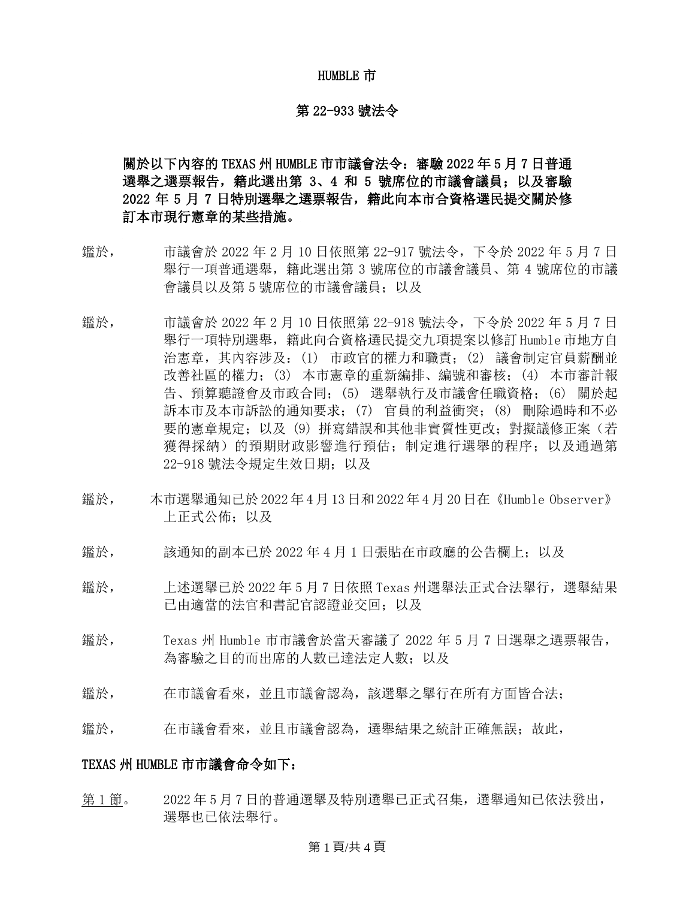#### HUMBLE 市

#### 第 22-933 號法令

# 關於以下內容的 TEXAS 州 HUMBLE 市市議會法令:審驗 2022 年 5 月 7 日普通 選舉之選票報告,籍此選出第 3、4 和 5 號席位的市議會議員;以及審驗 2022 年 5 月 7 日特別選舉之選票報告,籍此向本市合資格選民提交關於修 訂本市現行憲章的某些措施。

- 鑑於, 市議會於 2022 年 2 月 10 日依照第 22-917 號法令,下令於 2022 年 5 月 7 日 舉行一項普通選舉,籍此選出第 3 號席位的市議會議員、第 4 號席位的市議 會議員以及第 5 號席位的市議會議員;以及
- 鑑於, 市議會於 2022 年 2 月 10 日依照第 22-918 號法令,下令於 2022 年 5 月 7 日 舉行一項特別選舉,籍此向合資格選民提交九項提案以修訂 Humble 市地方自 治憲章,其內容涉及:(1) 市政官的權力和職責;(2) 議會制定官員薪酬並 改善社區的權力;(3) 本市憲章的重新編排、編號和審核;(4) 本市審計報 告、預算聽證會及市政合同;(5) 選舉執行及市議會任職資格;(6) 關於起 訴本市及本市訴訟的通知要求;(7) 官員的利益衝突;(8) 刪除過時和不必 要的憲章規定;以及 (9) 拼寫錯誤和其他非實質性更改; 對擬議修正案(若 獲得採納)的預期財政影響進行預估;制定進行選舉的程序;以及通過第 22-918 號法令規定生效日期;以及
- 鑑於, 本市選舉通知已於 2022 年 4 月 13 日和 2022年 4 月 20 日在《Humble Observer》 上正式公佈;以及
- 鑑於, 該通知的副本已於 2022 年 4 月 1 日張貼在市政廳的公告欄上;以及
- 鑑於, 上述選舉已於 2022 年 5 月 7 日依照 Texas 州選舉法正式合法舉行,選舉結果 已由適當的法官和書記官認證並交回;以及
- 鑑於, Texas 州 Humble 市市議會於當天審議了 2022 年 5 月 7 日選舉之選票報告, 為審驗之目的而出席的人數已達法定人數;以及
- 鑑於, 在市議會看來,並且市議會認為,該選舉之舉行在所有方面皆合法;
- 鑑於, 在市議會看來,並且市議會認為,選舉結果之統計正確無誤;故此,

#### TEXAS 州 HUMBLE 市市議會命令如下:

第1節。 2022年5月7日的普通選舉及特別選舉已正式召集,選舉通知已依法發出, 選舉也已依法舉行。

#### 第 1 頁/共 4 頁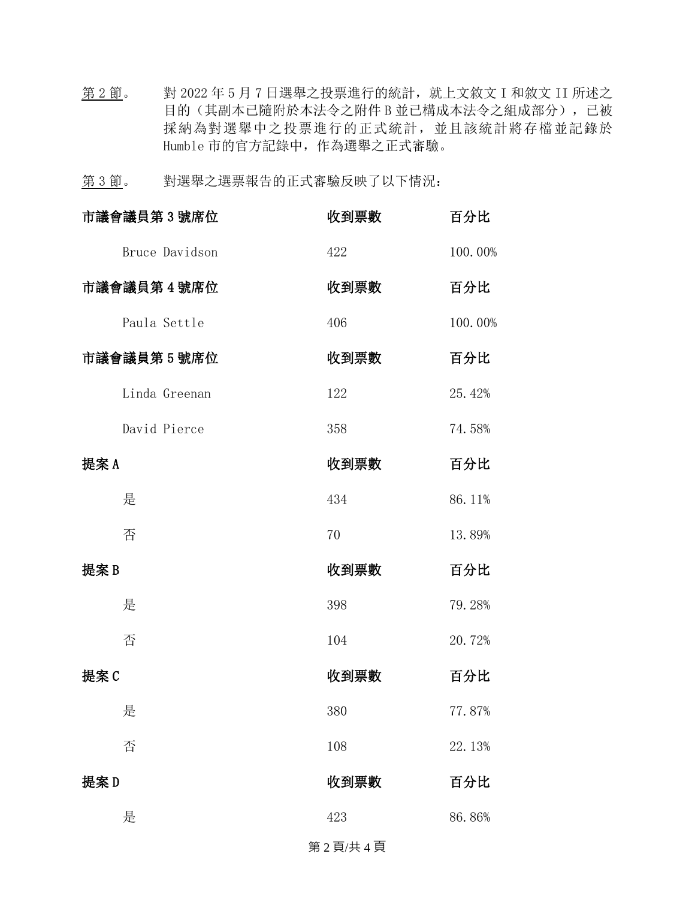第 2 節。 對 2022 年 5 月 7 日選舉之投票進行的統計, 就上文敘文 I 和敘文 II 所述之 目的(其副本已隨附於本法令之附件 B 並已構成本法令之組成部分),已被 採納為對選舉中之投票進行的正式統計,並且該統計將存檔並記錄於 Humble 市的官方記錄中,作為選舉之正式審驗。

第 3 節。 對選舉之選票報告的正式審驗反映了以下情況:

|      | 市議會議員第3號席位     | 收到票數 | 百分比     |
|------|----------------|------|---------|
|      | Bruce Davidson | 422  | 100.00% |
|      | 市議會議員第4號席位     | 收到票數 | 百分比     |
|      | Paula Settle   | 406  | 100.00% |
|      | 市議會議員第5號席位     | 收到票數 | 百分比     |
|      | Linda Greenan  | 122  | 25.42%  |
|      | David Pierce   | 358  | 74.58%  |
| 提案 A |                | 收到票數 | 百分比     |
|      | 是              | 434  | 86.11%  |
|      | 否              | 70   | 13.89%  |
| 提案 B |                | 收到票數 | 百分比     |
|      | 是              | 398  | 79.28%  |
|      | 否              | 104  | 20.72%  |
| 提案C  |                | 收到票數 | 百分比     |
|      | 是              | 380  | 77.87%  |
|      | 否              | 108  | 22.13%  |
| 提案D  |                | 收到票數 | 百分比     |
|      | 是              | 423  | 86.86%  |
|      |                |      |         |

#### 第 2 頁/共 4 頁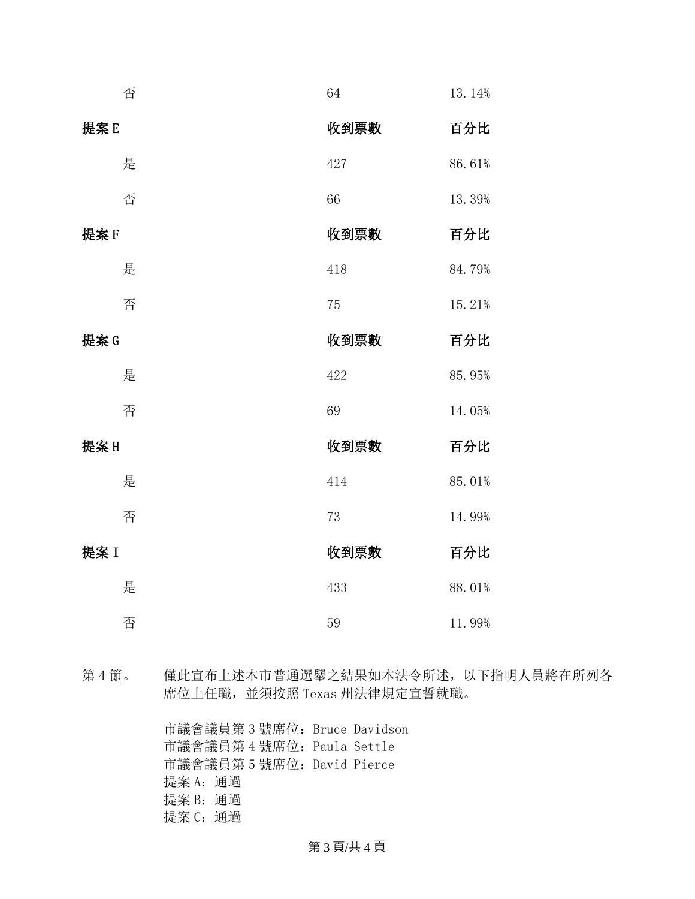|      | 否 | 64   | 13.14% |
|------|---|------|--------|
| 提案E  |   | 收到票數 | 百分比    |
|      | 是 | 427  | 86.61% |
|      | 否 | 66   | 13.39% |
| 提案F  |   | 收到票數 | 百分比    |
|      | 是 | 418  | 84.79% |
|      | 否 | 75   | 15.21% |
| 提案G  |   | 收到票數 | 百分比    |
|      | 是 | 422  | 85.95% |
|      | 否 | 69   | 14.05% |
| 提案H  |   | 收到票數 | 百分比    |
|      | 是 | 414  | 85.01% |
|      | 否 | 73   | 14.99% |
| 提案 I |   | 收到票數 | 百分比    |
|      | 是 | 433  | 88.01% |
|      | 否 | 59   | 11.99% |

第 4 節。 僅此宣布上述本市普通選舉之結果如本法令所述,以下指明人員將在所列各 席位上任職,並須按照 Texas 州法律規定宣誓就職。

> 市議會議員第 3 號席位:Bruce Davidson 市議會議員第 4 號席位:Paula Settle 市議會議員第 5 號席位:David Pierce 提案 A: 通過 提案 B: 通過 提案 C: 通過

## 第 3 頁/共 4 頁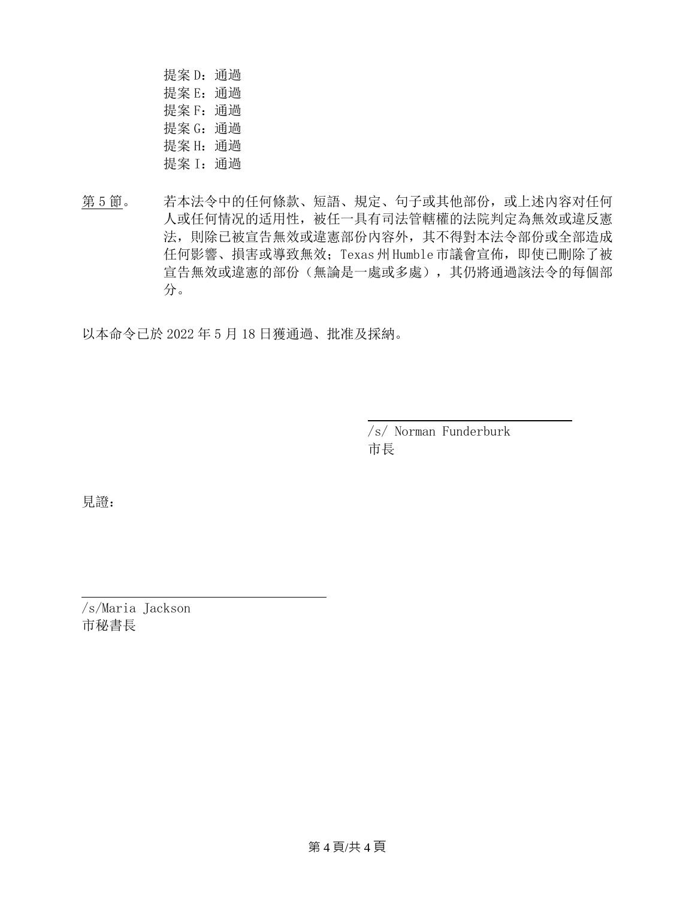提案 D: 通過 提案 E: 通過 提案 F: 通過 提案 G: 通過 提案 H: 通過 提案 I: 通過

第 5 節。 若本法令中的任何條款、短語、規定、句子或其他部份,或上述內容对任何 人或任何情况的适用性,被任一具有司法管轄權的法院判定為無效或違反憲 法,則除已被宣告無效或違憲部份內容外,其不得對本法令部份或全部造成 任何影響、損害或導致無效;Texas 州 Humble市議會宣佈,即使已刪除了被 宣告無效或違憲的部份(無論是一處或多處),其仍將通過該法令的每個部 分。

以本命令已於 2022 年 5 月 18 日獲通過、批准及採納。

/s/ Norman Funderburk 市長

見證:

/s/Maria Jackson 市秘書長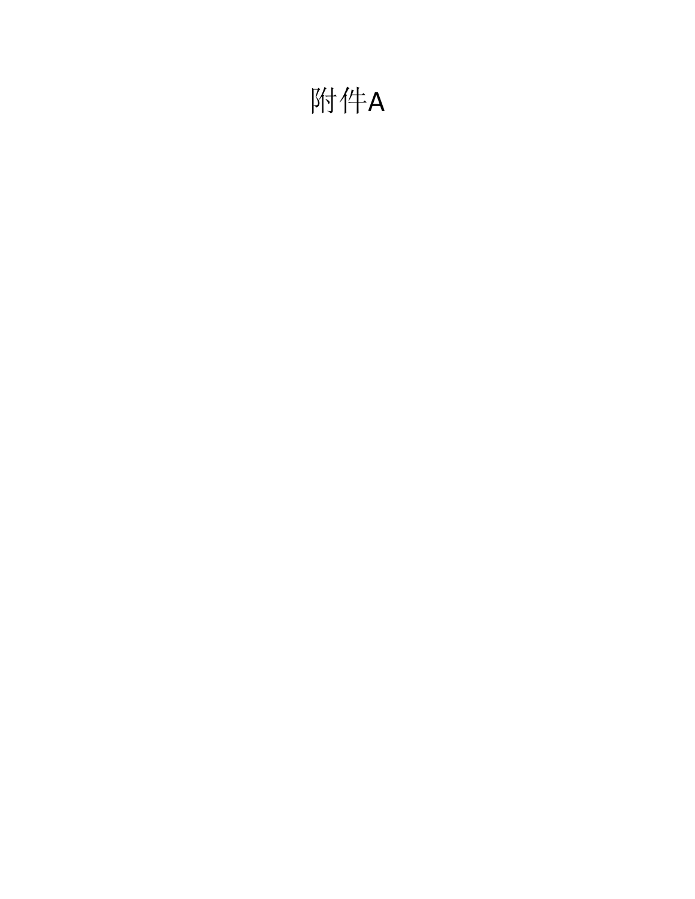# 附件A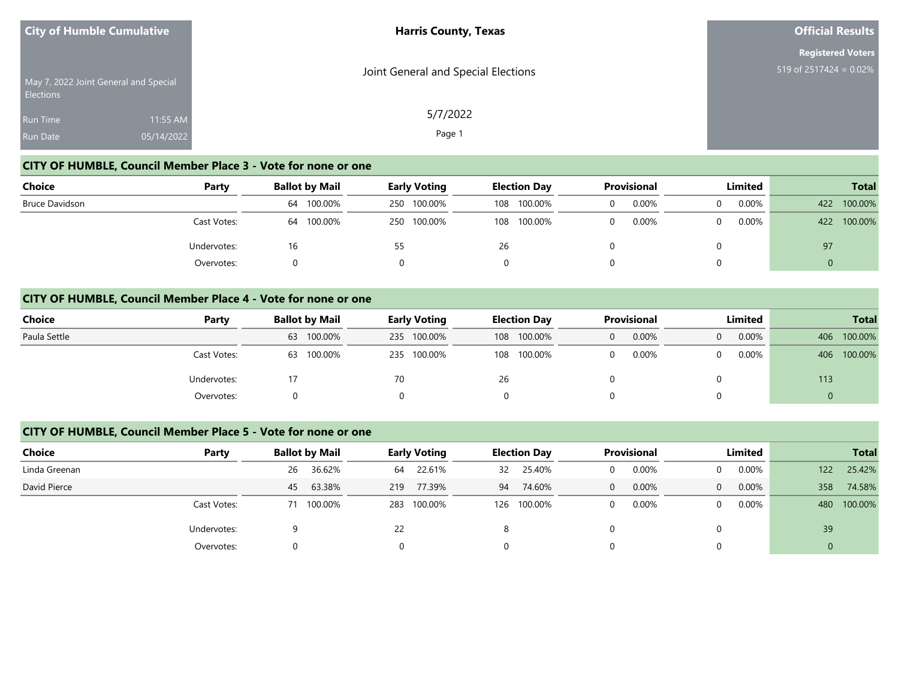|                                    | <b>City of Humble Cumulative</b>      | <b>Harris County, Texas</b>         | <b>Official Results</b>                               |  |  |
|------------------------------------|---------------------------------------|-------------------------------------|-------------------------------------------------------|--|--|
| <b>Elections</b>                   | May 7, 2022 Joint General and Special | Joint General and Special Elections | <b>Registered Voters</b><br>519 of $2517424 = 0.02\%$ |  |  |
| <b>Run Time</b><br><b>Run Date</b> | 11:55 AM<br>05/14/2022                | 5/7/2022<br>Page 1                  |                                                       |  |  |

#### **CITY OF HUMBLE, Council Member Place 3 - Vote for none or one**

| Choice         | Party       | <b>Ballot by Mail</b> | <b>Early Voting</b> | <b>Election Day</b> | <b>Provisional</b> | Limited  | <b>Total</b>   |
|----------------|-------------|-----------------------|---------------------|---------------------|--------------------|----------|----------------|
| Bruce Davidson |             | 64 100.00%            | 250 100.00%         | 100.00%<br>108      | 0.00%<br>0         | 0.00%    | 100.00%<br>422 |
|                | Cast Votes: | 64 100.00%            | 250 100.00%         | 100.00%<br>108      | 0.00%<br>$\Omega$  | $0.00\%$ | 422 100.00%    |
|                | Undervotes: | 16                    | 55                  | 26                  |                    |          | 97             |
|                | Overvotes:  |                       |                     |                     |                    |          |                |

#### **CITY OF HUMBLE, Council Member Place 4 - Vote for none or one**

| <b>Choice</b> | Party       |    | <b>Ballot by Mail</b> |    | <b>Early Voting</b> |    | <b>Election Day</b> |   | <b>Provisional</b> | Limited  |          |     | <b>Total</b> |
|---------------|-------------|----|-----------------------|----|---------------------|----|---------------------|---|--------------------|----------|----------|-----|--------------|
| Paula Settle  |             |    | 63 100.00%            |    | 235 100.00%         |    | 108 100.00%         | 0 | 0.00%              | $\Omega$ | $0.00\%$ | 406 | 100.00%      |
|               | Cast Votes: | 63 | 100.00%               |    | 235 100.00%         |    | 108 100.00%         |   | 0.00%              | 0        | $0.00\%$ | 406 | 100.00%      |
|               | Undervotes: |    |                       | 70 |                     | 26 |                     |   |                    |          |          | 113 |              |
|               | Overvotes:  |    |                       |    |                     |    |                     |   |                    | 0        |          |     |              |

#### **CITY OF HUMBLE, Council Member Place 5 - Vote for none or one**

| <b>Choice</b> | Party       | <b>Ballot by Mail</b> | <b>Early Voting</b> |     | <b>Election Day</b> | <b>Provisional</b> | Limited                 | <b>Total</b>   |
|---------------|-------------|-----------------------|---------------------|-----|---------------------|--------------------|-------------------------|----------------|
| Linda Greenan |             | 36.62%<br>26          | 22.61%<br>64        | 32  | 25.40%              | 0.00%              | $0.00\%$<br>$\Omega$    | 25.42%<br>122  |
| David Pierce  |             | 63.38%<br>45          | 77.39%<br>219       | 94  | 74.60%              | 0.00%<br>0         | 0.00%<br>$\overline{0}$ | 74.58%<br>358  |
|               | Cast Votes: | 100.00%               | 100.00%<br>283      | 126 | 100.00%             | 0.00%              | $0.00\%$<br>$\Omega$    | 100.00%<br>480 |
|               | Undervotes: | a                     | 22                  | 8   |                     |                    | 0                       | 39             |
|               | Overvotes:  |                       | 0                   | 0   |                     |                    | 0                       | Ü              |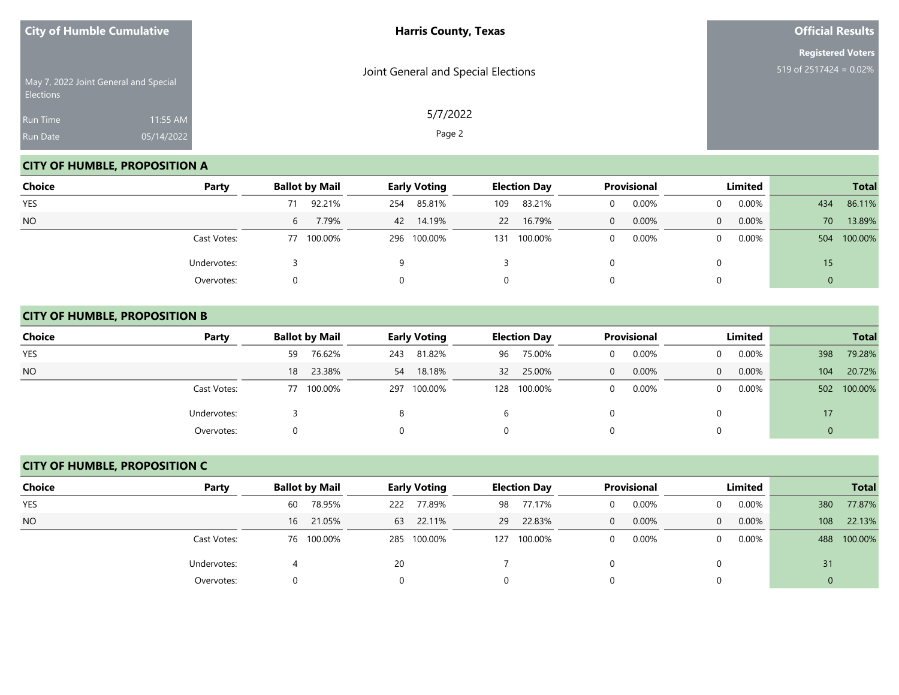| <b>City of Humble Cumulative</b> |                                       | <b>Harris County, Texas</b>         | <b>Official Results</b>                               |
|----------------------------------|---------------------------------------|-------------------------------------|-------------------------------------------------------|
| Elections                        | May 7, 2022 Joint General and Special | Joint General and Special Elections | <b>Registered Voters</b><br>519 of $2517424 = 0.02\%$ |
| Run Time<br>Run Date             | 11:55 AM<br>05/14/2022                | 5/7/2022<br>Page 2                  |                                                       |

# **CITY OF HUMBLE, PROPOSITION A**

| Choice     | Party       | <b>Ballot by Mail</b> | <b>Early Voting</b> | <b>Election Day</b> | <b>Provisional</b> | Limited              | <b>Total</b>   |
|------------|-------------|-----------------------|---------------------|---------------------|--------------------|----------------------|----------------|
| <b>YES</b> |             | 92.21%<br>71          | 85.81%<br>254       | 83.21%<br>109       | 0.00%              | $0.00\%$<br>$\Omega$ | 86.11%<br>434  |
| <b>NO</b>  |             | 7.79%<br>6            | 14.19%<br>42        | 16.79%<br><b>22</b> | 0.00%<br>0         | 0.00%<br>$\Omega$    | 70<br>13.89%   |
|            | Cast Votes: | 100.00%<br>77         | 296 100.00%         | 100.00%<br>131      | 0.00%              | 0.00%<br>$\Omega$    | 100.00%<br>504 |
|            | Undervotes: |                       | O                   |                     |                    | 0                    | 15             |
|            | Overvotes:  |                       |                     | 0                   |                    | 0                    | 0              |

# **CITY OF HUMBLE, PROPOSITION B**

| <b>Choice</b> | Party       | <b>Ballot by Mail</b> | <b>Early Voting</b> | <b>Election Day</b> | <b>Provisional</b> | Limited                    | <b>Total</b>   |
|---------------|-------------|-----------------------|---------------------|---------------------|--------------------|----------------------------|----------------|
| <b>YES</b>    |             | 76.62%<br>59          | 81.82%<br>243       | 75.00%<br>96        | 0.00%<br>0         | $0.00\%$<br>$\Omega$       | 79.28%<br>398  |
| <b>NO</b>     |             | 23.38%<br>18          | 18.18%<br>54        | 25.00%<br>32 L      | 0.00%<br>0         | $0.00\%$<br>$\overline{0}$ | 20.72%<br>104  |
|               | Cast Votes: | 77 100.00%            | 297 100.00%         | 128 100.00%         | 0.00%<br>0         | $0.00\%$<br>$\Omega$       | 100.00%<br>502 |
|               | Undervotes: |                       |                     | b                   |                    | 0                          | 17             |
|               | Overvotes:  |                       |                     |                     |                    | 0                          | 0              |

# **CITY OF HUMBLE, PROPOSITION C**

| Choice     | Party       | <b>Ballot by Mail</b> |            |     | <b>Early Voting</b> |     | <b>Election Day</b> |              | Provisional |                | Limited  |     | <b>Total</b> |
|------------|-------------|-----------------------|------------|-----|---------------------|-----|---------------------|--------------|-------------|----------------|----------|-----|--------------|
| <b>YES</b> |             | 60                    | 78.95%     | 222 | 77.89%              |     | 98 77.17%           | $\Omega$     | 0.00%       | $\Omega$       | $0.00\%$ | 380 | 77.87%       |
| <b>NO</b>  |             | 16                    | 21.05%     |     | 63 22.11%           |     | 29 22.83%           | $\mathbf{0}$ | 0.00%       | $\overline{0}$ | $0.00\%$ | 108 | 22.13%       |
|            | Cast Votes: |                       | 76 100.00% |     | 285 100.00%         | 127 | 100.00%             | $\Omega$     | 0.00%       | 0              | $0.00\%$ | 488 | 100.00%      |
|            | Undervotes: |                       |            | 20  |                     |     |                     |              |             |                |          | 31  |              |
|            | Overvotes:  |                       |            |     |                     |     |                     |              |             |                |          |     |              |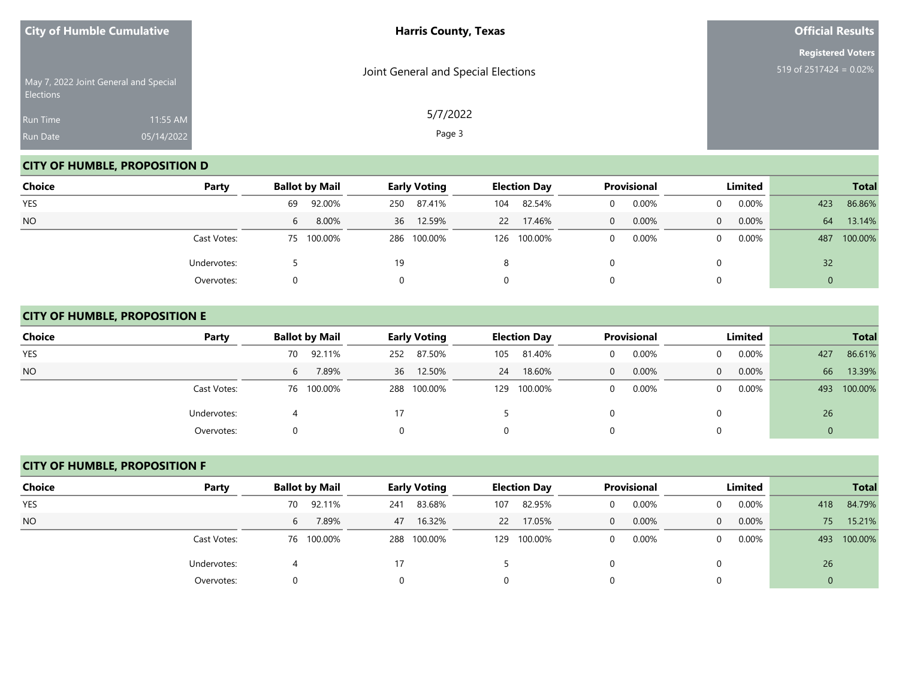| <b>City of Humble Cumulative</b>                   |            | <b>Harris County, Texas</b>         | <b>Official Results</b>                               |
|----------------------------------------------------|------------|-------------------------------------|-------------------------------------------------------|
|                                                    |            |                                     | <b>Registered Voters</b><br>519 of $2517424 = 0.02\%$ |
| May 7, 2022 Joint General and Special<br>Elections |            | Joint General and Special Elections |                                                       |
| <b>Run Time</b>                                    | 11:55 AM   | 5/7/2022                            |                                                       |
| Run Date                                           | 05/14/2022 | Page 3                              |                                                       |

# **CITY OF HUMBLE, PROPOSITION D**

| Choice     | Party       | <b>Ballot by Mail</b> | <b>Early Voting</b> | <b>Election Day</b> | <b>Provisional</b> | Limited              | <b>Total</b>   |
|------------|-------------|-----------------------|---------------------|---------------------|--------------------|----------------------|----------------|
| <b>YES</b> |             | 92.00%<br>69          | 87.41%<br>250       | 82.54%<br>104       | 0.00%              | $0.00\%$<br>$\Omega$ | 86.86%<br>423  |
| <b>NO</b>  |             | 8.00%<br>6            | 12.59%<br>36        | 17.46%<br><b>22</b> | 0.00%<br>0         | 0.00%<br>$\Omega$    | 13.14%<br>64   |
|            | Cast Votes: | 75 100.00%            | 286 100.00%         | 126 100.00%         | 0.00%              | 0.00%<br>$\Omega$    | 100.00%<br>487 |
|            | Undervotes: |                       | 19                  | 8                   |                    | 0                    | 32             |
|            | Overvotes:  |                       |                     | 0                   |                    | 0                    | 0              |

# **CITY OF HUMBLE, PROPOSITION E**

| <b>Choice</b> | Party       | <b>Ballot by Mail</b> | <b>Early Voting</b> | <b>Election Day</b> | <b>Provisional</b>    | Limited                    | <b>Total</b>     |
|---------------|-------------|-----------------------|---------------------|---------------------|-----------------------|----------------------------|------------------|
| <b>YES</b>    |             | 92.11%<br>70          | 87.50%<br>252       | 81.40%<br>105       | 0.00%<br>$\Omega$     | $0.00\%$<br>$\overline{0}$ | 86.61%<br>427    |
| <b>NO</b>     |             | 7.89%<br>6            | 36 12.50%           | 18.60%<br>24        | 0.00%<br>$\mathbf{0}$ | $0.00\%$<br>$\Omega$       | 66<br>13.39%     |
|               | Cast Votes: | 76 100.00%            | 100.00%<br>288      | 100.00%<br>129      | 0.00%<br>0            | $0.00\%$<br>$\overline{0}$ | 100.00%<br>493   |
|               | Undervotes: |                       | 17                  |                     |                       | 0                          | 26               |
|               | Overvotes:  |                       |                     | 0                   | 0                     | 0                          | $\boldsymbol{0}$ |

# **CITY OF HUMBLE, PROPOSITION F**

| Choice     | Party       | <b>Ballot by Mail</b> |            |     | <b>Early Voting</b> |           | <b>Election Day</b> |              | Provisional |                | Limited  |     | <b>Total</b> |
|------------|-------------|-----------------------|------------|-----|---------------------|-----------|---------------------|--------------|-------------|----------------|----------|-----|--------------|
| <b>YES</b> |             | 70                    | 92.11%     | 241 | 83.68%              | 107       | 82.95%              | $\Omega$     | 0.00%       | $\Omega$       | $0.00\%$ | 418 | 84.79%       |
| <b>NO</b>  |             | 6                     | 7.89%      |     | 47 16.32%           | <b>22</b> | 17.05%              | $\mathbf{0}$ | 0.00%       | $\overline{0}$ | $0.00\%$ | 75  | 15.21%       |
|            | Cast Votes: |                       | 76 100.00% |     | 288 100.00%         | 129       | 100.00%             | $\Omega$     | 0.00%       | 0              | $0.00\%$ | 493 | 100.00%      |
|            | Undervotes: |                       |            | 17  |                     |           |                     |              |             |                |          | 26  |              |
|            | Overvotes:  |                       |            |     |                     |           |                     |              |             |                |          |     |              |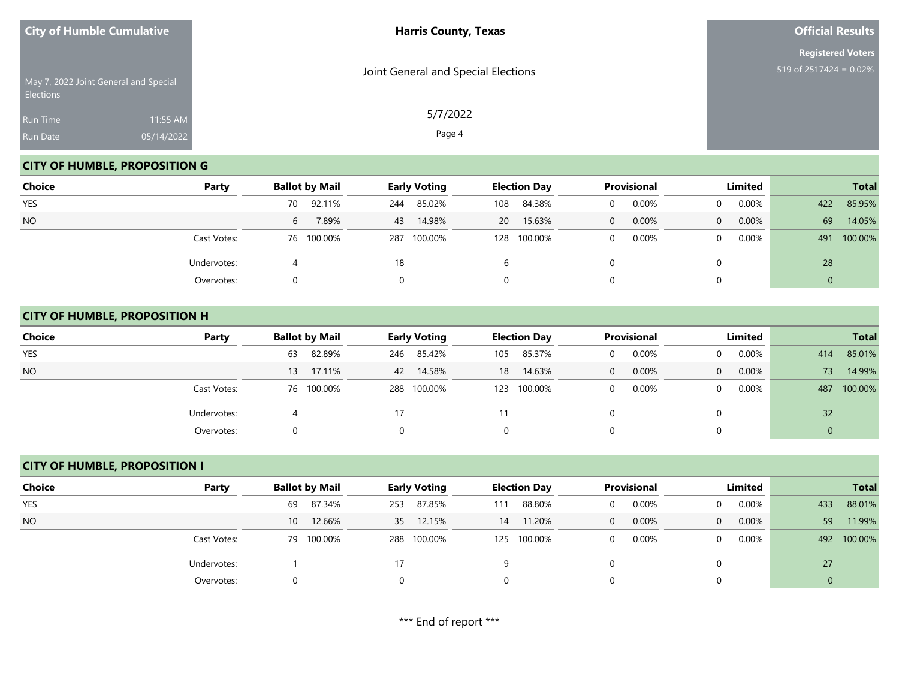| <b>City of Humble Cumulative</b>                          |            | <b>Harris County, Texas</b>         | <b>Official Results</b>   |
|-----------------------------------------------------------|------------|-------------------------------------|---------------------------|
|                                                           |            |                                     | <b>Registered Voters</b>  |
| May 7, 2022 Joint General and Special<br><b>Elections</b> |            | Joint General and Special Elections | 519 of $2517424 = 0.02\%$ |
| Run Time                                                  | 11:55 AM   | 5/7/2022                            |                           |
| Run Date                                                  | 05/14/2022 | Page 4                              |                           |

# **CITY OF HUMBLE, PROPOSITION G**

| <b>Choice</b> | Party       | <b>Ballot by Mail</b>   | <b>Early Voting</b> | <b>Election Day</b> | <b>Provisional</b> | Limited              | <b>Total</b>   |
|---------------|-------------|-------------------------|---------------------|---------------------|--------------------|----------------------|----------------|
| YES           |             | 92.11%<br>70            | 85.02%<br>244       | 84.38%<br>108       | 0.00%              | $0.00\%$<br>$\Omega$ | 85.95%<br>422  |
| <b>NO</b>     |             | 7.89%<br>6 <sup>1</sup> | 14.98%<br>43        | 15.63%<br><b>20</b> | 0.00%<br>$\Omega$  | $0.00\%$<br>$\Omega$ | 69<br>14.05%   |
|               | Cast Votes: | 76 100.00%              | 100.00%<br>287      | 100.00%<br>128      | 0.00%<br>$\Omega$  | $0.00\%$<br>$\Omega$ | 100.00%<br>491 |
|               | Undervotes: |                         | 18                  | b                   |                    | 0                    | 28             |
|               | Overvotes:  |                         |                     | 0                   |                    | $\Omega$             |                |

#### **CITY OF HUMBLE, PROPOSITION H**

| <b>Choice</b> | Party       | <b>Ballot by Mail</b> | <b>Early Voting</b> | <b>Election Day</b> | Provisional       | Limited                    | <b>Total</b>   |
|---------------|-------------|-----------------------|---------------------|---------------------|-------------------|----------------------------|----------------|
| <b>YES</b>    |             | 82.89%<br>63          | 85.42%<br>246       | 85.37%<br>105       | 0.00%             | $0.00\%$<br>$\overline{0}$ | 85.01%<br>414  |
| <b>NO</b>     |             | 17.11%<br>13          | 42 14.58%           | 14.63%<br>18        | 0.00%<br>$\Omega$ | $0.00\%$<br>$\overline{0}$ | 14.99%<br>73   |
|               | Cast Votes: | 76 100.00%            | 288 100.00%         | 100.00%<br>123      | 0.00%             | $0.00\%$<br>$\overline{0}$ | 100.00%<br>487 |
|               | Undervotes: |                       | 17                  |                     |                   | 0                          | 32             |
|               | Overvotes:  |                       |                     | 0                   |                   | 0                          |                |

# **CITY OF HUMBLE, PROPOSITION I**

| Choice     | Party       |    | <b>Ballot by Mail</b> |     | <b>Early Voting</b> |     | <b>Election Day</b> |          | <b>Provisional</b> |          | Limited |             | <b>Total</b> |
|------------|-------------|----|-----------------------|-----|---------------------|-----|---------------------|----------|--------------------|----------|---------|-------------|--------------|
| <b>YES</b> |             | 69 | 87.34%                | 253 | 87.85%              | 111 | 88.80%              |          | 0.00%              |          | 0.00%   | 433         | 88.01%       |
| <b>NO</b>  |             | 10 | 12.66%                |     | 35 12.15%           | 14  | 11.20%              | $\Omega$ | 0.00%              | $\Omega$ | 0.00%   | 59          | 11.99%       |
|            | Cast Votes: |    | 79 100.00%            |     | 288 100.00%         |     | 125 100.00%         | $\Omega$ | 0.00%              | $\Omega$ | 0.00%   | 492         | 100.00%      |
|            | Undervotes: |    |                       | 17  |                     |     |                     |          |                    |          |         | 27          |              |
|            | Overvotes:  | 0. |                       |     |                     |     |                     |          |                    |          |         | $\mathbf 0$ |              |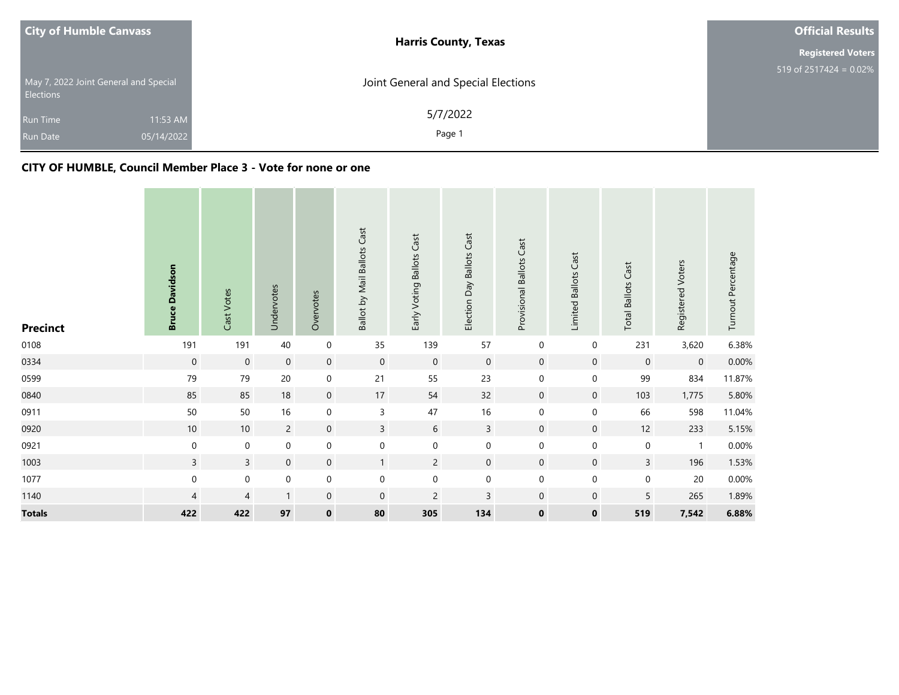| <b>City of Humble Canvass</b>                             |                        | <b>Harris County, Texas</b>         | <b>Official Results</b>              |
|-----------------------------------------------------------|------------------------|-------------------------------------|--------------------------------------|
|                                                           |                        |                                     | <b>Registered Voters</b>             |
| May 7, 2022 Joint General and Special<br><b>Elections</b> |                        | Joint General and Special Elections | 519 of $2517\overline{424} = 0.02\%$ |
| <b>Run Time</b><br><b>Run Date</b>                        | 11:53 AM<br>05/14/2022 | 5/7/2022<br>Page 1                  |                                      |

#### **CITY OF HUMBLE, Council Member Place 3 - Vote for none or one**

| <b>Precinct</b> | <b>Bruce Davidson</b> | Cast Votes          | Undervotes     | Overvotes           | Ballot by Mail Ballots Cast | Early Voting Ballots Cast | Election Day Ballots Cast | Provisional Ballots Cast | Limited Ballots Cast | <b>Total Ballots Cast</b> | Registered Voters | Turnout Percentage |
|-----------------|-----------------------|---------------------|----------------|---------------------|-----------------------------|---------------------------|---------------------------|--------------------------|----------------------|---------------------------|-------------------|--------------------|
| 0108            | 191                   | 191                 | 40             | $\boldsymbol{0}$    | 35                          | 139                       | 57                        | 0                        | $\boldsymbol{0}$     | 231                       | 3,620             | 6.38%              |
| 0334            | $\boldsymbol{0}$      | $\mathsf{O}\xspace$ | $\mathbf 0$    | $\mathbf 0$         | $\mathsf{O}\xspace$         | $\mathbf 0$               | $\boldsymbol{0}$          | $\mathbf 0$              | $\mathbf 0$          | $\mathbf 0$               | $\mathbf 0$       | 0.00%              |
| 0599            | 79                    | 79                  | $20\,$         | $\mathbf 0$         | 21                          | 55                        | 23                        | $\boldsymbol{0}$         | $\mathbf 0$          | 99                        | 834               | 11.87%             |
| 0840            | 85                    | 85                  | 18             | $\mathsf{O}\xspace$ | 17                          | 54                        | 32                        | $\mathbf 0$              | $\mathsf{O}\xspace$  | 103                       | 1,775             | 5.80%              |
| 0911            | 50                    | 50                  | 16             | $\mathbf 0$         | $\mathsf{3}$                | 47                        | 16                        | $\boldsymbol{0}$         | $\mathbf 0$          | 66                        | 598               | 11.04%             |
| 0920            | 10                    | $10\,$              | $\overline{2}$ | $\mathbf 0$         | $\overline{3}$              | 6                         | $\overline{3}$            | $\mathbf 0$              | $\overline{0}$       | 12                        | 233               | 5.15%              |
| 0921            | $\mathbf 0$           | $\mathbf 0$         | $\mathbf 0$    | $\mathbf 0$         | $\pmb{0}$                   | $\boldsymbol{0}$          | $\mathbf 0$               | $\boldsymbol{0}$         | $\boldsymbol{0}$     | $\pmb{0}$                 | $\mathbf{1}$      | $0.00\%$           |
| 1003            | $\overline{3}$        | $\overline{3}$      | $\mathbf 0$    | $\mathbf 0$         | $\mathbf{1}$                | $\overline{2}$            | $\mathbf 0$               | $\mathbf 0$              | $\overline{0}$       | $\mathsf{3}$              | 196               | 1.53%              |
| 1077            | $\pmb{0}$             | $\mathbf 0$         | $\mathbf 0$    | $\mathbf 0$         | $\pmb{0}$                   | $\mathbf 0$               | $\pmb{0}$                 | $\boldsymbol{0}$         | $\boldsymbol{0}$     | $\pmb{0}$                 | $20\,$            | $0.00\%$           |
| 1140            | $\overline{4}$        | $\overline{4}$      | $\mathbf{1}$   | $\mathbf 0$         | $\mathbf 0$                 | $\overline{c}$            | $\mathsf 3$               | $\mathbf 0$              | $\mathbf 0$          | $\sqrt{5}$                | 265               | 1.89%              |
| <b>Totals</b>   | 422                   | 422                 | 97             | $\mathbf 0$         | 80                          | 305                       | 134                       | $\mathbf 0$              | $\mathbf 0$          | 519                       | 7,542             | 6.88%              |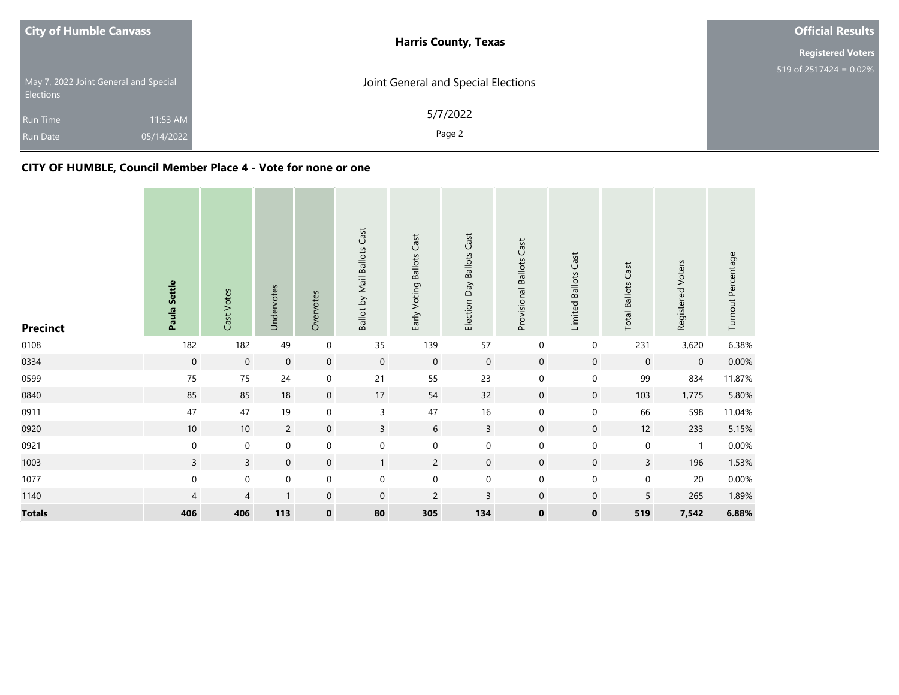| <b>City of Humble Canvass</b>                             |                        | <b>Harris County, Texas</b>         | <b>Official Results</b>              |
|-----------------------------------------------------------|------------------------|-------------------------------------|--------------------------------------|
|                                                           |                        |                                     | <b>Registered Voters</b>             |
| May 7, 2022 Joint General and Special<br><b>Elections</b> |                        | Joint General and Special Elections | 519 of $2517\overline{424} = 0.02\%$ |
| <b>Run Time</b><br><b>Run Date</b>                        | 11:53 AM<br>05/14/2022 | 5/7/2022<br>Page 2                  |                                      |

#### **CITY OF HUMBLE, Council Member Place 4 - Vote for none or one**

| <b>Precinct</b> | Paula Settle     | Cast Votes          | Undervotes     | Overvotes           | Ballot by Mail Ballots Cast | Early Voting Ballots Cast | Election Day Ballots Cast | Provisional Ballots Cast | Limited Ballots Cast | <b>Total Ballots Cast</b> | Registered Voters | Turnout Percentage |
|-----------------|------------------|---------------------|----------------|---------------------|-----------------------------|---------------------------|---------------------------|--------------------------|----------------------|---------------------------|-------------------|--------------------|
| 0108            | 182              | 182                 | 49             | $\boldsymbol{0}$    | 35                          | 139                       | 57                        | 0                        | $\boldsymbol{0}$     | 231                       | 3,620             | 6.38%              |
| 0334            | $\boldsymbol{0}$ | $\mathsf{O}\xspace$ | $\mathbf 0$    | $\mathbf 0$         | $\mathsf{O}\xspace$         | $\mathbf 0$               | $\boldsymbol{0}$          | $\mathbf 0$              | $\mathbf 0$          | $\mathbf 0$               | $\mathbf 0$       | 0.00%              |
| 0599            | 75               | $75\,$              | 24             | $\mathbf 0$         | 21                          | 55                        | 23                        | $\boldsymbol{0}$         | $\mathsf{O}\xspace$  | 99                        | 834               | 11.87%             |
| 0840            | 85               | 85                  | 18             | $\mathsf{O}\xspace$ | 17                          | 54                        | 32                        | $\mathbf 0$              | $\mathsf{O}\xspace$  | 103                       | 1,775             | 5.80%              |
| 0911            | 47               | 47                  | 19             | $\mathbf 0$         | $\mathsf{3}$                | 47                        | 16                        | $\boldsymbol{0}$         | $\mathbf 0$          | 66                        | 598               | 11.04%             |
| 0920            | 10               | $10\,$              | $\overline{2}$ | $\mathbf 0$         | $\overline{3}$              | 6                         | $\mathbf{3}$              | $\mathbf 0$              | $\overline{0}$       | 12                        | 233               | 5.15%              |
| 0921            | $\mathbf 0$      | $\mathbf 0$         | $\mathbf 0$    | $\mathbf 0$         | $\pmb{0}$                   | $\boldsymbol{0}$          | $\mathbf 0$               | $\boldsymbol{0}$         | $\boldsymbol{0}$     | $\pmb{0}$                 | $\mathbf{1}$      | $0.00\%$           |
| 1003            | $\overline{3}$   | $\overline{3}$      | $\mathbf 0$    | $\mathbf 0$         | $\mathbf{1}$                | $\overline{2}$            | $\mathbf 0$               | $\mathbf 0$              | $\overline{0}$       | $\mathsf{3}$              | 196               | 1.53%              |
| 1077            | $\pmb{0}$        | $\mathbf 0$         | $\mathbf 0$    | $\mathbf 0$         | $\pmb{0}$                   | $\mathbf 0$               | $\pmb{0}$                 | $\boldsymbol{0}$         | $\boldsymbol{0}$     | $\pmb{0}$                 | $20\,$            | $0.00\%$           |
| 1140            | $\overline{4}$   | $\overline{4}$      | $\mathbf{1}$   | $\mathbf 0$         | $\mathbf 0$                 | $\overline{c}$            | $\mathsf 3$               | $\mathbf 0$              | $\mathbf 0$          | $\sqrt{5}$                | 265               | 1.89%              |
| <b>Totals</b>   | 406              | 406                 | 113            | $\mathbf 0$         | 80                          | 305                       | 134                       | $\mathbf 0$              | $\mathbf 0$          | 519                       | 7,542             | 6.88%              |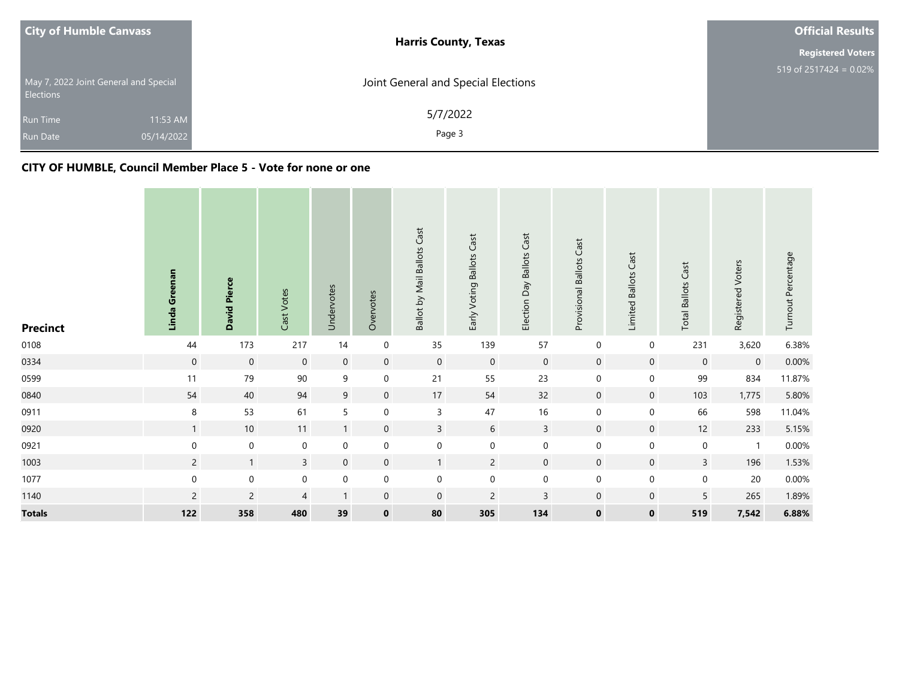| <b>City of Humble Canvass</b>                             | <b>Harris County, Texas</b>         | <b>Official Results</b>              |
|-----------------------------------------------------------|-------------------------------------|--------------------------------------|
|                                                           |                                     | <b>Registered Voters</b>             |
| May 7, 2022 Joint General and Special<br><b>Elections</b> | Joint General and Special Elections | 519 of $2517\overline{424} = 0.02\%$ |
| 11:53 AM<br><b>Run Time</b>                               | 5/7/2022                            |                                      |
| 05/14/2022<br><b>Run Date</b>                             | Page 3                              |                                      |

#### **CITY OF HUMBLE, Council Member Place 5 - Vote for none or one**

| <b>Precinct</b> | Linda Greenan  | <b>David Pierce</b> | Cast Votes     | Undervotes       | Overvotes        | Ballot by Mail Ballots Cast | Early Voting Ballots Cast | Election Day Ballots Cast | Cast<br>Provisional Ballots | Cast<br>Limited Ballots | Cast<br><b>Total Ballots</b> | Registered Voters | Turnout Percentage |
|-----------------|----------------|---------------------|----------------|------------------|------------------|-----------------------------|---------------------------|---------------------------|-----------------------------|-------------------------|------------------------------|-------------------|--------------------|
| 0108            | 44             | 173                 | 217            | 14               | 0                | 35                          | 139                       | 57                        | $\pmb{0}$                   | $\mathbf 0$             | 231                          | 3,620             | 6.38%              |
| 0334            | $\mathbf 0$    | $\boldsymbol{0}$    | $\mathbf 0$    | $\mathbf 0$      | $\mathbf 0$      | $\overline{0}$              | $\mathbf 0$               | $\mathbf 0$               | $\mathbf 0$                 | $\mathbf 0$             | $\mathbf 0$                  | $\mathbf 0$       | 0.00%              |
| 0599            | 11             | 79                  | 90             | 9                | 0                | 21                          | 55                        | 23                        | $\boldsymbol{0}$            | $\boldsymbol{0}$        | 99                           | 834               | 11.87%             |
| 0840            | 54             | 40                  | 94             | $9\,$            | $\mathbf 0$      | 17                          | 54                        | 32                        | $\mathbf 0$                 | $\mathbf 0$             | 103                          | 1,775             | 5.80%              |
| 0911            | 8              | 53                  | 61             | 5                | $\boldsymbol{0}$ | $\mathsf{3}$                | 47                        | 16                        | $\mathbf 0$                 | $\mathbf 0$             | 66                           | 598               | 11.04%             |
| 0920            | $\mathbf{1}$   | 10                  | 11             | $\mathbf{1}$     | $\mathbf 0$      | $\mathbf{3}$                | 6                         | $\overline{3}$            | $\mathbf 0$                 | $\mathbf 0$             | 12                           | 233               | 5.15%              |
| 0921            | $\mathbf 0$    | $\mathbf 0$         | $\mathbf 0$    | $\pmb{0}$        | 0                | $\boldsymbol{0}$            | $\boldsymbol{0}$          | $\mathbf 0$               | $\boldsymbol{0}$            | $\mathbf 0$             | $\mathbf 0$                  | $\mathbf{1}$      | $0.00\%$           |
| 1003            | $\overline{2}$ | $\mathbf{1}$        | $\overline{3}$ | $\boldsymbol{0}$ | $\mathbf 0$      | $\mathbf{1}$                | $\overline{2}$            | $\mathbf 0$               | $\mathbf 0$                 | $\overline{0}$          | $\overline{3}$               | 196               | 1.53%              |
| 1077            | $\mathbf 0$    | $\boldsymbol{0}$    | $\pmb{0}$      | $\pmb{0}$        | 0                | $\boldsymbol{0}$            | $\boldsymbol{0}$          | $\boldsymbol{0}$          | $\boldsymbol{0}$            | $\boldsymbol{0}$        | $\mathbf 0$                  | 20                | $0.00\%$           |
| 1140            | $\overline{c}$ | $\sqrt{2}$          | $\overline{4}$ | $\overline{1}$   | $\mathbf 0$      | $\mathbf 0$                 | $\overline{c}$            | $\mathsf 3$               | $\mathbf 0$                 | $\mathbf 0$             | 5                            | 265               | 1.89%              |
| <b>Totals</b>   | 122            | 358                 | 480            | 39               | $\mathbf 0$      | 80                          | 305                       | 134                       | $\mathbf 0$                 | $\mathbf 0$             | 519                          | 7,542             | 6.88%              |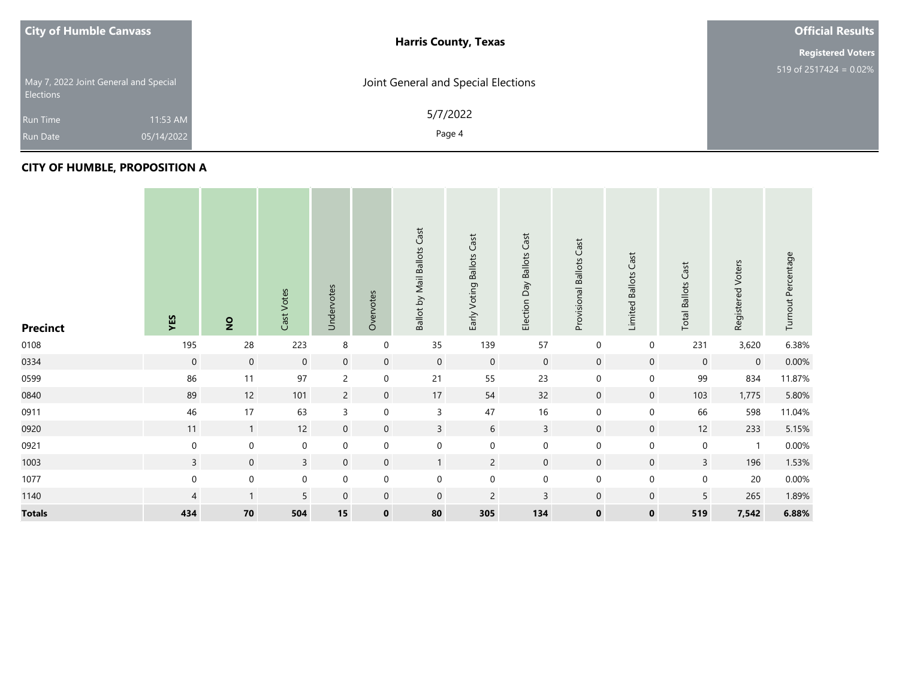| <b>City of Humble Canvass</b>                             | <b>Harris County, Texas</b>         | <b>Official Results</b>   |
|-----------------------------------------------------------|-------------------------------------|---------------------------|
|                                                           |                                     | <b>Registered Voters</b>  |
| May 7, 2022 Joint General and Special<br><b>Elections</b> | Joint General and Special Elections | 519 of 2517424 = $0.02\%$ |
| 11:53 AM<br><b>Run Time</b>                               | 5/7/2022                            |                           |
| 05/14/2022<br><b>Run Date</b>                             | Page 4                              |                           |

#### **CITY OF HUMBLE, PROPOSITION A**

| <b>Precinct</b> | YES            | $\overline{2}$   | Cast Votes       | Undervotes       | Overvotes        | Ballot by Mail Ballots Cast | Early Voting Ballots Cast | <b>Ballots Cast</b><br>Election Day | Cast<br>Provisional Ballots | Cast<br>Limited Ballots | Cast<br><b>Total Ballots</b> | Registered Voters | Turnout Percentage |
|-----------------|----------------|------------------|------------------|------------------|------------------|-----------------------------|---------------------------|-------------------------------------|-----------------------------|-------------------------|------------------------------|-------------------|--------------------|
| 0108            | 195            | 28               | 223              | $\,8\,$          | $\mathbf 0$      | 35                          | 139                       | 57                                  | 0                           | 0                       | 231                          | 3,620             | 6.38%              |
| 0334            | $\mathbf 0$    | $\overline{0}$   | $\mathbf 0$      | $\overline{0}$   | $\mathbf 0$      | $\mathbf 0$                 | $\mathbf 0$               | $\mathbf 0$                         | $\mathbf 0$                 | $\mathbf 0$             | $\boldsymbol{0}$             | $\mathbf 0$       | $0.00\%$           |
| 0599            | 86             | 11               | 97               | $\overline{2}$   | $\mathbf 0$      | 21                          | 55                        | 23                                  | $\mathbf 0$                 | $\boldsymbol{0}$        | 99                           | 834               | 11.87%             |
| 0840            | 89             | 12               | 101              | $\overline{c}$   | $\mathbf 0$      | 17                          | 54                        | 32                                  | $\mathbf 0$                 | $\mathbf 0$             | 103                          | 1,775             | 5.80%              |
| 0911            | 46             | 17               | 63               | $\mathsf{3}$     | $\boldsymbol{0}$ | $\mathsf{3}$                | $47\,$                    | $16$                                | $\boldsymbol{0}$            | $\boldsymbol{0}$        | 66                           | 598               | 11.04%             |
| 0920            | 11             | $\mathbf{1}$     | 12               | $\boldsymbol{0}$ | $\boldsymbol{0}$ | $\overline{3}$              | $\boldsymbol{6}$          | $\mathsf{3}$                        | $\mathsf{O}\xspace$         | $\mathbf 0$             | 12                           | 233               | 5.15%              |
| 0921            | $\mathbf 0$    | $\mathbf 0$      | $\mathbf 0$      | $\boldsymbol{0}$ | $\mathbf 0$      | $\boldsymbol{0}$            | $\mathbf 0$               | $\pmb{0}$                           | $\mathbf 0$                 | $\boldsymbol{0}$        | $\boldsymbol{0}$             | $\mathbf{1}$      | $0.00\%$           |
| 1003            | $\mathsf{3}$   | $\mathbf 0$      | $\overline{3}$   | $\overline{0}$   | $\mathbf 0$      | $\mathbf{1}$                | $\overline{2}$            | $\mathbf 0$                         | $\mathbf 0$                 | $\mathbf 0$             | $\mathsf{3}$                 | 196               | 1.53%              |
| 1077            | $\mathbf 0$    | $\boldsymbol{0}$ | $\boldsymbol{0}$ | $\mathbf 0$      | $\mathbf 0$      | $\mathbf 0$                 | $\mathbf 0$               | $\pmb{0}$                           | $\mathbf 0$                 | $\boldsymbol{0}$        | $\mathbf 0$                  | 20                | $0.00\%$           |
| 1140            | $\overline{4}$ | $\mathbf{1}$     | 5                | $\mathbf 0$      | $\mathbf 0$      | $\overline{0}$              | $\overline{c}$            | $\mathsf 3$                         | $\mathbf 0$                 | $\boldsymbol{0}$        | 5                            | 265               | 1.89%              |
| <b>Totals</b>   | 434            | 70               | 504              | 15               | $\mathbf 0$      | 80                          | 305                       | 134                                 | $\mathbf 0$                 | $\mathbf 0$             | 519                          | 7,542             | 6.88%              |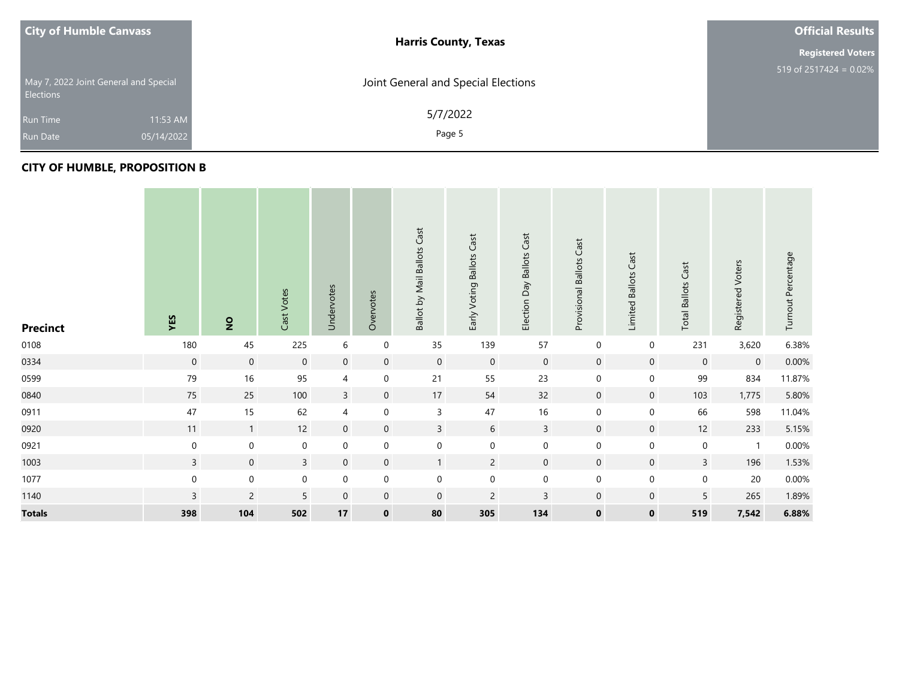| <b>City of Humble Canvass</b>                             |            | <b>Harris County, Texas</b>         | <b>Official Results</b>   |
|-----------------------------------------------------------|------------|-------------------------------------|---------------------------|
|                                                           |            |                                     | <b>Registered Voters</b>  |
| May 7, 2022 Joint General and Special<br><b>Elections</b> |            | Joint General and Special Elections | 519 of $2517424 = 0.02\%$ |
| <b>Run Time</b>                                           | 11:53 AM   | 5/7/2022                            |                           |
| <b>Run Date</b>                                           | 05/14/2022 | Page 5                              |                           |

#### **CITY OF HUMBLE, PROPOSITION B**

| <b>Precinct</b> | YES          | $\overline{2}$   | Cast Votes   | Undervotes          | Overvotes        | Ballot by Mail Ballots Cast | Cast<br>Early Voting Ballots | Election Day Ballots Cast | Cast<br>Provisional Ballots | Cast<br>Limited Ballots | Cast<br><b>Total Ballots</b> | Registered Voters | Turnout Percentage |
|-----------------|--------------|------------------|--------------|---------------------|------------------|-----------------------------|------------------------------|---------------------------|-----------------------------|-------------------------|------------------------------|-------------------|--------------------|
| 0108            | 180          | 45               | 225          | $\boldsymbol{6}$    | $\pmb{0}$        | 35                          | 139                          | 57                        | $\boldsymbol{0}$            | $\mathbf 0$             | 231                          | 3,620             | 6.38%              |
| 0334            | $\mathbf 0$  | $\boldsymbol{0}$ | $\mathbf 0$  | $\mathbf 0$         | $\mathbf 0$      | $\mathbf 0$                 | $\mathbf 0$                  | $\mathbf 0$               | $\mathbf 0$                 | $\mathbf 0$             | $\mathbf 0$                  | $\mathbf 0$       | 0.00%              |
| 0599            | 79           | 16               | 95           | 4                   | $\mathbf 0$      | 21                          | 55                           | 23                        | $\boldsymbol{0}$            | 0                       | 99                           | 834               | 11.87%             |
| 0840            | 75           | 25               | 100          | $\mathsf{3}$        | $\mathbf 0$      | $17\,$                      | 54                           | 32                        | $\boldsymbol{0}$            | $\boldsymbol{0}$        | 103                          | 1,775             | 5.80%              |
| 0911            | 47           | 15               | 62           | 4                   | $\boldsymbol{0}$ | $\overline{3}$              | 47                           | $16\,$                    | $\boldsymbol{0}$            | 0                       | 66                           | 598               | 11.04%             |
| 0920            | 11           | $\overline{1}$   | 12           | $\overline{0}$      | $\mathbf 0$      | $\overline{3}$              | 6                            | $\overline{3}$            | $\mathbf 0$                 | $\overline{0}$          | 12                           | 233               | 5.15%              |
| 0921            | $\mathbf 0$  | $\boldsymbol{0}$ | $\pmb{0}$    | $\boldsymbol{0}$    | $\boldsymbol{0}$ | $\boldsymbol{0}$            | $\pmb{0}$                    | $\boldsymbol{0}$          | $\pmb{0}$                   | 0                       | $\mathbf 0$                  | $\mathbf{1}$      | $0.00\%$           |
| 1003            | $\mathbf{3}$ | $\boldsymbol{0}$ | $\mathsf{3}$ | $\mathsf{O}\xspace$ | $\mathbf 0$      | $\mathbf{1}$                | $\overline{2}$               | $\boldsymbol{0}$          | $\mathbf 0$                 | $\boldsymbol{0}$        | $\mathbf{3}$                 | 196               | 1.53%              |
| 1077            | $\mathbf 0$  | $\boldsymbol{0}$ | $\pmb{0}$    | $\boldsymbol{0}$    | $\pmb{0}$        | $\boldsymbol{0}$            | $\boldsymbol{0}$             | $\boldsymbol{0}$          | $\boldsymbol{0}$            | 0                       | $\mathbf 0$                  | 20                | $0.00\%$           |
| 1140            | $\mathsf 3$  | $\overline{c}$   | 5            | $\pmb{0}$           | $\mathbf 0$      | $\mathbf 0$                 | $\overline{c}$               | $\mathsf 3$               | $\pmb{0}$                   | $\pmb{0}$               | 5                            | 265               | 1.89%              |
| <b>Totals</b>   | 398          | 104              | 502          | 17                  | $\mathbf 0$      | 80                          | 305                          | 134                       | $\mathbf 0$                 | $\mathbf 0$             | 519                          | 7,542             | 6.88%              |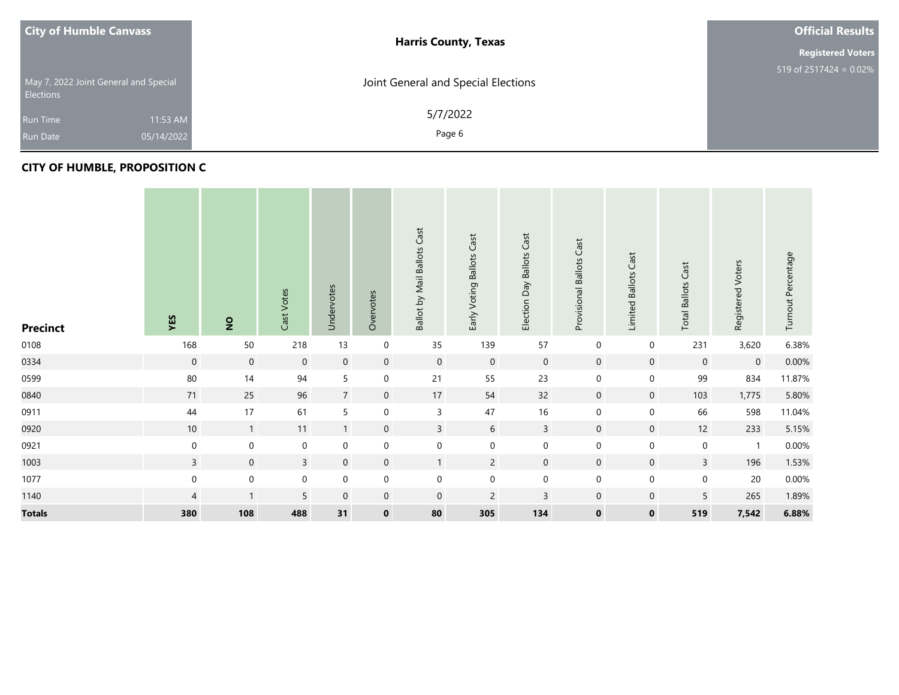| <b>City of Humble Canvass</b>                             | <b>Harris County, Texas</b>         | <b>Official Results</b>   |
|-----------------------------------------------------------|-------------------------------------|---------------------------|
|                                                           |                                     | <b>Registered Voters</b>  |
| May 7, 2022 Joint General and Special<br><b>Elections</b> | Joint General and Special Elections | 519 of 2517424 = $0.02\%$ |
| 11:53 AM<br><b>Run Time</b>                               | 5/7/2022                            |                           |
| 05/14/2022<br><b>Run Date</b>                             | Page 6                              |                           |

#### **CITY OF HUMBLE, PROPOSITION C**

| <b>Precinct</b> | YES            | $\overline{2}$   | Cast Votes   | Undervotes       | Overvotes        | Ballot by Mail Ballots Cast | Cast<br>Early Voting Ballots | Election Day Ballots Cast | Cast<br>Provisional Ballots | Cast<br><b>Limited Ballots</b> | Cast<br><b>Total Ballots</b> | Registered Voters | Turnout Percentage |
|-----------------|----------------|------------------|--------------|------------------|------------------|-----------------------------|------------------------------|---------------------------|-----------------------------|--------------------------------|------------------------------|-------------------|--------------------|
| 0108            | 168            | 50               | 218          | 13               | $\mathbf 0$      | 35                          | 139                          | 57                        | $\boldsymbol{0}$            | $\boldsymbol{0}$               | 231                          | 3,620             | 6.38%              |
| 0334            | $\mathbf 0$    | $\boldsymbol{0}$ | $\mathbf 0$  | $\mathbf 0$      | $\mathbf 0$      | $\boldsymbol{0}$            | $\boldsymbol{0}$             | $\boldsymbol{0}$          | $\mathbf 0$                 | $\boldsymbol{0}$               | $\mathbf 0$                  | $\boldsymbol{0}$  | 0.00%              |
| 0599            | $80\,$         | 14               | 94           | $5\overline{)}$  | $\pmb{0}$        | 21                          | 55                           | 23                        | $\pmb{0}$                   | 0                              | 99                           | 834               | 11.87%             |
| 0840            | 71             | 25               | 96           | $\overline{7}$   | $\mathbf 0$      | $17\,$                      | 54                           | 32                        | $\mathbf 0$                 | $\boldsymbol{0}$               | 103                          | 1,775             | 5.80%              |
| 0911            | 44             | 17               | 61           | 5                | $\pmb{0}$        | 3                           | 47                           | $16\,$                    | $\pmb{0}$                   | $\mathbf 0$                    | 66                           | 598               | 11.04%             |
| 0920            | 10             | $\mathbf{1}$     | 11           | $\mathbf{1}$     | $\mathbf 0$      | $\mathbf{3}$                | 6                            | $\mathsf{3}$              | $\boldsymbol{0}$            | $\overline{0}$                 | 12                           | 233               | 5.15%              |
| 0921            | $\mathbf 0$    | $\boldsymbol{0}$ | $\pmb{0}$    | $\boldsymbol{0}$ | $\boldsymbol{0}$ | $\boldsymbol{0}$            | $\boldsymbol{0}$             | $\boldsymbol{0}$          | $\boldsymbol{0}$            | 0                              | $\mathbf 0$                  | $\mathbf{1}$      | $0.00\%$           |
| 1003            | $\mathbf{3}$   | $\boldsymbol{0}$ | $\mathbf{3}$ | $\overline{0}$   | $\overline{0}$   | $\mathbf{1}$                | $\overline{2}$               | $\mathbf 0$               | $\mathbf 0$                 | $\boldsymbol{0}$               | $\mathbf{3}$                 | 196               | 1.53%              |
| 1077            | $\mathbf 0$    | $\boldsymbol{0}$ | $\pmb{0}$    | $\mathbf 0$      | $\pmb{0}$        | $\boldsymbol{0}$            | $\boldsymbol{0}$             | $\boldsymbol{0}$          | $\boldsymbol{0}$            | 0                              | $\mathbf 0$                  | 20                | $0.00\%$           |
| 1140            | $\overline{4}$ | $\mathbf{1}$     | 5            | $\mathbf 0$      | $\mathbf 0$      | $\mathbf 0$                 | $\overline{c}$               | $\mathsf 3$               | $\mathbf 0$                 | $\mathbf 0$                    | 5                            | 265               | 1.89%              |
| <b>Totals</b>   | 380            | 108              | 488          | 31               | $\mathbf 0$      | 80                          | 305                          | 134                       | $\mathbf 0$                 | $\mathbf 0$                    | 519                          | 7,542             | 6.88%              |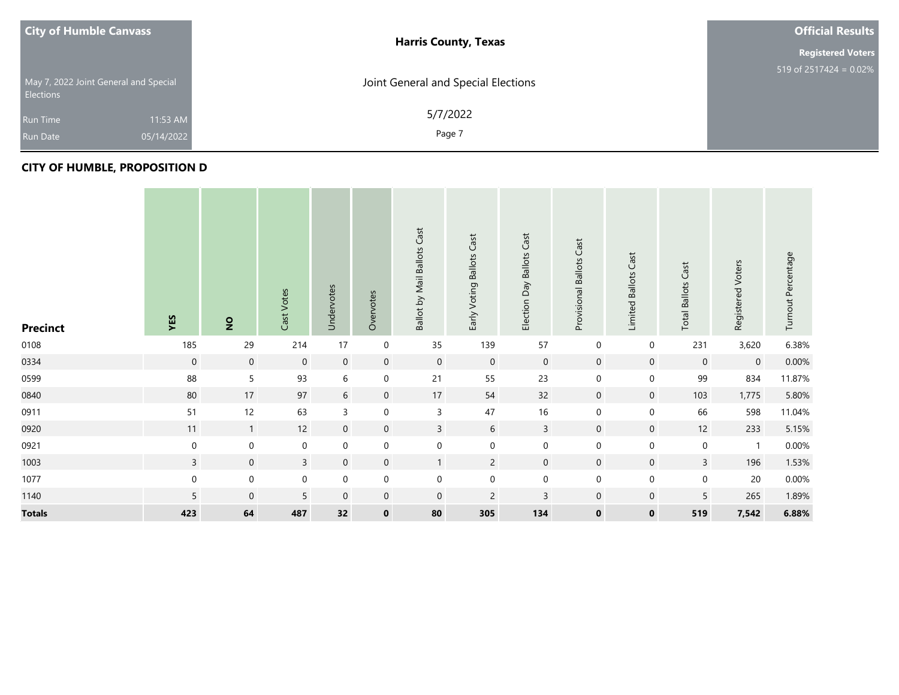| <b>City of Humble Canvass</b>                             | <b>Harris County, Texas</b>         | <b>Official Results</b>   |
|-----------------------------------------------------------|-------------------------------------|---------------------------|
|                                                           |                                     | <b>Registered Voters</b>  |
| May 7, 2022 Joint General and Special<br><b>Elections</b> | Joint General and Special Elections | 519 of 2517424 = $0.02\%$ |
| 11:53 AM<br><b>Run Time</b>                               | 5/7/2022                            |                           |
| 05/14/2022<br><b>Run Date</b>                             | Page 7                              |                           |

#### **CITY OF HUMBLE, PROPOSITION D**

| <b>Precinct</b> | YES              | $\overline{2}$      | Cast Votes   | Undervotes          | Overvotes        | Ballot by Mail Ballots Cast | Cast<br>Early Voting Ballots | Day Ballots Cast<br>Election | Cast<br>Provisional Ballots | Cast<br><b>Limited Ballots</b> | Cast<br><b>Total Ballots</b> | Registered Voters | Turnout Percentage |
|-----------------|------------------|---------------------|--------------|---------------------|------------------|-----------------------------|------------------------------|------------------------------|-----------------------------|--------------------------------|------------------------------|-------------------|--------------------|
| 0108            | 185              | 29                  | 214          | 17                  | $\mathbf 0$      | 35                          | 139                          | 57                           | $\boldsymbol{0}$            | $\boldsymbol{0}$               | 231                          | 3,620             | 6.38%              |
| 0334            | $\mathbf 0$      | $\mathsf{O}\xspace$ | $\mathbf 0$  | $\mathbf 0$         | $\mathbf 0$      | $\boldsymbol{0}$            | $\boldsymbol{0}$             | $\boldsymbol{0}$             | $\mathbf 0$                 | $\mathbf 0$                    | $\mathbf 0$                  | $\mathbf 0$       | $0.00\%$           |
| 0599            | 88               | 5                   | 93           | $\sqrt{6}$          | $\mathbf 0$      | 21                          | 55                           | 23                           | $\boldsymbol{0}$            | $\boldsymbol{0}$               | 99                           | 834               | 11.87%             |
| 0840            | 80               | 17                  | 97           | $\sqrt{6}$          | $\mathbf 0$      | $17\,$                      | 54                           | 32                           | $\mathbf 0$                 | $\mathbf 0$                    | 103                          | 1,775             | 5.80%              |
| 0911            | 51               | 12                  | 63           | $\mathsf{3}$        | $\boldsymbol{0}$ | $\overline{3}$              | 47                           | $16\,$                       | $\boldsymbol{0}$            | $\mathbf 0$                    | 66                           | 598               | 11.04%             |
| 0920            | 11               | $\overline{1}$      | 12           | $\mathbf 0$         | $\overline{0}$   | $\overline{3}$              | 6                            | $\overline{3}$               | $\overline{0}$              | $\mathbf 0$                    | $12$                         | 233               | 5.15%              |
| 0921            | $\boldsymbol{0}$ | $\boldsymbol{0}$    | $\pmb{0}$    | $\mathsf{O}\xspace$ | $\boldsymbol{0}$ | $\boldsymbol{0}$            | $\boldsymbol{0}$             | $\boldsymbol{0}$             | $\boldsymbol{0}$            | $\boldsymbol{0}$               | $\mathbf 0$                  | $\mathbf{1}$      | $0.00\%$           |
| 1003            | $\overline{3}$   | $\boldsymbol{0}$    | $\mathbf{3}$ | $\mathsf{O}\xspace$ | $\mathbf 0$      | $\mathbf{1}$                | $\overline{2}$               | $\boldsymbol{0}$             | $\mathbf 0$                 | $\boldsymbol{0}$               | $\overline{3}$               | 196               | 1.53%              |
| 1077            | $\boldsymbol{0}$ | $\boldsymbol{0}$    | $\pmb{0}$    | $\pmb{0}$           | $\boldsymbol{0}$ | $\boldsymbol{0}$            | $\pmb{0}$                    | $\boldsymbol{0}$             | $\pmb{0}$                   | $\pmb{0}$                      | $\boldsymbol{0}$             | 20                | $0.00\%$           |
| 1140            | 5                | $\mathbf 0$         | 5            | $\mathbf 0$         | $\mathbf 0$      | $\mathbf 0$                 | $\overline{2}$               | 3                            | $\mathbf 0$                 | $\mathbf 0$                    | 5                            | 265               | 1.89%              |
| <b>Totals</b>   | 423              | 64                  | 487          | 32                  | $\mathbf 0$      | 80                          | 305                          | 134                          | $\mathbf 0$                 | $\mathbf 0$                    | 519                          | 7,542             | 6.88%              |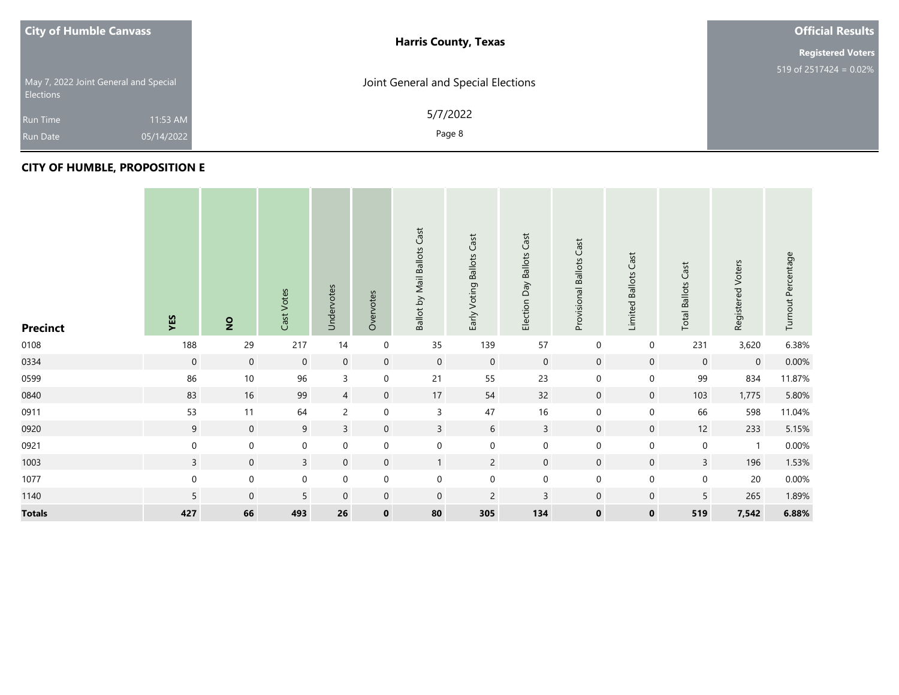| <b>City of Humble Canvass</b>                      |            | <b>Harris County, Texas</b>         | <b>Official Results</b>   |
|----------------------------------------------------|------------|-------------------------------------|---------------------------|
|                                                    |            |                                     | <b>Registered Voters</b>  |
| May 7, 2022 Joint General and Special<br>Elections |            | Joint General and Special Elections | 519 of $2517424 = 0.02\%$ |
| <b>Run Time</b>                                    | 11:53 AM   | 5/7/2022                            |                           |
| <b>Run Date</b>                                    | 05/14/2022 | Page 8                              |                           |

#### **CITY OF HUMBLE, PROPOSITION E**

| <b>Precinct</b> | YES          | $\overline{2}$   | Cast Votes   | Undervotes       | Overvotes      | Ballot by Mail Ballots Cast | Cast<br>Early Voting Ballots | Election Day Ballots Cast | Cast<br>Provisional Ballots | Cast<br>Limited Ballots | Cast<br><b>Total Ballots</b> | Registered Voters | Turnout Percentage |
|-----------------|--------------|------------------|--------------|------------------|----------------|-----------------------------|------------------------------|---------------------------|-----------------------------|-------------------------|------------------------------|-------------------|--------------------|
| 0108            | 188          | 29               | 217          | 14               | $\mathbf 0$    | 35                          | 139                          | 57                        | $\boldsymbol{0}$            | $\mathbf 0$             | 231                          | 3,620             | 6.38%              |
| 0334            | $\mathbf 0$  | $\boldsymbol{0}$ | $\mathbf 0$  | $\mathbf 0$      | $\mathbf 0$    | $\boldsymbol{0}$            | $\mathbf 0$                  | $\boldsymbol{0}$          | $\mathbf 0$                 | $\mathbf 0$             | $\mathbf 0$                  | $\mathbf 0$       | 0.00%              |
| 0599            | 86           | $10$             | 96           | $\mathsf{3}$     | $\mathbf 0$    | 21                          | 55                           | 23                        | $\pmb{0}$                   | 0                       | 99                           | 834               | 11.87%             |
| 0840            | 83           | 16               | 99           | $\overline{4}$   | $\mathbf 0$    | $17\,$                      | 54                           | 32                        | $\mathbf 0$                 | $\boldsymbol{0}$        | 103                          | 1,775             | 5.80%              |
| 0911            | 53           | 11               | 64           | $\overline{c}$   | $\pmb{0}$      | $\mathsf{3}$                | 47                           | $16\,$                    | $\boldsymbol{0}$            | $\pmb{0}$               | 66                           | 598               | 11.04%             |
| 0920            | 9            | $\mathbf 0$      | 9            | $\mathsf{3}$     | $\mathbf 0$    | $\mathbf{3}$                | 6                            | $\overline{3}$            | $\mathbf 0$                 | $\mathbf 0$             | 12                           | 233               | 5.15%              |
| 0921            | $\mathbf 0$  | $\boldsymbol{0}$ | $\pmb{0}$    | $\boldsymbol{0}$ | $\pmb{0}$      | $\boldsymbol{0}$            | $\boldsymbol{0}$             | 0                         | $\boldsymbol{0}$            | 0                       | $\mathbf 0$                  | $\mathbf{1}$      | 0.00%              |
| 1003            | $\mathbf{3}$ | $\boldsymbol{0}$ | $\mathbf{3}$ | $\overline{0}$   | $\overline{0}$ | $\mathbf{1}$                | $\overline{2}$               | $\mathbf 0$               | $\mathbf 0$                 | $\boldsymbol{0}$        | $\mathbf{3}$                 | 196               | 1.53%              |
| 1077            | $\mathbf 0$  | $\boldsymbol{0}$ | $\pmb{0}$    | $\mathbf 0$      | $\pmb{0}$      | $\boldsymbol{0}$            | $\boldsymbol{0}$             | $\boldsymbol{0}$          | $\boldsymbol{0}$            | 0                       | $\mathbf 0$                  | 20                | $0.00\%$           |
| 1140            | 5            | $\,0\,$          | 5            | $\mathbf 0$      | $\mathbf 0$    | $\mathbf 0$                 | $\overline{c}$               | $\mathsf 3$               | $\mathbf 0$                 | $\mathbf 0$             | 5                            | 265               | 1.89%              |
| <b>Totals</b>   | 427          | 66               | 493          | 26               | $\mathbf 0$    | 80                          | 305                          | 134                       | $\mathbf 0$                 | $\mathbf 0$             | 519                          | 7,542             | 6.88%              |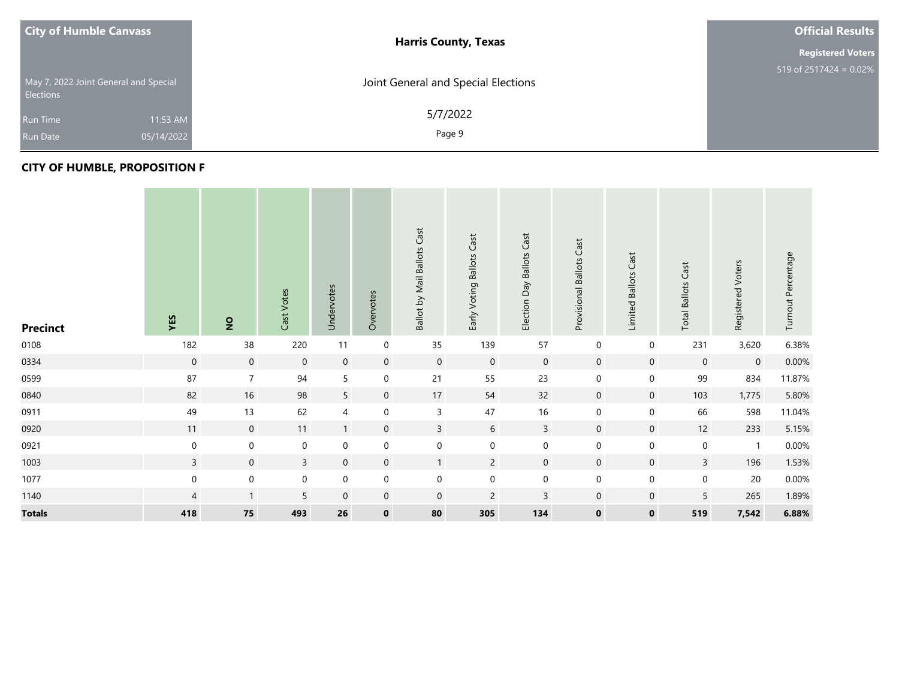| <b>City of Humble Canvass</b>                      |            | <b>Harris County, Texas</b>         | <b>Official Results</b>   |
|----------------------------------------------------|------------|-------------------------------------|---------------------------|
|                                                    |            |                                     | <b>Registered Voters</b>  |
| May 7, 2022 Joint General and Special<br>Elections |            | Joint General and Special Elections | 519 of $2517424 = 0.02\%$ |
| <b>Run Time</b>                                    | 11:53 AM   | 5/7/2022                            |                           |
| <b>Run Date</b>                                    | 05/14/2022 | Page 9                              |                           |

#### **CITY OF HUMBLE, PROPOSITION F**

| <b>Precinct</b> | YES              | $\overline{2}$   | Cast Votes       | Undervotes          | Overvotes        | Ballot by Mail Ballots Cast | Cast<br>Early Voting Ballots | Election Day Ballots Cast | Cast<br>Provisional Ballots | Cast<br>Limited Ballots | Cast<br><b>Total Ballots</b> | Registered Voters | Turnout Percentage |
|-----------------|------------------|------------------|------------------|---------------------|------------------|-----------------------------|------------------------------|---------------------------|-----------------------------|-------------------------|------------------------------|-------------------|--------------------|
| 0108            | 182              | 38               | 220              | 11                  | $\mathbf 0$      | 35                          | 139                          | 57                        | $\boldsymbol{0}$            | $\mathbf 0$             | 231                          | 3,620             | 6.38%              |
| 0334            | $\boldsymbol{0}$ | $\mathbf 0$      | $\boldsymbol{0}$ | $\mathbf 0$         | $\mathbf 0$      | $\mathbf 0$                 | $\mathbf 0$                  | $\mathbf 0$               | $\mathbf 0$                 | $\mathbf 0$             | $\mathbf 0$                  | $\mathbf 0$       | 0.00%              |
| 0599            | 87               | $\overline{7}$   | 94               | 5                   | $\boldsymbol{0}$ | $21$                        | 55                           | 23                        | $\mathbf 0$                 | $\pmb{0}$               | 99                           | 834               | 11.87%             |
| 0840            | 82               | 16               | 98               | 5                   | $\mathbf 0$      | 17                          | 54                           | 32                        | $\mathbf 0$                 | $\mathbf 0$             | 103                          | 1,775             | 5.80%              |
| 0911            | 49               | 13               | 62               | $\overline{4}$      | $\mathbf 0$      | 3                           | 47                           | 16                        | $\mathbf 0$                 | $\pmb{0}$               | 66                           | 598               | 11.04%             |
| 0920            | 11               | $\mathbf 0$      | 11               | $\mathbf{1}$        | $\overline{0}$   | $\overline{3}$              | 6                            | $\overline{3}$            | $\mathbf 0$                 | $\mathbf 0$             | 12                           | 233               | 5.15%              |
| 0921            | $\boldsymbol{0}$ | $\mathbf 0$      | $\boldsymbol{0}$ | $\mathbf 0$         | $\mathbf 0$      | $\boldsymbol{0}$            | $\mathbf 0$                  | $\mathbf 0$               | $\mathbf 0$                 | $\pmb{0}$               | $\boldsymbol{0}$             | $\mathbf{1}$      | 0.00%              |
| 1003            | $\mathsf{3}$     | $\mathbf 0$      | $\overline{3}$   | $\overline{0}$      | $\mathbf 0$      | $\mathbf{1}$                | $\overline{2}$               | $\mathbf 0$               | $\mathbf 0$                 | $\mathbf 0$             | $\mathbf{3}$                 | 196               | 1.53%              |
| 1077            | $\boldsymbol{0}$ | $\boldsymbol{0}$ | $\boldsymbol{0}$ | $\mathsf{O}\xspace$ | $\mathbf 0$      | $\mathbf 0$                 | $\mathbf 0$                  | $\mathbf 0$               | $\mathbf 0$                 | $\mathbf 0$             | $\mathbf 0$                  | 20                | $0.00\%$           |
| 1140            | 4                | $\mathbf{1}$     | 5                | $\mathbf 0$         | $\overline{0}$   | $\overline{0}$              | $\overline{c}$               | $\mathsf 3$               | $\mathbf 0$                 | $\mathbf 0$             | 5                            | 265               | 1.89%              |
| <b>Totals</b>   | 418              | 75               | 493              | 26                  | $\mathbf 0$      | 80                          | 305                          | 134                       | $\mathbf 0$                 | $\mathbf 0$             | 519                          | 7,542             | 6.88%              |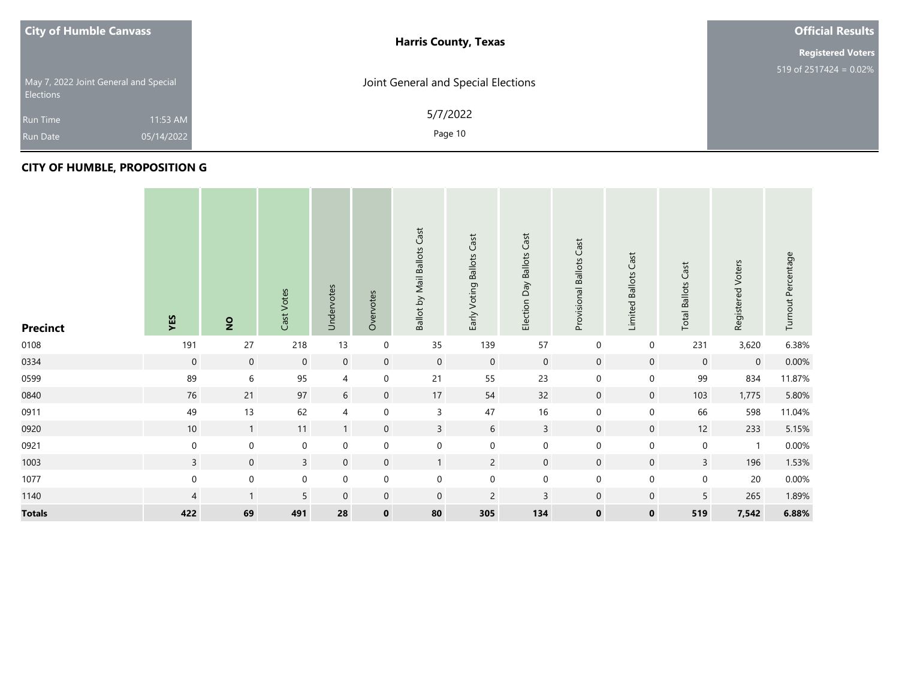| <b>City of Humble Canvass</b>                             | <b>Harris County, Texas</b>         | <b>Official Results</b>   |
|-----------------------------------------------------------|-------------------------------------|---------------------------|
|                                                           |                                     | <b>Registered Voters</b>  |
| May 7, 2022 Joint General and Special<br><b>Elections</b> | Joint General and Special Elections | 519 of 2517424 = $0.02\%$ |
| 11:53 AM<br><b>Run Time</b>                               | 5/7/2022                            |                           |
| 05/14/2022<br><b>Run Date</b>                             | Page 10                             |                           |

#### **CITY OF HUMBLE, PROPOSITION G**

| <b>Precinct</b> | YES              | $\overline{2}$   | Cast Votes       | Undervotes       | Overvotes   | Ballot by Mail Ballots Cast | Early Voting Ballots Cast | <b>Ballots Cast</b><br>Election Day | Cast<br>Provisional Ballots | Cast<br>Limited Ballots | Cast<br><b>Total Ballots</b> | Registered Voters | Turnout Percentage |
|-----------------|------------------|------------------|------------------|------------------|-------------|-----------------------------|---------------------------|-------------------------------------|-----------------------------|-------------------------|------------------------------|-------------------|--------------------|
| 0108            | 191              | 27               | 218              | 13               | $\pmb{0}$   | 35                          | 139                       | 57                                  | $\boldsymbol{0}$            | $\mathbf 0$             | 231                          | 3,620             | 6.38%              |
| 0334            | $\mathbf 0$      | $\boldsymbol{0}$ | $\boldsymbol{0}$ | $\mathbf 0$      | $\mathbf 0$ | $\mathbf 0$                 | $\mathbf 0$               | $\mathbf 0$                         | $\mathbf 0$                 | $\mathbf 0$             | $\mathbf 0$                  | $\mathbf 0$       | $0.00\%$           |
| 0599            | 89               | $\,$ 6 $\,$      | 95               | 4                | $\pmb{0}$   | 21                          | 55                        | 23                                  | $\mathbf 0$                 | $\mathbf 0$             | 99                           | 834               | 11.87%             |
| 0840            | 76               | 21               | 97               | $\sqrt{6}$       | $\mathbf 0$ | $17\,$                      | 54                        | 32                                  | $\mathbf 0$                 | $\mathbf 0$             | 103                          | 1,775             | 5.80%              |
| 0911            | 49               | 13               | 62               | 4                | $\pmb{0}$   | 3                           | 47                        | 16                                  | $\mathbf 0$                 | $\mathbf 0$             | 66                           | 598               | 11.04%             |
| 0920            | 10               | $\mathbf{1}$     | 11               | $\mathbf{1}$     | $\mathbf 0$ | $\overline{3}$              | 6                         | $\mathbf{3}$                        | $\mathbf 0$                 | $\mathbf 0$             | 12                           | 233               | 5.15%              |
| 0921            | $\mathbf 0$      | $\mathbf 0$      | $\pmb{0}$        | $\mathbf 0$      | $\pmb{0}$   | $\boldsymbol{0}$            | $\mathbf 0$               | $\mathbf 0$                         | $\mathbf 0$                 | $\pmb{0}$               | $\mathsf{O}$                 | $\mathbf{1}$      | $0.00\%$           |
| 1003            | $\overline{3}$   | $\mathbf 0$      | $\mathbf{3}$     | $\boldsymbol{0}$ | $\mathbf 0$ | $\mathbf{1}$                | $\overline{2}$            | $\mathbf 0$                         | $\mathbf 0$                 | $\mathbf 0$             | $\overline{3}$               | 196               | 1.53%              |
| 1077            | $\boldsymbol{0}$ | $\boldsymbol{0}$ | $\pmb{0}$        | $\boldsymbol{0}$ | $\pmb{0}$   | $\boldsymbol{0}$            | $\boldsymbol{0}$          | $\pmb{0}$                           | $\boldsymbol{0}$            | $\pmb{0}$               | $\boldsymbol{0}$             | 20                | $0.00\%$           |
| 1140            | 4                | $\mathbf{1}$     | 5                | $\mathbf 0$      | $\mathbf 0$ | $\mathbf 0$                 | $\overline{2}$            | 3                                   | $\mathbf 0$                 | $\mathbf 0$             | 5                            | 265               | 1.89%              |
| <b>Totals</b>   | 422              | 69               | 491              | 28               | $\mathbf 0$ | 80                          | 305                       | 134                                 | $\mathbf 0$                 | $\bf{0}$                | 519                          | 7,542             | 6.88%              |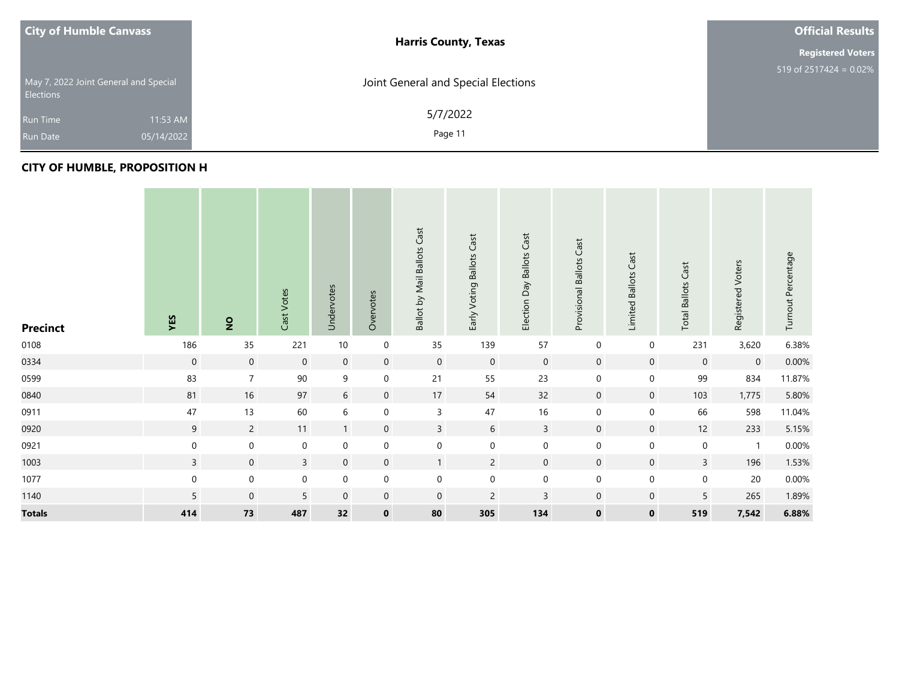| <b>City of Humble Canvass</b>                             | <b>Harris County, Texas</b>         | <b>Official Results</b>   |
|-----------------------------------------------------------|-------------------------------------|---------------------------|
|                                                           |                                     | <b>Registered Voters</b>  |
| May 7, 2022 Joint General and Special<br><b>Elections</b> | Joint General and Special Elections | 519 of $2517424 = 0.02\%$ |
| 11:53 AM<br><b>Run Time</b>                               | 5/7/2022                            |                           |
| 05/14/2022<br><b>Run Date</b>                             | Page 11                             |                           |

#### **CITY OF HUMBLE, PROPOSITION H**

| <b>Precinct</b> | YES            | $\overline{2}$      | Cast Votes   | Undervotes       | Overvotes           | <b>Ballot by Mail Ballots Cast</b> | Early Voting Ballots Cast | Day Ballots Cast<br>Election | Cast<br>Provisional Ballots | Cast<br>Limited Ballots | <b>Total Ballots Cast</b> | Registered Voters | Turnout Percentage |
|-----------------|----------------|---------------------|--------------|------------------|---------------------|------------------------------------|---------------------------|------------------------------|-----------------------------|-------------------------|---------------------------|-------------------|--------------------|
| 0108            | 186            | 35                  | 221          | $10\,$           | 0                   | 35                                 | 139                       | 57                           | $\mathbf 0$                 | $\mathbf 0$             | 231                       | 3,620             | 6.38%              |
| 0334            | $\mathbf 0$    | $\mathsf{O}\xspace$ | $\mathbf 0$  | $\boldsymbol{0}$ | $\mathbf 0$         | $\overline{0}$                     | $\mathbf 0$               | $\mathbf 0$                  | $\mathbf 0$                 | $\mathbf 0$             | $\mathbf 0$               | $\mathbf 0$       | $0.00\%$           |
| 0599            | 83             | $\overline{7}$      | $90\,$       | $\boldsymbol{9}$ | $\mathsf{O}\xspace$ | 21                                 | 55                        | 23                           | $\boldsymbol{0}$            | $\mathbf 0$             | 99                        | 834               | 11.87%             |
| 0840            | 81             | $16\,$              | $97\,$       | $\sqrt{6}$       | $\mathbf 0$         | $17\,$                             | 54                        | 32                           | $\mathbf 0$                 | $\mathbf 0$             | 103                       | 1,775             | 5.80%              |
| 0911            | 47             | 13                  | 60           | $\sqrt{6}$       | 0                   | 3                                  | 47                        | 16                           | $\boldsymbol{0}$            | $\mathbf 0$             | 66                        | 598               | 11.04%             |
| 0920            | 9              | $\overline{2}$      | 11           | $\mathbf{1}$     | $\mathbf 0$         | $\mathbf{3}$                       | 6                         | $\overline{3}$               | $\mathbf 0$                 | $\mathbf 0$             | $12$                      | 233               | 5.15%              |
| 0921            | $\mathbf 0$    | $\boldsymbol{0}$    | $\pmb{0}$    | $\mathbf 0$      | $\mathbf 0$         | $\boldsymbol{0}$                   | $\boldsymbol{0}$          | $\boldsymbol{0}$             | $\boldsymbol{0}$            | $\boldsymbol{0}$        | $\mathbf 0$               | $\mathbf{1}$      | $0.00\%$           |
| 1003            | $\overline{3}$ | $\boldsymbol{0}$    | $\mathbf{3}$ | $\boldsymbol{0}$ | $\mathbf 0$         | $\mathbf{1}$                       | $\overline{2}$            | $\boldsymbol{0}$             | $\mathbf 0$                 | $\boldsymbol{0}$        | $\overline{3}$            | 196               | 1.53%              |
| 1077            | $\mathbf 0$    | $\boldsymbol{0}$    | $\pmb{0}$    | $\pmb{0}$        | 0                   | $\boldsymbol{0}$                   | $\pmb{0}$                 | $\boldsymbol{0}$             | $\boldsymbol{0}$            | $\boldsymbol{0}$        | $\pmb{0}$                 | 20                | $0.00\%$           |
| 1140            | 5              | $\mathbf 0$         | 5            | $\mathbf 0$      | $\mathbf 0$         | $\mathbf 0$                        | $\overline{2}$            | 3                            | $\mathbf 0$                 | $\mathbf 0$             | 5                         | 265               | 1.89%              |
| <b>Totals</b>   | 414            | 73                  | 487          | 32               | $\mathbf 0$         | 80                                 | 305                       | 134                          | $\mathbf 0$                 | $\mathbf 0$             | 519                       | 7,542             | 6.88%              |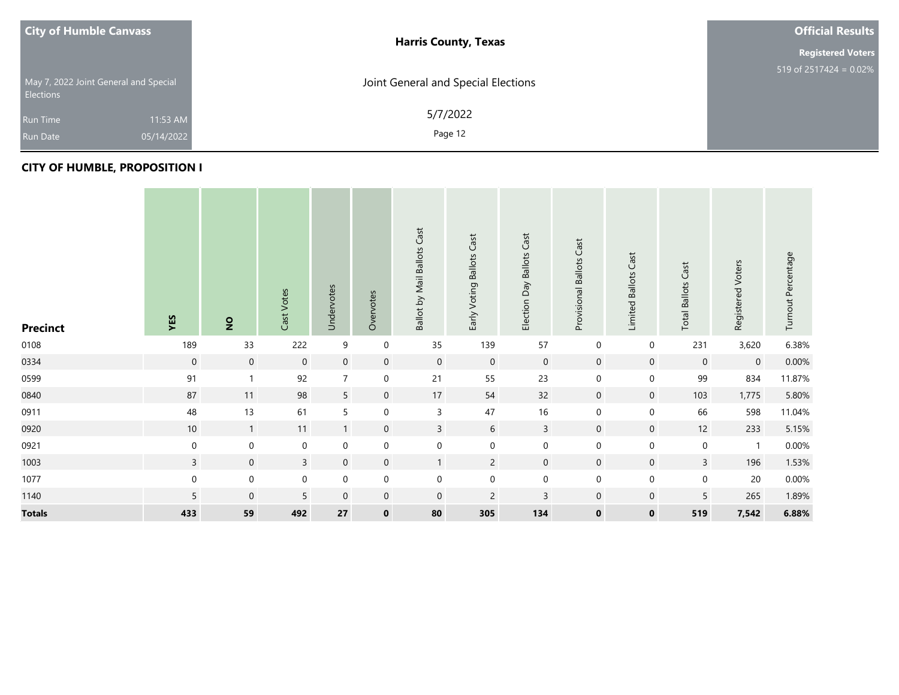| <b>City of Humble Canvass</b> |                                       | <b>Harris County, Texas</b>         | <b>Official Results</b>   |
|-------------------------------|---------------------------------------|-------------------------------------|---------------------------|
|                               |                                       |                                     | <b>Registered Voters</b>  |
| Elections                     | May 7, 2022 Joint General and Special | Joint General and Special Elections | 519 of $2517424 = 0.02\%$ |
| <b>Run Time</b>               | 11:53 AM                              | 5/7/2022                            |                           |
| <b>Run Date</b>               | 05/14/2022                            | Page 12                             |                           |

#### **CITY OF HUMBLE, PROPOSITION I**

| <b>Precinct</b> | YES              | $\overline{2}$   | Cast Votes       | Undervotes       | Overvotes        | Ballot by Mail Ballots Cast | Cast<br>Early Voting Ballots | Election Day Ballots Cast | Cast<br>Provisional Ballots | Cast<br>Limited Ballots | Cast<br><b>Total Ballots</b> | Registered Voters | Turnout Percentage |
|-----------------|------------------|------------------|------------------|------------------|------------------|-----------------------------|------------------------------|---------------------------|-----------------------------|-------------------------|------------------------------|-------------------|--------------------|
| 0108            | 189              | 33               | 222              | $\boldsymbol{9}$ | $\boldsymbol{0}$ | 35                          | 139                          | 57                        | $\boldsymbol{0}$            | $\mathbf 0$             | 231                          | 3,620             | 6.38%              |
| 0334            | $\boldsymbol{0}$ | $\mathbf 0$      | $\mathbf 0$      | $\mathbf 0$      | $\mathbf 0$      | $\overline{0}$              | $\mathbf 0$                  | $\mathbf 0$               | $\mathbf 0$                 | $\mathbf 0$             | $\mathbf 0$                  | $\mathbf 0$       | 0.00%              |
| 0599            | 91               | $\mathbf{1}$     | 92               | $\overline{7}$   | $\mathbf 0$      | $21$                        | 55                           | 23                        | $\mathbf 0$                 | $\pmb{0}$               | 99                           | 834               | 11.87%             |
| 0840            | 87               | 11               | 98               | $5\phantom{.0}$  | $\mathbf 0$      | 17                          | 54                           | 32                        | $\boldsymbol{0}$            | $\mathbf 0$             | 103                          | 1,775             | 5.80%              |
| 0911            | 48               | 13               | 61               | $\overline{5}$   | $\mathbf 0$      | 3                           | 47                           | 16                        | $\mathbf 0$                 | $\pmb{0}$               | 66                           | 598               | 11.04%             |
| 0920            | 10               | $\overline{1}$   | 11               | $\mathbf{1}$     | $\mathbf 0$      | $\mathsf{3}$                | 6                            | $\mathsf{3}$              | $\mathbf 0$                 | $\mathbf 0$             | 12                           | 233               | 5.15%              |
| 0921            | $\boldsymbol{0}$ | $\boldsymbol{0}$ | $\pmb{0}$        | $\mathbf 0$      | $\boldsymbol{0}$ | $\mathbf 0$                 | $\boldsymbol{0}$             | $\mathbf 0$               | $\boldsymbol{0}$            | $\pmb{0}$               | $\mathbf 0$                  | $\mathbf{1}$      | $0.00\%$           |
| 1003            | $\mathsf{3}$     | $\mathbf 0$      | 3                | $\mathbf 0$      | $\mathbf 0$      | $\mathbf{1}$                | $\overline{2}$               | $\mathbf 0$               | $\mathbf 0$                 | $\mathbf 0$             | $\mathbf{3}$                 | 196               | 1.53%              |
| 1077            | $\mathbf 0$      | $\boldsymbol{0}$ | $\boldsymbol{0}$ | $\mathbf 0$      | $\mathbf 0$      | $\mathbf 0$                 | $\mathbf 0$                  | $\mathbf 0$               | $\mathbf 0$                 | $\pmb{0}$               | $\mathbf 0$                  | 20                | $0.00\%$           |
| 1140            | $\overline{5}$   | $\boldsymbol{0}$ | 5                | $\boldsymbol{0}$ | $\overline{0}$   | $\overline{0}$              | $\overline{2}$               | $\mathsf 3$               | $\mathbf 0$                 | $\mathbf 0$             | 5                            | 265               | 1.89%              |
| <b>Totals</b>   | 433              | 59               | 492              | 27               | $\mathbf 0$      | 80                          | 305                          | 134                       | $\mathbf 0$                 | $\mathbf 0$             | 519                          | 7,542             | 6.88%              |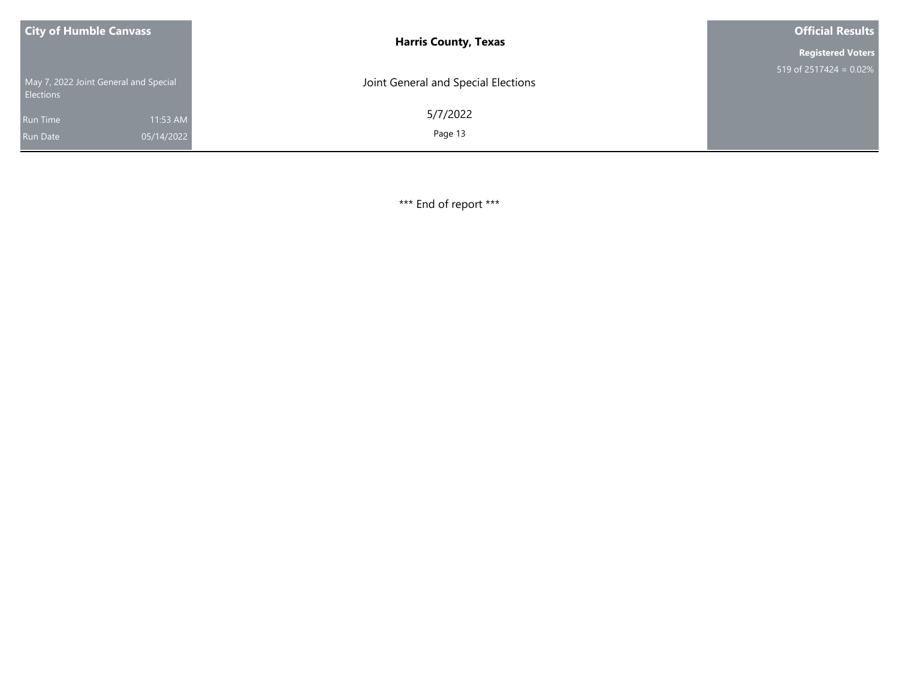| <b>City of Humble Canvass</b>                             |            | <b>Harris County, Texas</b>         | <b>Official Results</b>   |
|-----------------------------------------------------------|------------|-------------------------------------|---------------------------|
|                                                           |            |                                     | <b>Registered Voters</b>  |
| May 7, 2022 Joint General and Special<br><b>Elections</b> |            | Joint General and Special Elections | 519 of $2517424 = 0.02\%$ |
| <b>Run Time</b>                                           | 11:53 AM   | 5/7/2022                            |                           |
| <b>Run Date</b>                                           | 05/14/2022 | Page 13                             |                           |

\*\*\* End of report \*\*\*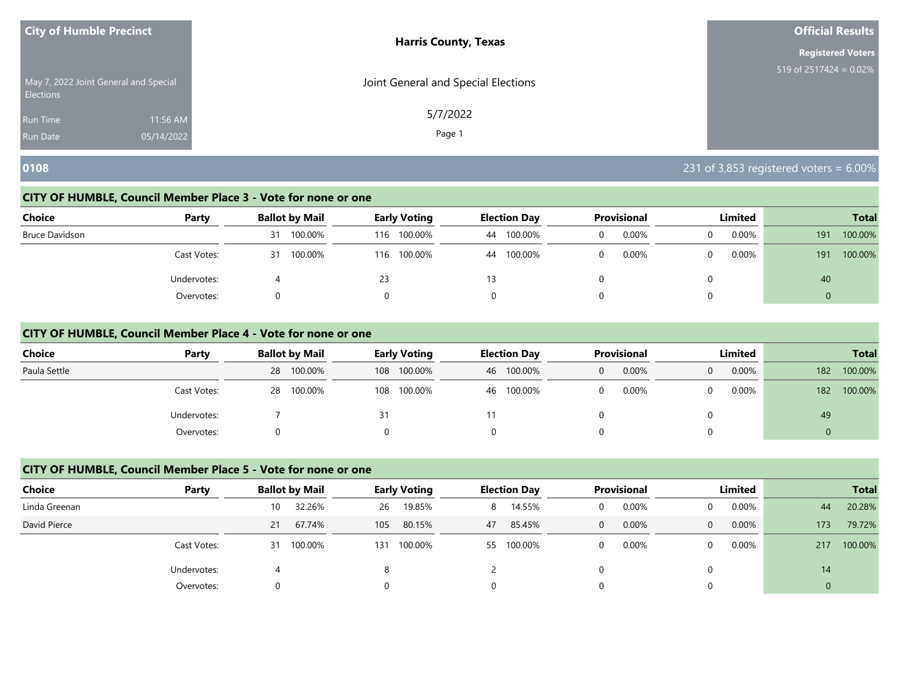| <b>City of Humble Precinct</b>                            |            | <b>Harris County, Texas</b>         | <b>Official Results</b>   |
|-----------------------------------------------------------|------------|-------------------------------------|---------------------------|
|                                                           |            |                                     | <b>Registered Voters</b>  |
| May 7, 2022 Joint General and Special<br><b>Elections</b> |            | Joint General and Special Elections | 519 of $2517424 = 0.02\%$ |
| <b>Run Time</b>                                           | 11:56 AM   | 5/7/2022                            |                           |
| <b>Run Date</b>                                           | 05/14/2022 | Page 1                              |                           |

# **0108** 231 of 3,853 registered voters = 6.00%

#### **CITY OF HUMBLE, Council Member Place 3 - Vote for none or one**

| Choice         | Party       | <b>Ballot by Mail</b> | <b>Early Voting</b> | <b>Election Day</b> | Provisional | Limited    | <b>Total</b>   |
|----------------|-------------|-----------------------|---------------------|---------------------|-------------|------------|----------------|
| Bruce Davidson |             | 100.00%<br>31         | 100.00%<br>116      | 100.00%<br>44       | 0.00%<br>0  | 0.00%<br>0 | 100.00%<br>191 |
|                | Cast Votes: | 100.00%<br>31         | 116 100.00%         | 100.00%<br>44       | 0.00%<br>0  | 0.00%<br>0 | 100.00%<br>191 |
|                | Undervotes: |                       | 23                  | 13                  |             | 0          | 40             |
|                | Overvotes:  |                       |                     |                     |             | 0          | $\overline{0}$ |

#### **CITY OF HUMBLE, Council Member Place 4 - Vote for none or one**

| <b>Choice</b> | Party       | <b>Ballot by Mail</b> | <b>Early Voting</b> | <b>Election Day</b> | Provisional | Limited    | <b>Total</b>   |
|---------------|-------------|-----------------------|---------------------|---------------------|-------------|------------|----------------|
| Paula Settle  |             | 28 100.00%            | 100.00%<br>108      | 46 100.00%          | 0.00%       | 0.00%<br>0 | 100.00%<br>182 |
|               | Cast Votes: | 28 100.00%            | 100.00%<br>108      | 100.00%<br>46       | 0.00%       | $0.00\%$   | 100.00%<br>182 |
|               | Undervotes: |                       |                     |                     |             |            | 49             |
|               | Overvotes:  | 0                     |                     |                     |             |            | $\overline{0}$ |

# **CITY OF HUMBLE, Council Member Place 5 - Vote for none or one**

| <b>Choice</b> | Party       |    | <b>Ballot by Mail</b> |          | <b>Early Voting</b> |    | <b>Election Day</b> |              | <b>Provisional</b> |          | Limited  |                | <b>Total</b> |
|---------------|-------------|----|-----------------------|----------|---------------------|----|---------------------|--------------|--------------------|----------|----------|----------------|--------------|
| Linda Greenan |             | 10 | 32.26%                | 26       | 19.85%              | 8. | 14.55%              | 0            | 0.00%              |          | $0.00\%$ | 44             | 20.28%       |
| David Pierce  |             | 21 | 67.74%                | 105      | 80.15%              | 47 | 85.45%              | $\mathbf{0}$ | 0.00%              | $\Omega$ | 0.00%    | 173            | 79.72%       |
|               | Cast Votes: | 31 | 100.00%               | 131      | 100.00%             |    | 55 100.00%          | 0            | 0.00%              |          | $0.00\%$ | 217            | 100.00%      |
|               | Undervotes: |    |                       | 8        |                     |    |                     |              |                    |          |          | 14             |              |
|               | Overvotes:  |    |                       | $\Omega$ |                     |    |                     |              |                    |          |          | $\overline{0}$ |              |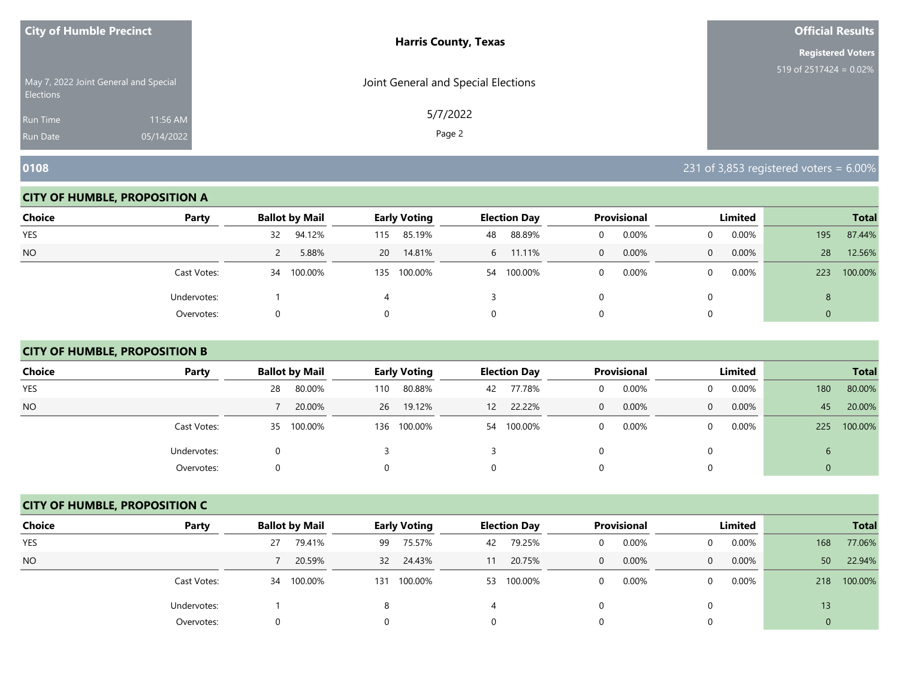| <b>City of Humble Precinct</b> |                                       | <b>Harris County, Texas</b>         | <b>Official Results</b>   |
|--------------------------------|---------------------------------------|-------------------------------------|---------------------------|
|                                |                                       |                                     | <b>Registered Voters</b>  |
| <b>Elections</b>               | May 7, 2022 Joint General and Special | Joint General and Special Elections | 519 of $2517424 = 0.02\%$ |
| Run Time                       | 11:56 AM                              | 5/7/2022                            |                           |
| <b>Run Date</b>                | 05/14/2022                            | Page 2                              |                           |

#### **CITY OF HUMBLE, PROPOSITION A**

| <b>Choice</b> | Party       | <b>Ballot by Mail</b> | <b>Early Voting</b> | <b>Election Day</b> | <b>Provisional</b> | Limited              | <b>Total</b>   |
|---------------|-------------|-----------------------|---------------------|---------------------|--------------------|----------------------|----------------|
| YES           |             | 94.12%<br>32          | 85.19%<br>115       | 88.89%<br>48        | 0.00%<br>0         | $0.00\%$<br>0        | 87.44%<br>195  |
| <b>NO</b>     |             | 5.88%<br>$\epsilon$   | 14.81%<br>20        | 11.11%<br>6         | 0.00%<br>$\Omega$  | $0.00\%$<br>$\Omega$ | 12.56%<br>28   |
|               | Cast Votes: | 100.00%<br>34         | 135 100.00%         | 100.00%<br>54       | 0.00%<br>0         | $0.00\%$<br>0        | 100.00%<br>223 |
|               | Undervotes: |                       |                     |                     |                    | 0                    | 8              |
|               | Overvotes:  |                       |                     | 0                   |                    | $\Omega$             | $\mathbf{0}$   |

# **CITY OF HUMBLE, PROPOSITION B**

| <b>Choice</b> | Party       | <b>Ballot by Mail</b> | <b>Early Voting</b> | <b>Election Day</b> | Provisional   | Limited              | <b>Total</b>   |
|---------------|-------------|-----------------------|---------------------|---------------------|---------------|----------------------|----------------|
| <b>YES</b>    |             | 80.00%<br>28          | 80.88%<br>110       | 77.78%<br>42        | 0.00%<br>0    | $0.00\%$<br>0        | 80.00%<br>180  |
| <b>NO</b>     |             | 20.00%                | 19.12%<br>26        | 22.22%<br>12        | $0.00\%$<br>0 | $0.00\%$<br>$\Omega$ | 20.00%<br>45   |
|               | Cast Votes: | 35 100.00%            | 100.00%<br>136      | 54 100.00%          | 0.00%<br>0    | $0.00\%$<br>0        | 100.00%<br>225 |
|               | Undervotes: | 0                     |                     |                     |               | 0                    | $\mathbf b$    |
|               | Overvotes:  |                       |                     |                     |               |                      | 0              |

#### **CITY OF HUMBLE, PROPOSITION C**

| <b>Choice</b> | Party       |    | <b>Ballot by Mail</b> |     | Early Voting |    | <b>Election Day</b> |              | <b>Provisional</b> |          | Limited  |                 | <b>Total</b> |
|---------------|-------------|----|-----------------------|-----|--------------|----|---------------------|--------------|--------------------|----------|----------|-----------------|--------------|
| <b>YES</b>    |             | 27 | 79.41%                | 99  | 75.57%       | 42 | 79.25%              | 0            | 0.00%              | $\Omega$ | 0.00%    | 168             | 77.06%       |
| <b>NO</b>     |             |    | 20.59%                | 32  | 24.43%       |    | 20.75%              | $\mathbf{0}$ | 0.00%              | $\Omega$ | 0.00%    | 50 <sup>°</sup> | 22.94%       |
|               | Cast Votes: |    | 34 100.00%            | 131 | 100.00%      |    | 53 100.00%          | 0            | 0.00%              | $\Omega$ | $0.00\%$ | 218             | 100.00%      |
|               | Undervotes: |    |                       |     |              |    |                     |              |                    | $\Omega$ |          | 13              |              |
|               | Overvotes:  | 0  |                       |     |              | 0  |                     |              |                    | 0        |          | 0               |              |

**0108** 231 of 3,853 registered voters = 6.00%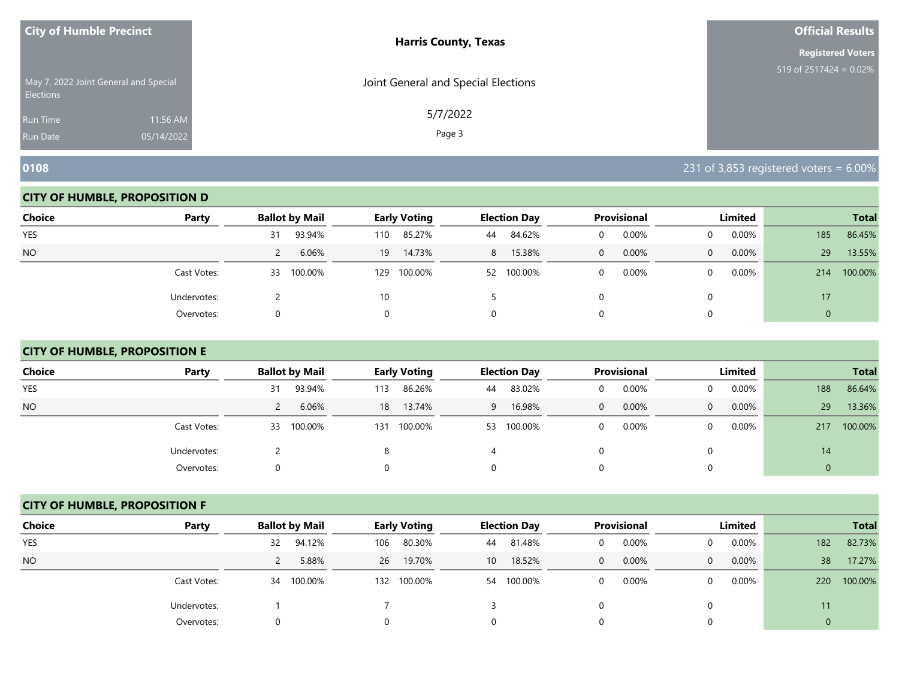| <b>City of Humble Precinct</b> |                                       | <b>Harris County, Texas</b>         | <b>Official Results</b>   |
|--------------------------------|---------------------------------------|-------------------------------------|---------------------------|
|                                |                                       |                                     | <b>Registered Voters</b>  |
| <b>Elections</b>               | May 7, 2022 Joint General and Special | Joint General and Special Elections | 519 of $2517424 = 0.02\%$ |
| Run Time                       | 11:56 AM                              | 5/7/2022                            |                           |
| <b>Run Date</b>                | 05/14/2022                            | Page 3                              |                           |

**0108** 231 of 3,853 registered voters = 6.00%

#### **CITY OF HUMBLE, PROPOSITION D**

| <b>Choice</b> | Party       | <b>Ballot by Mail</b>  | <b>Early Voting</b> | <b>Election Day</b> | Provisional           | Limited           | <b>Total</b>   |
|---------------|-------------|------------------------|---------------------|---------------------|-----------------------|-------------------|----------------|
| <b>YES</b>    |             | 93.94%<br>31           | 85.27%<br>110       | 84.62%<br>44        | 0.00%<br>0            | $0.00\%$          | 86.45%<br>185  |
| <b>NO</b>     |             | 6.06%<br>$\mathcal{L}$ | 14.73%<br>19        | 15.38%<br>8         | 0.00%<br>$\mathbf{0}$ | 0.00%<br>$\Omega$ | 13.55%<br>29   |
|               | Cast Votes: | 100.00%<br>33          | 100.00%<br>129      | 100.00%<br>52       | 0.00%<br>0            | $0.00\%$          | 100.00%<br>214 |
|               | Undervotes: |                        | 10                  |                     |                       |                   | 17             |
|               | Overvotes:  | 0                      |                     | 0                   |                       |                   | 0              |

# **CITY OF HUMBLE, PROPOSITION E**

| <b>Choice</b> | Party       | <b>Ballot by Mail</b> |             | <b>Early Voting</b> |    | <b>Election Day</b> |              | <b>Provisional</b> |          | Limited  |     | <b>Total</b> |
|---------------|-------------|-----------------------|-------------|---------------------|----|---------------------|--------------|--------------------|----------|----------|-----|--------------|
| <b>YES</b>    |             | 93.94%<br>31          | 113         | 86.26%              | 44 | 83.02%              | 0            | 0.00%              | 0        | $0.00\%$ | 188 | 86.64%       |
| <b>NO</b>     |             |                       | 6.06%<br>18 | 13.74%              | 9  | 16.98%              | $\mathbf{0}$ | 0.00%              | $\Omega$ | $0.00\%$ | 29  | 13.36%       |
|               | Cast Votes: | 100.00%<br>33         | 131         | 100.00%             | 53 | 100.00%             | $\Omega$     | 0.00%              | 0        | $0.00\%$ | 217 | 100.00%      |
|               | Undervotes: |                       | 8           |                     |    |                     | 0            |                    |          |          | 14  |              |
|               | Overvotes:  | 0                     | 0           |                     |    |                     | 0            |                    |          |          |     |              |

#### **CITY OF HUMBLE, PROPOSITION F**

| <b>Choice</b> | Party       | <b>Ballot by Mail</b> |     | <b>Early Voting</b> |                 | <b>Election Day</b> |          | <b>Provisional</b> |          | Limited  |     | <b>Total</b> |
|---------------|-------------|-----------------------|-----|---------------------|-----------------|---------------------|----------|--------------------|----------|----------|-----|--------------|
| <b>YES</b>    |             | 94.12%<br>32          | 106 | 80.30%              |                 | 44 81.48%           | $\Omega$ | 0.00%              |          | $0.00\%$ | 182 | 82.73%       |
| <b>NO</b>     |             | 5.88%                 | 26  | 19.70%              | 10 <sup>°</sup> | 18.52%              | 0        | 0.00%              | $\Omega$ | $0.00\%$ | 38  | 17.27%       |
|               | Cast Votes: | 34 100.00%            | 132 | 100.00%             |                 | 54 100.00%          | 0        | 0.00%              |          | $0.00\%$ | 220 | 100.00%      |
|               | Undervotes: |                       |     |                     |                 |                     |          |                    |          |          | 11  |              |
|               | Overvotes:  | 0                     |     |                     |                 |                     |          |                    |          |          |     |              |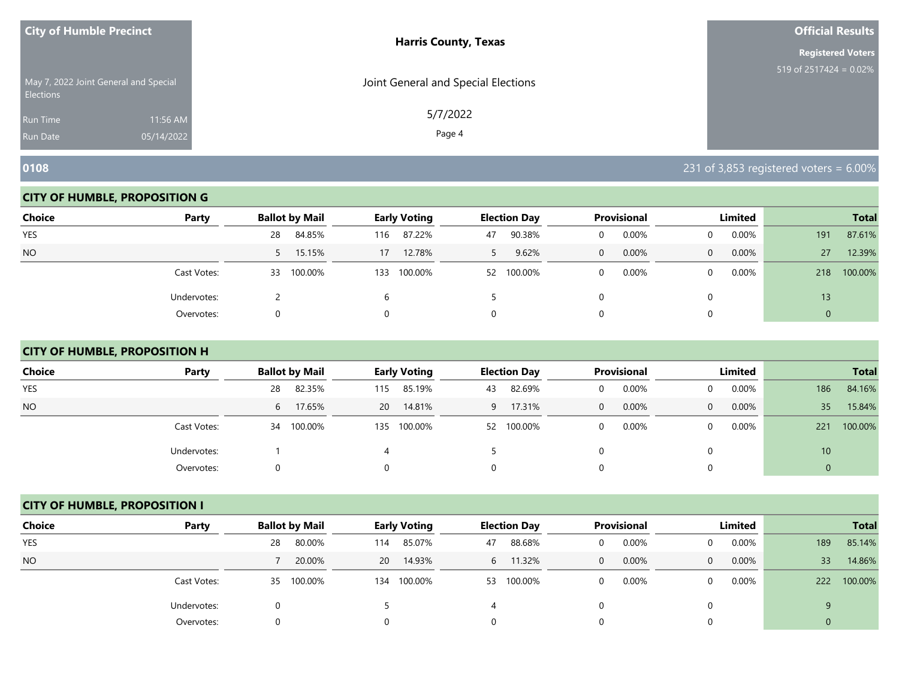| <b>City of Humble Precinct</b>                            |            | <b>Harris County, Texas</b>         | <b>Official Results</b>   |
|-----------------------------------------------------------|------------|-------------------------------------|---------------------------|
|                                                           |            |                                     | <b>Registered Voters</b>  |
| May 7, 2022 Joint General and Special<br><b>Elections</b> |            | Joint General and Special Elections | 519 of $2517424 = 0.02\%$ |
| <b>Run Time</b>                                           | 11:56 AM   | 5/7/2022                            |                           |
| <b>Run Date</b>                                           | 05/14/2022 | Page 4                              |                           |

#### **CITY OF HUMBLE, PROPOSITION G**

| <b>Choice</b> | Party       | <b>Ballot by Mail</b> | <b>Early Voting</b> | <b>Election Day</b> | Provisional | Limited           | <b>Total</b>   |
|---------------|-------------|-----------------------|---------------------|---------------------|-------------|-------------------|----------------|
| <b>YES</b>    |             | 84.85%<br>28          | 87.22%<br>116       | 90.38%<br>47        | 0.00%<br>0  | $0.00\%$          | 87.61%<br>191  |
| <b>NO</b>     |             | 15.15%<br>$5 -$       | 12.78%<br>17        | 9.62%               | 0.00%<br>0  | 0.00%<br>$\Omega$ | 12.39%<br>27   |
|               | Cast Votes: | 100.00%<br>33         | 100.00%<br>133      | 100.00%<br>52       | 0.00%<br>0  | 0.00%             | 100.00%<br>218 |
|               | Undervotes: |                       |                     |                     |             |                   | 13             |
|               | Overvotes:  | O                     |                     | 0                   |             |                   | 0              |

# **CITY OF HUMBLE, PROPOSITION H**

| <b>Choice</b> | Party       | <b>Ballot by Mail</b> | <b>Early Voting</b> | <b>Election Day</b> | Provisional   | Limited              |             | <b>Total</b> |
|---------------|-------------|-----------------------|---------------------|---------------------|---------------|----------------------|-------------|--------------|
| <b>YES</b>    |             | 82.35%<br>28          | 85.19%<br>115       | 82.69%<br>43        | 0.00%<br>0    | $0.00\%$<br>0        | 186         | 84.16%       |
| <b>NO</b>     |             | 17.65%<br>6           | 14.81%<br>20        | 17.31%<br>9         | $0.00\%$<br>0 | $0.00\%$<br>$\Omega$ | 35          | 15.84%       |
|               | Cast Votes: | 34 100.00%            | 100.00%<br>135      | 52 100.00%          | 0.00%<br>0    | $0.00\%$<br>0        | 221         | 100.00%      |
|               | Undervotes: |                       | 4                   |                     |               | 0                    | 10          |              |
|               | Overvotes:  |                       |                     |                     |               |                      | $\mathbf 0$ |              |

#### **CITY OF HUMBLE, PROPOSITION I**

| <b>Choice</b> | Party       | <b>Ballot by Mail</b> |           | Early Voting |    | <b>Election Day</b> |              | <b>Provisional</b> |          | Limited  |     | <b>Total</b> |
|---------------|-------------|-----------------------|-----------|--------------|----|---------------------|--------------|--------------------|----------|----------|-----|--------------|
| <b>YES</b>    |             | 80.00%<br>28          | 114       | 85.07%       | 47 | 88.68%              | 0            | 0.00%              | $\Omega$ | 0.00%    | 189 | 85.14%       |
| <b>NO</b>     |             | 20.00%                | <b>20</b> | 14.93%       | 6  | 11.32%              | $\mathbf{0}$ | 0.00%              | $\Omega$ | 0.00%    | 33  | 14.86%       |
|               | Cast Votes: | 35 100.00%            | 134       | 100.00%      |    | 53 100.00%          | 0            | 0.00%              | $\Omega$ | $0.00\%$ | 222 | 100.00%      |
|               | Undervotes: | 0                     |           |              |    |                     |              |                    | $\Omega$ |          | 9   |              |
|               | Overvotes:  | 0                     |           |              | 0  |                     |              |                    | 0        |          |     |              |

**0108** 231 of 3,853 registered voters = 6.00%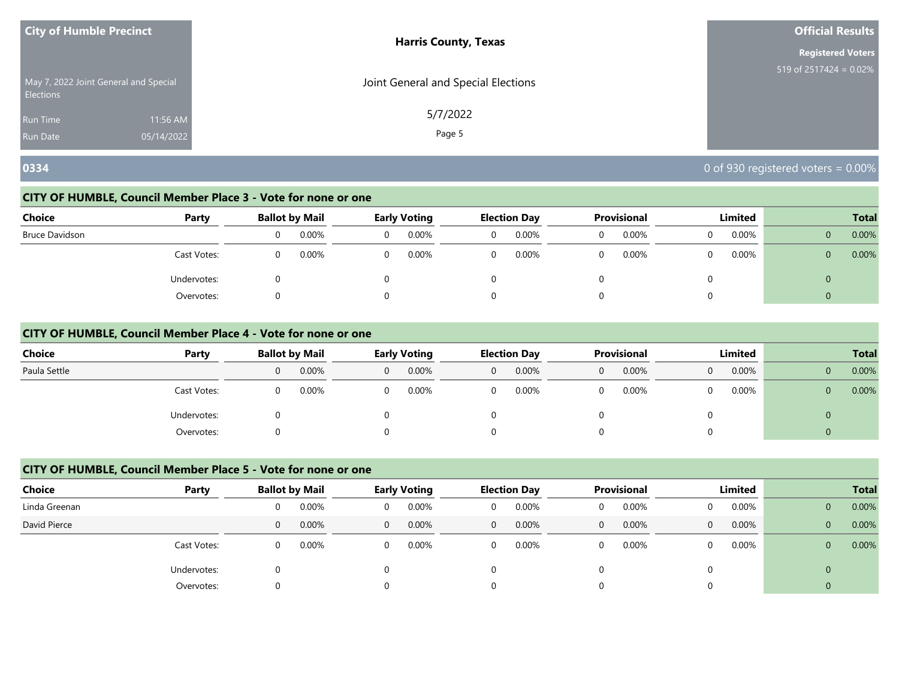| <b>City of Humble Precinct</b>                            |            | <b>Harris County, Texas</b>         | <b>Official Results</b>   |
|-----------------------------------------------------------|------------|-------------------------------------|---------------------------|
|                                                           |            |                                     | <b>Registered Voters</b>  |
| May 7, 2022 Joint General and Special<br><b>Elections</b> |            | Joint General and Special Elections | 519 of $2517424 = 0.02\%$ |
| <b>Run Time</b>                                           | 11:56 AM   | 5/7/2022                            |                           |
| <b>Run Date</b>                                           | 05/14/2022 | Page 5                              |                           |

# **0334** 0 of 930 registered voters = 0.00%

#### **CITY OF HUMBLE, Council Member Place 3 - Vote for none or one**

| <b>Choice</b>  | Party       |   | <b>Ballot by Mail</b> | <b>Early Voting</b> |   | <b>Election Day</b> |   | Provisional |          | Limited |                | <b>Total</b> |
|----------------|-------------|---|-----------------------|---------------------|---|---------------------|---|-------------|----------|---------|----------------|--------------|
| Bruce Davidson |             | 0 | 0.00%                 | 0.00%               | 0 | 0.00%               | 0 | 0.00%       | 0        | 0.00%   | $\overline{0}$ | 0.00%        |
|                | Cast Votes: | 0 | 0.00%                 | 0.00%               | 0 | 0.00%               | 0 | 0.00%       | $\Omega$ | 0.00%   | $\overline{0}$ | 0.00%        |
|                | Undervotes: | O |                       |                     |   |                     |   |             | 0        |         | $\mathbf{0}$   |              |
|                | Overvotes:  | 0 |                       |                     |   |                     |   |             | 0        |         | $\mathbf{0}$   |              |

#### **CITY OF HUMBLE, Council Member Place 4 - Vote for none or one**

| <b>Choice</b> | Party       |   | <b>Ballot by Mail</b> |   | <b>Early Voting</b> |          | <b>Election Day</b> |   | Provisional | Limited  |   | <b>Total</b> |
|---------------|-------------|---|-----------------------|---|---------------------|----------|---------------------|---|-------------|----------|---|--------------|
| Paula Settle  |             | 0 | 0.00%                 | 0 | 0.00%               | $\Omega$ | 0.00%               | U | 0.00%       | 0.00%    | 0 | 0.00%        |
|               | Cast Votes: | 0 | 0.00%                 |   | 0.00%               |          | 0.00%               |   | 0.00%       | $0.00\%$ | 0 | 0.00%        |
|               | Undervotes: |   |                       |   |                     |          |                     |   |             |          | 0 |              |
|               | Overvotes:  |   |                       |   |                     |          |                     |   |             |          |   |              |

# **CITY OF HUMBLE, Council Member Place 5 - Vote for none or one**

| <b>Choice</b> | Party       |   | <b>Ballot by Mail</b> |          | Early Voting |              | <b>Election Day</b> |   | Provisional |                | Limited |                | <b>Total</b> |
|---------------|-------------|---|-----------------------|----------|--------------|--------------|---------------------|---|-------------|----------------|---------|----------------|--------------|
| Linda Greenan |             | 0 | 0.00%                 | 0        | 0.00%        | 0            | 0.00%               | 0 | 0.00%       | $\Omega$       | 0.00%   | $\mathbf 0$    | 0.00%        |
| David Pierce  |             | 0 | 0.00%                 | $\Omega$ | 0.00%        | $\mathbf{0}$ | 0.00%               | 0 | 0.00%       | 0              | 0.00%   | $\mathbf{0}$   | 0.00%        |
|               | Cast Votes: | 0 | 0.00%                 | 0        | 0.00%        | 0            | 0.00%               | 0 | 0.00%       | $\Omega$       | 0.00%   | $\overline{0}$ | 0.00%        |
|               | Undervotes: | 0 |                       |          |              |              |                     |   |             |                |         | $\overline{0}$ |              |
|               | Overvotes:  | 0 |                       |          |              | 0            |                     | 0 |             | $\overline{0}$ |         | 0              |              |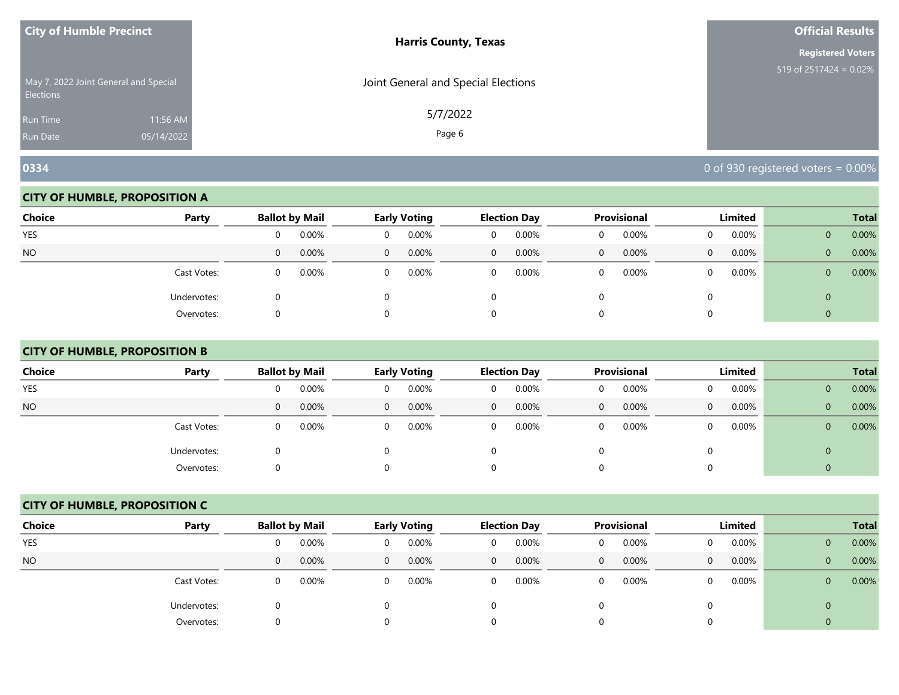| <b>City of Humble Precinct</b>                     |            | <b>Harris County, Texas</b>         | Official Results          |
|----------------------------------------------------|------------|-------------------------------------|---------------------------|
|                                                    |            |                                     | <b>Registered Voters</b>  |
| May 7, 2022 Joint General and Special<br>Elections |            | Joint General and Special Elections | 519 of $2517424 = 0.02\%$ |
| <b>Run Time</b>                                    | 11:56 AM   | 5/7/2022                            |                           |
| <b>Run Date</b>                                    | 05/14/2022 | Page 6                              |                           |

#### **CITY OF HUMBLE, PROPOSITION A**

| <b>Choice</b> | Party       |   | <b>Ballot by Mail</b> |          | <b>Early Voting</b> |                | <b>Election Day</b> |              | Provisional |          | Limited  |                | <b>Total</b> |
|---------------|-------------|---|-----------------------|----------|---------------------|----------------|---------------------|--------------|-------------|----------|----------|----------------|--------------|
| YES           |             | 0 | 0.00%                 |          | 0.00%               | 0              | 0.00%               |              | 0.00%       |          | 0.00%    | $\mathbf{0}$   | 0.00%        |
| <b>NO</b>     |             | 0 | 0.00%                 | $\Omega$ | 0.00%               | $\overline{0}$ | 0.00%               | $\mathbf{0}$ | $0.00\%$    | $\Omega$ | 0.00%    | $\mathbf{0}$   | 0.00%        |
|               | Cast Votes: | 0 | 0.00%                 | 0        | 0.00%               | 0              | 0.00%               |              | 0.00%       | $\Omega$ | $0.00\%$ | $\overline{0}$ | 0.00%        |
|               | Undervotes: |   |                       |          |                     |                |                     |              |             |          |          | 0              |              |
|               | Overvotes:  |   |                       |          |                     |                |                     |              |             |          |          |                |              |

# **CITY OF HUMBLE, PROPOSITION B**

| <b>Choice</b> | Party       | <b>Ballot by Mail</b> |       |                | Early Voting |              | <b>Election Day</b> |   | Provisional |   | Limited  |                | <b>Total</b> |
|---------------|-------------|-----------------------|-------|----------------|--------------|--------------|---------------------|---|-------------|---|----------|----------------|--------------|
| <b>YES</b>    |             | 0                     | 0.00% | 0              | 0.00%        | 0            | 0.00%               | 0 | 0.00%       |   | 0.00%    | $\overline{0}$ | 0.00%        |
| <b>NO</b>     |             | $\mathbf{0}$          | 0.00% | $\overline{0}$ | 0.00%        | $\mathbf{0}$ | 0.00%               | 0 | 0.00%       | 0 | $0.00\%$ | $\overline{0}$ | 0.00%        |
|               | Cast Votes: | 0                     | 0.00% | $\Omega$       | 0.00%        | $\Omega$     | 0.00%               | U | 0.00%       |   | $0.00\%$ | $\overline{0}$ | 0.00%        |
|               | Undervotes: | U                     |       | 0              |              |              |                     |   |             | 0 |          | $\overline{0}$ |              |
|               | Overvotes:  | 0                     |       |                |              |              |                     |   |             |   |          | $\overline{0}$ |              |

#### **CITY OF HUMBLE, PROPOSITION C**

| <b>Choice</b> | Party       |   | <b>Ballot by Mail</b> |          | Early Voting |                | <b>Election Day</b> |              | <b>Provisional</b> |          | Limited |                | <b>Total</b> |
|---------------|-------------|---|-----------------------|----------|--------------|----------------|---------------------|--------------|--------------------|----------|---------|----------------|--------------|
| <b>YES</b>    |             | 0 | 0.00%                 | 0        | 0.00%        | 0              | 0.00%               | 0            | 0.00%              | $\Omega$ | 0.00%   | $\overline{0}$ | 0.00%        |
| <b>NO</b>     |             | 0 | 0.00%                 | $\Omega$ | 0.00%        | $\overline{0}$ | 0.00%               | $\mathbf{0}$ | 0.00%              | $\Omega$ | 0.00%   | $\mathbf{0}$   | 0.00%        |
|               | Cast Votes: | 0 | 0.00%                 | $\Omega$ | 0.00%        | 0              | 0.00%               | 0            | 0.00%              | $\Omega$ | 0.00%   | $\mathbf{0}$   | 0.00%        |
|               | Undervotes: | 0 |                       |          |              |                |                     |              |                    | 0        |         | 0              |              |
|               | Overvotes:  | 0 |                       |          |              | 0              |                     |              |                    | 0        |         |                |              |

**0334 0334 034 0** of 930 registered voters = 0.00%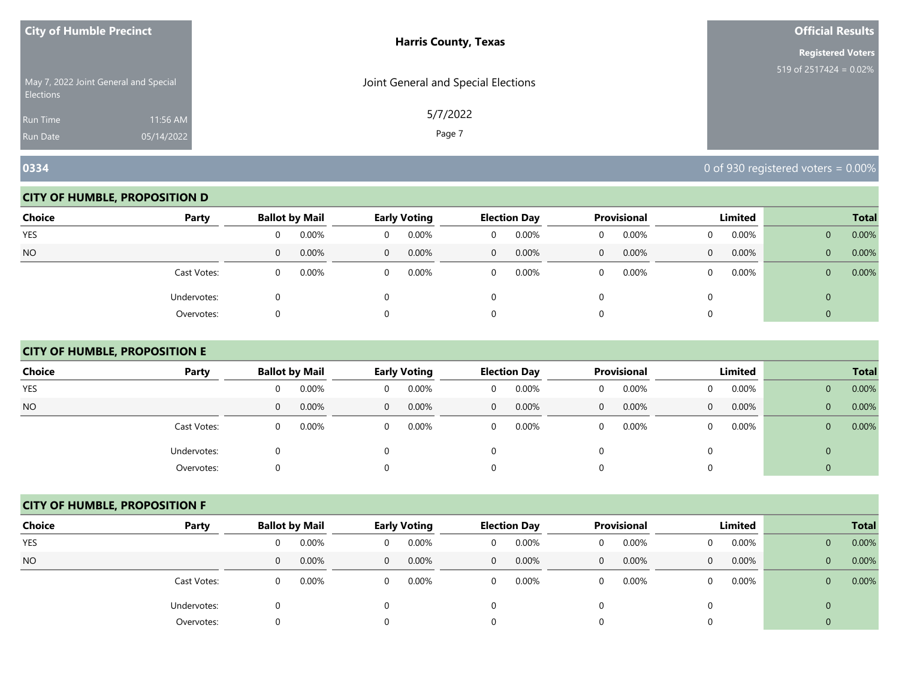| <b>City of Humble Precinct</b> |                                       | <b>Harris County, Texas</b>         | <b>Official Results</b>              |
|--------------------------------|---------------------------------------|-------------------------------------|--------------------------------------|
|                                |                                       |                                     | <b>Registered Voters</b>             |
| <b>Elections</b>               | May 7, 2022 Joint General and Special | Joint General and Special Elections | 519 of $2517\overline{424} = 0.02\%$ |
| Run Time                       | 11:56 AM                              | 5/7/2022                            |                                      |
| <b>Run Date</b>                | 05/14/2022                            | Page 7                              |                                      |

#### **CITY OF HUMBLE, PROPOSITION D**

| <b>Choice</b> | Party       |   | <b>Ballot by Mail</b> |          | <b>Early Voting</b> |                | <b>Election Day</b> |              | Provisional |          | Limited  |                | <b>Total</b> |
|---------------|-------------|---|-----------------------|----------|---------------------|----------------|---------------------|--------------|-------------|----------|----------|----------------|--------------|
| YES           |             | 0 | 0.00%                 |          | 0.00%               | 0              | 0.00%               |              | 0.00%       |          | 0.00%    | $\mathbf{0}$   | 0.00%        |
| <b>NO</b>     |             | 0 | 0.00%                 | $\Omega$ | 0.00%               | $\overline{0}$ | 0.00%               | $\mathbf{0}$ | $0.00\%$    | $\Omega$ | 0.00%    | $\mathbf{0}$   | 0.00%        |
|               | Cast Votes: | 0 | 0.00%                 | 0        | 0.00%               | 0              | 0.00%               |              | 0.00%       | $\Omega$ | $0.00\%$ | $\overline{0}$ | 0.00%        |
|               | Undervotes: |   |                       |          |                     |                |                     |              |             |          |          | 0              |              |
|               | Overvotes:  |   |                       |          |                     |                |                     |              |             |          |          |                |              |

# **CITY OF HUMBLE, PROPOSITION E**

| <b>Choice</b> | Party       |   | <b>Ballot by Mail</b> |                | <b>Early Voting</b> |              | <b>Election Day</b> |              | <b>Provisional</b> |              | Limited  |              | <b>Total</b> |
|---------------|-------------|---|-----------------------|----------------|---------------------|--------------|---------------------|--------------|--------------------|--------------|----------|--------------|--------------|
| <b>YES</b>    |             | 0 | 0.00%                 | 0              | 0.00%               | 0            | 0.00%               | 0            | 0.00%              | 0            | $0.00\%$ | $\mathbf{0}$ | 0.00%        |
| <b>NO</b>     |             | 0 | 0.00%                 | $\overline{0}$ | 0.00%               | $\mathbf{0}$ | 0.00%               | $\mathbf{0}$ | 0.00%              | $\mathbf{0}$ | $0.00\%$ | $\mathbf{0}$ | 0.00%        |
|               | Cast Votes: | 0 | 0.00%                 | $\Omega$       | 0.00%               | $\Omega$     | 0.00%               | 0            | 0.00%              | 0            | $0.00\%$ | $\mathbf{0}$ | 0.00%        |
|               | Undervotes: |   |                       | $\Omega$       |                     |              |                     | 0            |                    | $\Omega$     |          | 0            |              |
|               | Overvotes:  |   |                       |                |                     |              |                     | 0            |                    | $\Omega$     |          |              |              |

#### **CITY OF HUMBLE, PROPOSITION F**

| <b>Choice</b> | Party       |              | <b>Ballot by Mail</b> |                | <b>Early Voting</b> |              | <b>Election Day</b> |              | <b>Provisional</b> |   | Limited  |                | <b>Total</b> |
|---------------|-------------|--------------|-----------------------|----------------|---------------------|--------------|---------------------|--------------|--------------------|---|----------|----------------|--------------|
| <b>YES</b>    |             | 0            | 0.00%                 | 0              | 0.00%               | $\Omega$     | 0.00%               | 0            | 0.00%              | 0 | 0.00%    | $\mathbf{0}$   | 0.00%        |
| <b>NO</b>     |             | $\mathbf{0}$ | 0.00%                 | $\overline{0}$ | 0.00%               | $\mathbf{0}$ | 0.00%               | $\mathbf{0}$ | 0.00%              | 0 | 0.00%    | $\overline{0}$ | 0.00%        |
|               | Cast Votes: | $\mathbf{0}$ | 0.00%                 | $\Omega$       | 0.00%               | 0            | 0.00%               | 0            | 0.00%              | 0 | $0.00\%$ | $\overline{0}$ | 0.00%        |
|               | Undervotes: | 0            |                       | 0              |                     |              |                     |              |                    |   |          | $\mathbf{0}$   |              |
|               | Overvotes:  | 0            |                       | $\Omega$       |                     |              |                     |              |                    |   |          |                |              |

**0334 0334 034 0** of 930 registered voters = 0.00%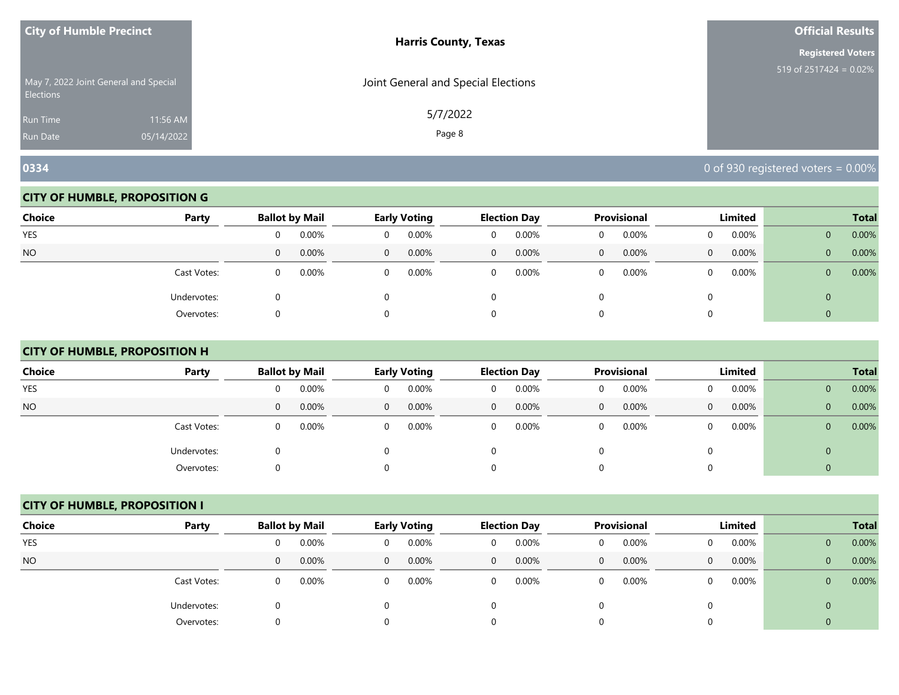| <b>City of Humble Precinct</b>                            |            | <b>Harris County, Texas</b>         | Official Results          |
|-----------------------------------------------------------|------------|-------------------------------------|---------------------------|
|                                                           |            |                                     | <b>Registered Voters</b>  |
| May 7, 2022 Joint General and Special<br><b>Elections</b> |            | Joint General and Special Elections | 519 of $2517424 = 0.02\%$ |
| <b>Run Time</b>                                           | 11:56 AM   | 5/7/2022                            |                           |
| <b>Run Date</b>                                           | 05/14/2022 | Page 8                              |                           |

#### **CITY OF HUMBLE, PROPOSITION G**

| <b>Choice</b> | Party       |          | <b>Ballot by Mail</b> |          | <b>Early Voting</b> |              | <b>Election Day</b> |              | <b>Provisional</b> |              | Limited  |                | <b>Total</b> |
|---------------|-------------|----------|-----------------------|----------|---------------------|--------------|---------------------|--------------|--------------------|--------------|----------|----------------|--------------|
| <b>YES</b>    |             |          | 0.00%                 |          | 0.00%               | 0            | 0.00%               |              | 0.00%              |              | $0.00\%$ | $\mathbf{0}$   | 0.00%        |
| <b>NO</b>     |             | 0        | 0.00%                 | $\Omega$ | 0.00%               | $\mathbf{0}$ | 0.00%               | $\mathbf{0}$ | 0.00%              | $\mathbf{0}$ | 0.00%    | $\overline{0}$ | 0.00%        |
|               | Cast Votes: | $\Omega$ | 0.00%                 |          | 0.00%               | 0            | 0.00%               |              | 0.00%              | 0            | $0.00\%$ | $\overline{0}$ | 0.00%        |
|               | Undervotes: |          |                       |          |                     |              |                     |              |                    |              |          | 0              |              |
|               | Overvotes:  |          |                       |          |                     |              |                     |              |                    |              |          |                |              |

# **CITY OF HUMBLE, PROPOSITION H**

| <b>Choice</b> | Party       |              | <b>Ballot by Mail</b> |                | <b>Early Voting</b> |          | <b>Election Day</b> |              | Provisional |   | Limited  |              | <b>Total</b> |
|---------------|-------------|--------------|-----------------------|----------------|---------------------|----------|---------------------|--------------|-------------|---|----------|--------------|--------------|
| <b>YES</b>    |             | 0            | 0.00%                 | $\Omega$       | 0.00%               | 0        | 0.00%               | 0            | 0.00%       | 0 | $0.00\%$ | $\mathbf{0}$ | 0.00%        |
| <b>NO</b>     |             | $\mathbf{0}$ | 0.00%                 | $\overline{0}$ | 0.00%               | 0        | 0.00%               | $\mathbf{0}$ | 0.00%       | 0 | $0.00\%$ | $\mathbf{0}$ | 0.00%        |
|               | Cast Votes: | 0            | 0.00%                 | $\Omega$       | 0.00%               | $\Omega$ | 0.00%               | 0            | 0.00%       | 0 | 0.00%    | 0            | 0.00%        |
|               | Undervotes: | 0            |                       | $\Omega$       |                     |          |                     | 0            |             |   |          | 0            |              |
|               | Overvotes:  | $\Omega$     |                       | 0              |                     |          |                     | 0            |             |   |          |              |              |

# **CITY OF HUMBLE, PROPOSITION I**

| <b>Choice</b> | Party       |              | <b>Ballot by Mail</b> |                | Early Voting |              | <b>Election Day</b> |              | Provisional |          | Limited |                | <b>Total</b> |
|---------------|-------------|--------------|-----------------------|----------------|--------------|--------------|---------------------|--------------|-------------|----------|---------|----------------|--------------|
| <b>YES</b>    |             | 0            | 0.00%                 |                | 0.00%        | 0            | 0.00%               | 0            | 0.00%       | $\Omega$ | 0.00%   | $\overline{0}$ | 0.00%        |
| <b>NO</b>     |             | $\mathbf{0}$ | 0.00%                 | $\overline{0}$ | 0.00%        | $\mathbf{0}$ | 0.00%               | $\mathbf{0}$ | 0.00%       | $\Omega$ | 0.00%   | $\overline{0}$ | 0.00%        |
|               | Cast Votes: | 0            | 0.00%                 | 0              | 0.00%        | 0            | 0.00%               | 0            | 0.00%       | $\Omega$ | 0.00%   | $\overline{0}$ | 0.00%        |
|               | Undervotes: | 0            |                       |                |              |              |                     |              |             |          |         | 0              |              |
|               | Overvotes:  | 0            |                       |                |              | 0            |                     |              |             |          |         |                |              |

**0334 0334 034 0** of 930 registered voters = 0.00%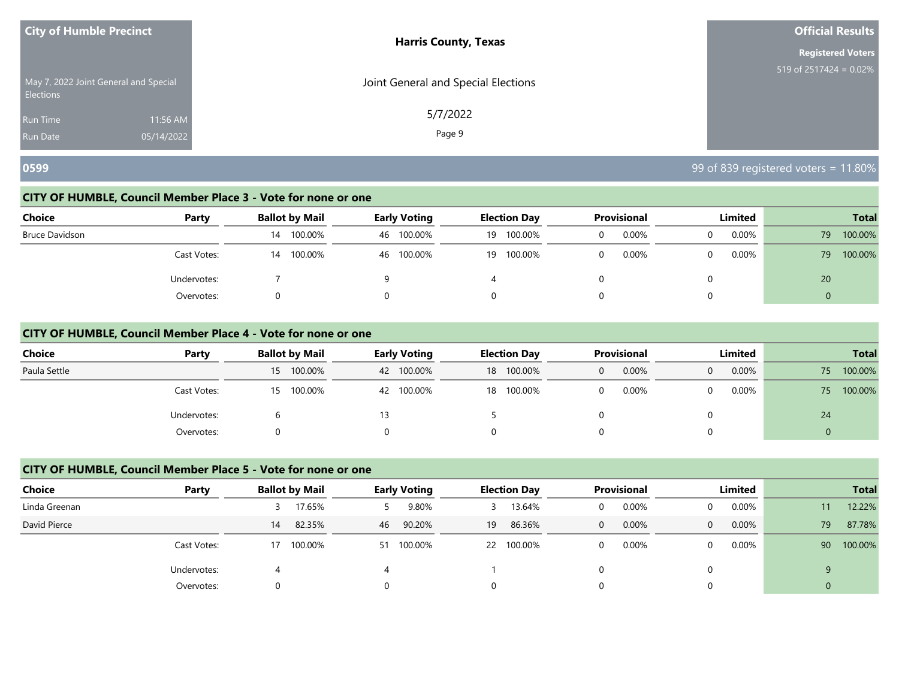| <b>City of Humble Precinct</b>                            |            | <b>Harris County, Texas</b>         | <b>Official Results</b>   |
|-----------------------------------------------------------|------------|-------------------------------------|---------------------------|
|                                                           |            |                                     | <b>Registered Voters</b>  |
| May 7, 2022 Joint General and Special<br><b>Elections</b> |            | Joint General and Special Elections | 519 of $2517424 = 0.02\%$ |
| <b>Run Time</b>                                           | 11:56 AM   | 5/7/2022                            |                           |
| <b>Run Date</b>                                           | 05/14/2022 | Page 9                              |                           |

# **0599** 99 of 839 registered voters = 11.80%

# **CITY OF HUMBLE, Council Member Place 3 - Vote for none or one**

| Choice         | Party       | <b>Ballot by Mail</b> | <b>Early Voting</b> | <b>Election Day</b> | <b>Provisional</b> | Limited    | <b>Total</b>   |
|----------------|-------------|-----------------------|---------------------|---------------------|--------------------|------------|----------------|
| Bruce Davidson |             | 100.00%<br>14         | 100.00%<br>46       | 100.00%<br>19       | 0.00%<br>0         | 0.00%<br>0 | 100.00%<br>79  |
|                | Cast Votes: | 100.00%<br>14         | 46 100.00%          | 100.00%<br>19       | 0.00%<br>0         | 0.00%<br>0 | 100.00%<br>79  |
|                | Undervotes: |                       |                     |                     |                    | 0          | 20             |
|                | Overvotes:  |                       |                     |                     |                    | 0          | $\overline{0}$ |

#### **CITY OF HUMBLE, Council Member Place 4 - Vote for none or one**

| <b>Choice</b> | Party       | <b>Ballot by Mail</b> | <b>Early Voting</b> | <b>Election Day</b> | <b>Provisional</b> | Limited  | <b>Total</b>  |
|---------------|-------------|-----------------------|---------------------|---------------------|--------------------|----------|---------------|
| Paula Settle  |             | 15 100.00%            | 100.00%<br>42       | 100.00%<br>18       | 0.00%<br>0         | 0.00%    | 100.00%<br>75 |
|               | Cast Votes: | 15 100.00%            | 100.00%<br>42       | 100.00%<br>18       | $0.00\%$           | $0.00\%$ | 100.00%<br>75 |
|               | Undervotes: |                       |                     |                     |                    |          | 24            |
|               | Overvotes:  |                       |                     |                     |                    |          |               |

# **CITY OF HUMBLE, Council Member Place 5 - Vote for none or one**

| Choice        | Party       | <b>Ballot by Mail</b> |            |    | <b>Early Voting</b> |    | <b>Election Day</b> |   | <b>Provisional</b> | Limited  |                | <b>Total</b> |
|---------------|-------------|-----------------------|------------|----|---------------------|----|---------------------|---|--------------------|----------|----------------|--------------|
| Linda Greenan |             |                       | 17.65%     |    | 9.80%               |    | 13.64%              | 0 | 0.00%              | 0.00%    |                | 12.22%       |
| David Pierce  |             | 14                    | 82.35%     | 46 | 90.20%              | 19 | 86.36%              | 0 | 0.00%              | 0.00%    | 79             | 87.78%       |
|               | Cast Votes: |                       | 17 100.00% | 51 | 100.00%             |    | 22 100.00%          | 0 | 0.00%              | $0.00\%$ | 90             | 100.00%      |
|               | Undervotes: | 4                     |            |    |                     |    |                     |   |                    |          | $\alpha$       |              |
|               | Overvotes:  | 0                     |            |    |                     |    |                     |   |                    |          | $\overline{0}$ |              |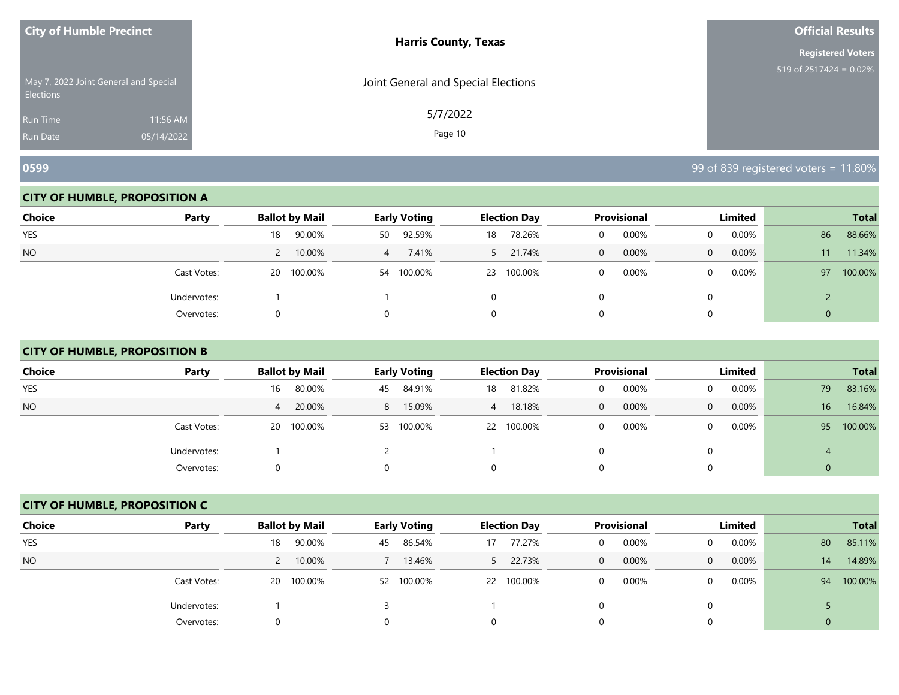| <b>City of Humble Precinct</b>                            |            | <b>Harris County, Texas</b>         | <b>Official Results</b>   |
|-----------------------------------------------------------|------------|-------------------------------------|---------------------------|
|                                                           |            |                                     | <b>Registered Voters</b>  |
| May 7, 2022 Joint General and Special<br><b>Elections</b> |            | Joint General and Special Elections | 519 of $2517424 = 0.02\%$ |
| <b>Run Time</b>                                           | 11:56 AM   | 5/7/2022                            |                           |
| <b>Run Date</b>                                           | 05/14/2022 | Page 10                             |                           |

#### **CITY OF HUMBLE, PROPOSITION A**

| <b>Choice</b> | Party       | <b>Ballot by Mail</b>   | <b>Early Voting</b> | <b>Election Day</b>    | Provisional | Limited           | <b>Total</b>  |
|---------------|-------------|-------------------------|---------------------|------------------------|-------------|-------------------|---------------|
| <b>YES</b>    |             | 90.00%<br>18            | 92.59%<br>50        | 78.26%<br>18           | 0.00%<br>0  | $0.00\%$          | 88.66%<br>86  |
| <b>NO</b>     |             | 10.00%<br>$\mathcal{L}$ | 7.41%<br>4          | 21.74%<br>$\mathbf{P}$ | 0.00%<br>0  | 0.00%<br>$\Omega$ | 11.34%<br>11  |
|               | Cast Votes: | 20 100.00%              | 54 100.00%          | 100.00%<br>23          | 0.00%<br>0  | $0.00\%$          | 100.00%<br>97 |
|               | Undervotes: |                         |                     | 0                      |             |                   |               |
|               | Overvotes:  | 0                       |                     | 0                      |             |                   | 0             |

# **CITY OF HUMBLE, PROPOSITION B**

| <b>Choice</b> | Party       | <b>Ballot by Mail</b> | <b>Early Voting</b> | <b>Election Day</b>      | Provisional   | Limited              | <b>Total</b>              |
|---------------|-------------|-----------------------|---------------------|--------------------------|---------------|----------------------|---------------------------|
| <b>YES</b>    |             | 80.00%<br>16          | 84.91%<br>45        | 81.82%<br>18             | 0.00%<br>0    | $0.00\%$             | 83.16%<br>79              |
| <b>NO</b>     |             | 20.00%<br>4           | 8 15.09%            | 18.18%<br>$\overline{4}$ | $0.00\%$<br>0 | $0.00\%$<br>$\Omega$ | 16 <sup>1</sup><br>16.84% |
|               | Cast Votes: | 20 100.00%            | 100.00%<br>53       | 22 100.00%               | 0.00%<br>0    | $0.00\%$<br>0        | 100.00%<br>95             |
|               | Undervotes: |                       |                     |                          |               | 0                    |                           |
|               | Overvotes:  |                       |                     |                          |               |                      | 0                         |

#### **CITY OF HUMBLE, PROPOSITION C**

| <b>Choice</b> | Party       | <b>Ballot by Mail</b> | Early Voting  | <b>Election Day</b> | <b>Provisional</b>    | Limited              | <b>Total</b>  |
|---------------|-------------|-----------------------|---------------|---------------------|-----------------------|----------------------|---------------|
| <b>YES</b>    |             | 90.00%<br>18          | 86.54%<br>45  | 77.27%<br>17        | 0.00%<br>0            | 0.00%<br>$\Omega$    | 85.11%<br>80  |
| <b>NO</b>     |             | 10.00%                | 13.46%        | 22.73%<br>5.        | 0.00%<br>$\mathbf{0}$ | 0.00%<br>$\Omega$    | 14.89%<br>14  |
|               | Cast Votes: | 20 100.00%            | 100.00%<br>52 | 22 100.00%          | 0.00%<br>0            | $0.00\%$<br>$\Omega$ | 100.00%<br>94 |
|               | Undervotes: |                       |               |                     |                       | $\Omega$             |               |
|               | Overvotes:  | 0                     |               | 0                   |                       | 0                    | 0             |

**0599** 99 of 839 registered voters = 11.80%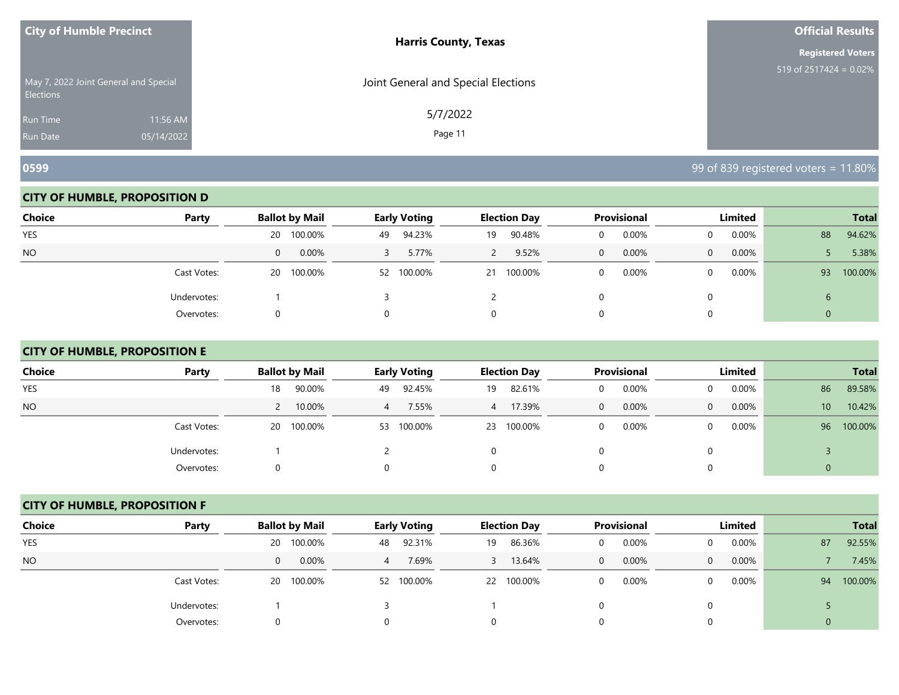| <b>City of Humble Precinct</b>                            |            | <b>Harris County, Texas</b>         | <b>Official Results</b>   |
|-----------------------------------------------------------|------------|-------------------------------------|---------------------------|
|                                                           |            |                                     | <b>Registered Voters</b>  |
| May 7, 2022 Joint General and Special<br><b>Elections</b> |            | Joint General and Special Elections | 519 of $2517424 = 0.02\%$ |
| <b>Run Time</b>                                           | 11:56 AM   | 5/7/2022                            |                           |
| <b>Run Date</b>                                           | 05/14/2022 | Page 11                             |                           |

#### **CITY OF HUMBLE, PROPOSITION D**

| <b>Choice</b> | Party       | <b>Ballot by Mail</b> | <b>Early Voting</b> | <b>Election Day</b> | Provisional   | Limited           | <b>Total</b>  |
|---------------|-------------|-----------------------|---------------------|---------------------|---------------|-------------------|---------------|
| YES           |             | 100.00%<br>20         | 94.23%<br>49        | 90.48%<br>19        | 0.00%         | 0.00%             | 94.62%<br>88  |
|               |             |                       |                     |                     |               |                   |               |
| <b>NO</b>     |             | 0.00%<br>$\mathbf{0}$ | 5.77%               | 9.52%<br>2          | $0.00\%$<br>0 | 0.00%<br>$\Omega$ | 5.38%         |
|               | Cast Votes: | 20 100.00%            | 52 100.00%          | 100.00%<br>21       | 0.00%         | $0.00\%$          | 100.00%<br>93 |
|               | Undervotes: |                       |                     |                     |               |                   | ь             |
|               | Overvotes:  | 0                     |                     | 0                   |               |                   |               |

# **CITY OF HUMBLE, PROPOSITION E**

| <b>Choice</b> | Party       | <b>Ballot by Mail</b> | <b>Early Voting</b> | <b>Election Day</b> | <b>Provisional</b>       | Limited       | <b>Total</b>              |
|---------------|-------------|-----------------------|---------------------|---------------------|--------------------------|---------------|---------------------------|
| <b>YES</b>    |             | 90.00%<br>18          | 92.45%<br>49        | 82.61%<br>19        | 0.00%<br>0               | $0.00\%$<br>0 | 89.58%<br>86              |
| <b>NO</b>     |             | 10.00%                | 7.55%<br>4          | 17.39%<br>4         | $0.00\%$<br>$\mathbf{0}$ | $0.00\%$<br>0 | 10.42%<br>10 <sup>°</sup> |
|               | Cast Votes: | 20 100.00%            | 100.00%<br>53       | 100.00%<br>23       | 0.00%<br>0               | $0.00\%$<br>0 | 100.00%<br>96             |
|               | Undervotes: |                       |                     |                     | 0                        | 0             |                           |
|               | Overvotes:  |                       | $\Omega$            |                     | $\Omega$                 | $\Omega$      |                           |

#### **CITY OF HUMBLE, PROPOSITION F**

| <b>Choice</b> | Party       | <b>Ballot by Mail</b> | Early Voting        | <b>Election Day</b> | <b>Provisional</b>    | Limited              | <b>Total</b>  |
|---------------|-------------|-----------------------|---------------------|---------------------|-----------------------|----------------------|---------------|
| <b>YES</b>    |             | 100.00%<br>20 L       | 92.31%<br>48        | 86.36%<br>19        | 0.00%<br>0            | 0.00%<br>$\Omega$    | 92.55%<br>87  |
| <b>NO</b>     |             | 0.00%<br>$\mathbf{0}$ | 7.69%<br>$\sqrt{4}$ | 13.64%              | 0.00%<br>$\mathbf{0}$ | 0.00%<br>$\Omega$    | 7.45%         |
|               | Cast Votes: | 20 100.00%            | 100.00%<br>52       | 22 100.00%          | 0.00%<br>0            | $0.00\%$<br>$\Omega$ | 100.00%<br>94 |
|               | Undervotes: |                       |                     |                     |                       | $\Omega$             |               |
|               | Overvotes:  | 0                     |                     | 0                   |                       | 0                    | 0             |

**0599** 99 of 839 registered voters = 11.80%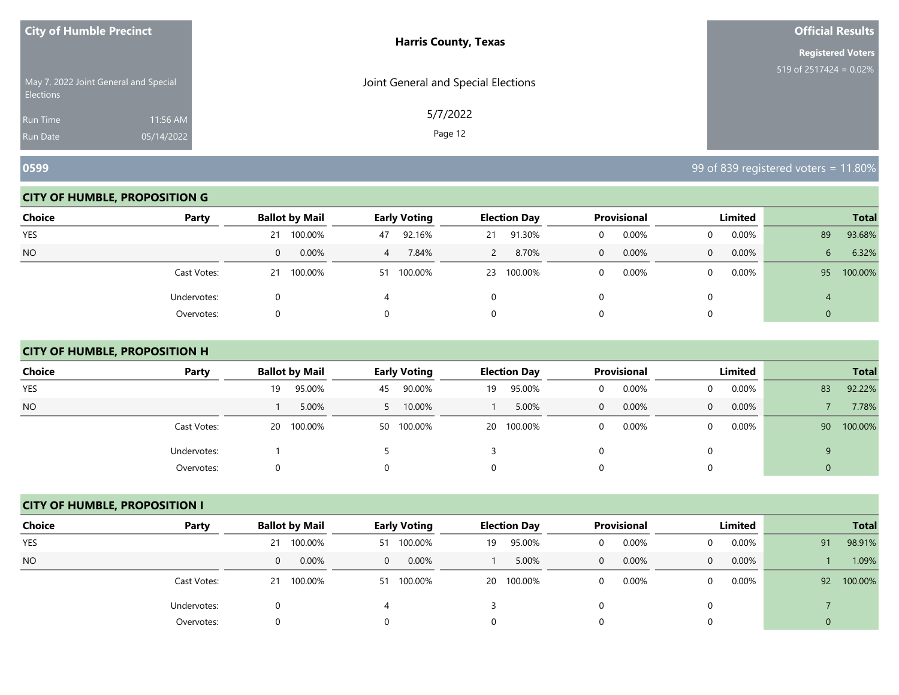| <b>City of Humble Precinct</b>                            |            | <b>Harris County, Texas</b>         | <b>Official Results</b>   |
|-----------------------------------------------------------|------------|-------------------------------------|---------------------------|
|                                                           |            |                                     | <b>Registered Voters</b>  |
| May 7, 2022 Joint General and Special<br><b>Elections</b> |            | Joint General and Special Elections | 519 of 2517424 = $0.02\%$ |
| Run Time                                                  | 11:56 AM   | 5/7/2022                            |                           |
| <b>Run Date</b>                                           | 05/14/2022 | Page 12                             |                           |

**0599** 99 of 839 registered voters = 11.80%

#### **CITY OF HUMBLE, PROPOSITION G**

| <b>Choice</b> | Party       | <b>Ballot by Mail</b> | <b>Early Voting</b> | <b>Election Day</b> | Provisional   | Limited           | <b>Total</b>  |
|---------------|-------------|-----------------------|---------------------|---------------------|---------------|-------------------|---------------|
|               |             |                       |                     |                     |               |                   |               |
| YES           |             | 100.00%<br>21         | 92.16%<br>47        | 91.30%<br>21        | 0.00%         | 0.00%             | 93.68%<br>89  |
| <b>NO</b>     |             | 0.00%<br>$\mathbf{0}$ | 7.84%<br>4          | 8.70%<br>2          | $0.00\%$<br>0 | 0.00%<br>$\Omega$ | 6.32%<br>6    |
|               | Cast Votes: | 100.00%<br>21         | 100.00%<br>51       | 100.00%<br>23       | 0.00%         | $0.00\%$          | 100.00%<br>95 |
|               | Undervotes: |                       |                     | 0                   |               |                   |               |
|               | Overvotes:  | O                     |                     | 0                   |               |                   |               |

# **CITY OF HUMBLE, PROPOSITION H**

| <b>Choice</b> | Party       | <b>Ballot by Mail</b> | <b>Early Voting</b> | <b>Election Day</b> | <b>Provisional</b>       | Limited                    | <b>Total</b>  |
|---------------|-------------|-----------------------|---------------------|---------------------|--------------------------|----------------------------|---------------|
| <b>YES</b>    |             | 95.00%<br>19          | 90.00%<br>45        | 95.00%<br>19        | 0.00%<br>0               | $0.00\%$<br>0              | 92.22%<br>83  |
| NO.           |             | 5.00%                 | 10.00%              | 5.00%               | $0.00\%$<br>$\mathbf{0}$ | $0.00\%$<br>$\overline{0}$ | 7.78%         |
|               | Cast Votes: | 20 100.00%            | 50 100.00%          | 20 100.00%          | 0.00%<br>0               | $0.00\%$<br>$\Omega$       | 100.00%<br>90 |
|               | Undervotes: |                       |                     |                     | 0                        | 0                          | 9             |
|               | Overvotes:  | 0                     | 0                   |                     | 0                        | $\Omega$                   | $\theta$      |

#### **CITY OF HUMBLE, PROPOSITION I**

| <b>Choice</b> | Party       | <b>Ballot by Mail</b> | <b>Early Voting</b> | <b>Election Day</b> | <b>Provisional</b>    | Limited           | <b>Total</b>  |
|---------------|-------------|-----------------------|---------------------|---------------------|-----------------------|-------------------|---------------|
| <b>YES</b>    |             | 21 100.00%            | 100.00%<br>51       | 95.00%<br>19        | 0.00%<br>0            | 0.00%             | 98.91%<br>91  |
| <b>NO</b>     |             | 0.00%<br>$\mathbf{0}$ | 0.00%<br>$\Omega$   | 5.00%               | 0.00%<br>$\mathbf{0}$ | 0.00%<br>$\Omega$ | 1.09%         |
|               | Cast Votes: | 21 100.00%            | 100.00%<br>51       | 20 100.00%          | 0.00%<br>0            | 0.00%             | 100.00%<br>92 |
|               | Undervotes: | 0                     |                     |                     |                       |                   |               |
|               | Overvotes:  | 0                     |                     |                     | 0                     |                   | $\Omega$      |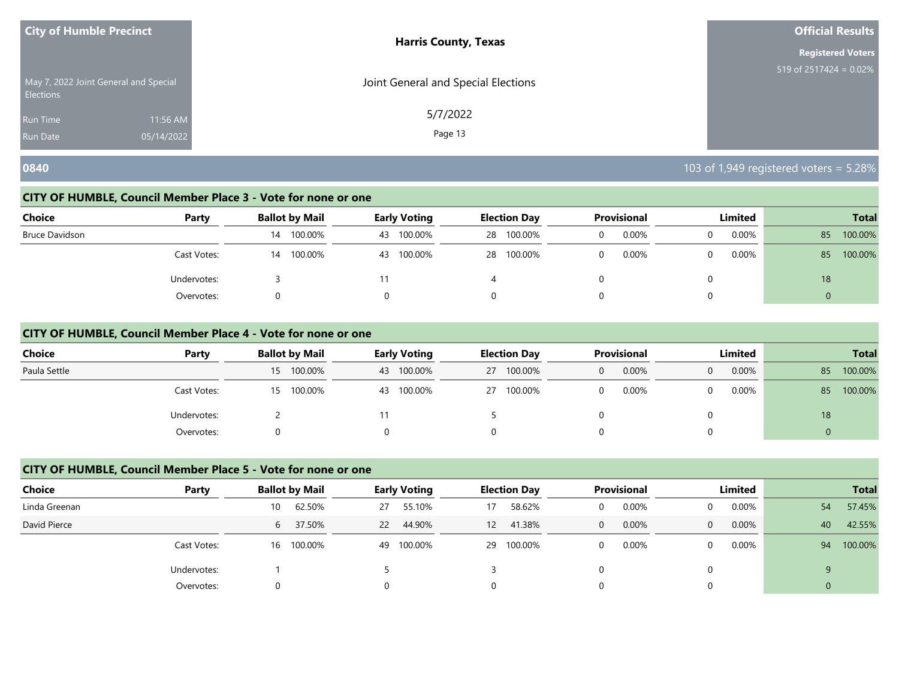| <b>City of Humble Precinct</b>                     | <b>Harris County, Texas</b>         | <b>Official Results</b>  |
|----------------------------------------------------|-------------------------------------|--------------------------|
|                                                    |                                     | <b>Registered Voters</b> |
| May 7, 2022 Joint General and Special<br>Elections | Joint General and Special Elections | 519 of 2517424 = 0.02%   |
| 11:56 AM<br><b>Run Time</b>                        | 5/7/2022                            |                          |
| 05/14/2022<br><b>Run Date</b>                      | Page 13                             |                          |

# **0840** 103 of 1,949 registered voters = 5.28%

#### **CITY OF HUMBLE, Council Member Place 3 - Vote for none or one**

| <b>Choice</b><br>Party |    | Ballot by Mail |    | <b>Early Voting</b> |    | <b>Election Day</b> |   | Provisional | Limited |          | <b>Total</b>   |         |
|------------------------|----|----------------|----|---------------------|----|---------------------|---|-------------|---------|----------|----------------|---------|
| Bruce Davidson         | 14 | 100.00%        | 43 | 100.00%             | 28 | 100.00%             | 0 | 0.00%       |         | $0.00\%$ | 85             | 100.00% |
| Cast Votes:            | 14 | 100.00%        | 43 | 100.00%             | 28 | 100.00%             |   | 0.00%       |         | $0.00\%$ | 85             | 100.00% |
| Undervotes:            |    |                |    |                     |    |                     |   |             |         |          | 18             |         |
| Overvotes:             |    |                |    |                     |    |                     |   |             |         |          | $\overline{0}$ |         |

#### **CITY OF HUMBLE, Council Member Place 4 - Vote for none or one**

| <b>Choice</b> | Party       | <b>Ballot by Mail</b> | <b>Early Voting</b> | <b>Election Day</b> | <b>Provisional</b> | Limited | <b>Total</b>  |
|---------------|-------------|-----------------------|---------------------|---------------------|--------------------|---------|---------------|
| Paula Settle  |             | 15 100.00%            | 100.00%<br>43       | 27 100.00%          | 0.00%              | 0.00%   | 100.00%<br>85 |
|               | Cast Votes: | 15 100.00%            | 100.00%<br>43       | 27 100.00%          | 0.00%              | 0.00%   | 100.00%<br>85 |
|               | Undervotes: |                       |                     |                     |                    |         | 18            |
|               | Overvotes:  |                       |                     |                     |                    |         |               |

# **CITY OF HUMBLE, Council Member Place 5 - Vote for none or one**

| <b>Choice</b> | Party       |    | <b>Ballot by Mail</b> |    | <b>Early Voting</b> |    | <b>Election Day</b> |              | <b>Provisional</b> | Limited  |              | <b>Total</b> |
|---------------|-------------|----|-----------------------|----|---------------------|----|---------------------|--------------|--------------------|----------|--------------|--------------|
| Linda Greenan |             | 10 | 62.50%                | 27 | 55.10%              | 17 | 58.62%              | 0            | 0.00%              | $0.00\%$ | 54           | 57.45%       |
| David Pierce  |             | 6  | 37.50%                | 22 | 44.90%              | 12 | 41.38%              | $\mathbf{0}$ | 0.00%              | 0.00%    | 40           | 42.55%       |
|               | Cast Votes: |    | 16 100.00%            | 49 | 100.00%             |    | 29 100.00%          | 0            | $0.00\%$           | $0.00\%$ | 94           | 100.00%      |
|               | Undervotes: |    |                       |    |                     |    |                     |              |                    |          | $\mathsf{Q}$ |              |
|               | Overvotes:  | 0  |                       |    |                     |    |                     |              |                    |          | $\mathbf{0}$ |              |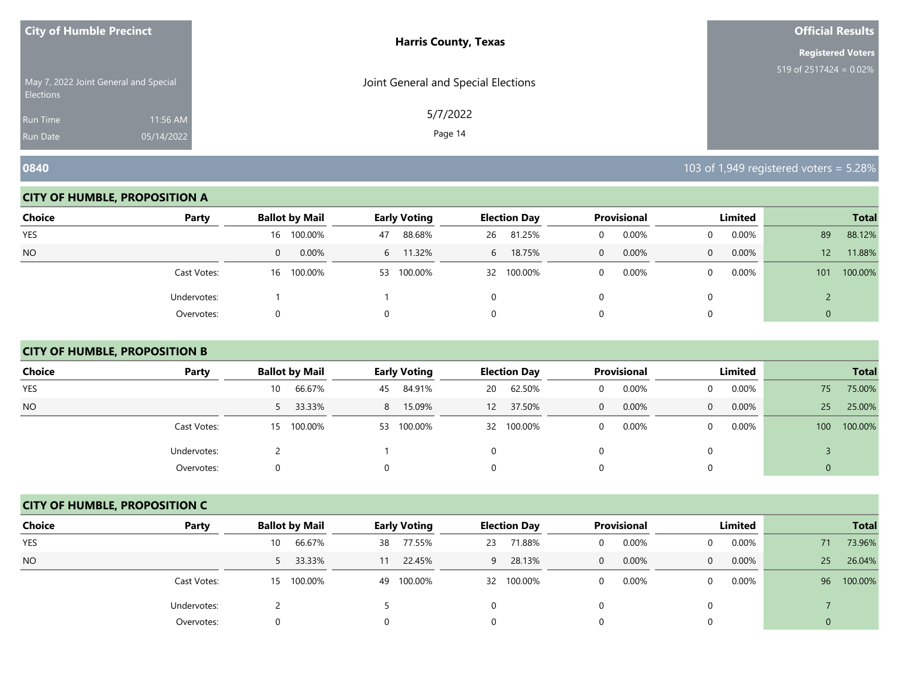| <b>City of Humble Precinct</b>                            |            | <b>Harris County, Texas</b>         | <b>Official Results</b>   |
|-----------------------------------------------------------|------------|-------------------------------------|---------------------------|
|                                                           |            | <b>Registered Voters</b>            |                           |
| May 7, 2022 Joint General and Special<br><b>Elections</b> |            | Joint General and Special Elections | 519 of $2517424 = 0.02\%$ |
| Run Time                                                  | 11:56 AM   | 5/7/2022                            |                           |
| <b>Run Date</b>                                           | 05/14/2022 | Page 14                             |                           |

#### **CITY OF HUMBLE, PROPOSITION A**

| <b>Choice</b> | Party       | <b>Ballot by Mail</b> | <b>Early Voting</b> | <b>Election Day</b> | Provisional       | Limited               | <b>Total</b>              |
|---------------|-------------|-----------------------|---------------------|---------------------|-------------------|-----------------------|---------------------------|
| <b>YES</b>    |             | 100.00%<br>16         | 88.68%<br>47        | 81.25%<br>26        | 0.00%<br>$\Omega$ | $0.00\%$<br>0         | 88.12%<br>89              |
| <b>NO</b>     |             | 0.00%<br>0            | 6 11.32%            | 18.75%<br>6         | 0.00%<br>0        | 0.00%<br>$\mathbf{0}$ | 11.88%<br>12 <sup>1</sup> |
|               | Cast Votes: | 100.00%<br>16         | 53 100.00%          | 32 100.00%          | 0.00%             | $0.00\%$<br>$\Omega$  | 100.00%<br>101            |
|               | Undervotes: |                       |                     |                     |                   |                       |                           |
|               | Overvotes:  |                       |                     |                     |                   |                       | 0                         |

# **CITY OF HUMBLE, PROPOSITION B**

| <b>Choice</b> | Party       | <b>Ballot by Mail</b> | <b>Early Voting</b> | <b>Election Day</b> | Provisional | Limited                  | <b>Total</b>                |
|---------------|-------------|-----------------------|---------------------|---------------------|-------------|--------------------------|-----------------------------|
| <b>YES</b>    |             | 66.67%<br>10          | 84.91%<br>45        | 62.50%<br>20        | 0.00%<br>0  | $0.00\%$                 | 75.00%<br>75                |
| <b>NO</b>     |             | 33.33%<br>5           | 15.09%<br>8         | 37.50%<br>12        | 0.00%<br>0  | $0.00\%$<br>$\mathbf{0}$ | 25.00%<br>25 <sup>2</sup>   |
|               | Cast Votes: | 15 100.00%            | 100.00%<br>53       | 32 100.00%          | 0.00%       | $0.00\%$                 | 100.00%<br>100 <sup>°</sup> |
|               | Undervotes: |                       |                     |                     |             |                          |                             |
|               | Overvotes:  | $^{(1)}$              |                     |                     |             |                          | 0                           |

#### **CITY OF HUMBLE, PROPOSITION C**

| <b>Choice</b> | Party       | <b>Ballot by Mail</b> | Early Voting  | <b>Election Day</b> | <b>Provisional</b>    | Limited              | <b>Total</b>              |
|---------------|-------------|-----------------------|---------------|---------------------|-----------------------|----------------------|---------------------------|
| <b>YES</b>    |             | 66.67%<br>10          | 77.55%<br>38  | 71.88%<br>23        | 0.00%<br>0            | 0.00%<br>$\Omega$    | 73.96%<br>71              |
| <b>NO</b>     |             | 33.33%<br>5           | 22.45%<br>11  | 28.13%<br>9         | 0.00%<br>$\mathbf{0}$ | 0.00%<br>$\Omega$    | 26.04%<br>25 <sup>2</sup> |
|               | Cast Votes: | 15 100.00%            | 100.00%<br>49 | 32 100.00%          | 0.00%<br>0            | $0.00\%$<br>$\Omega$ | 100.00%<br>96             |
|               | Undervotes: |                       |               |                     |                       | 0                    |                           |
|               | Overvotes:  | 0                     |               | 0                   |                       | 0                    |                           |

**0840** 103 of 1,949 registered voters = 5.28%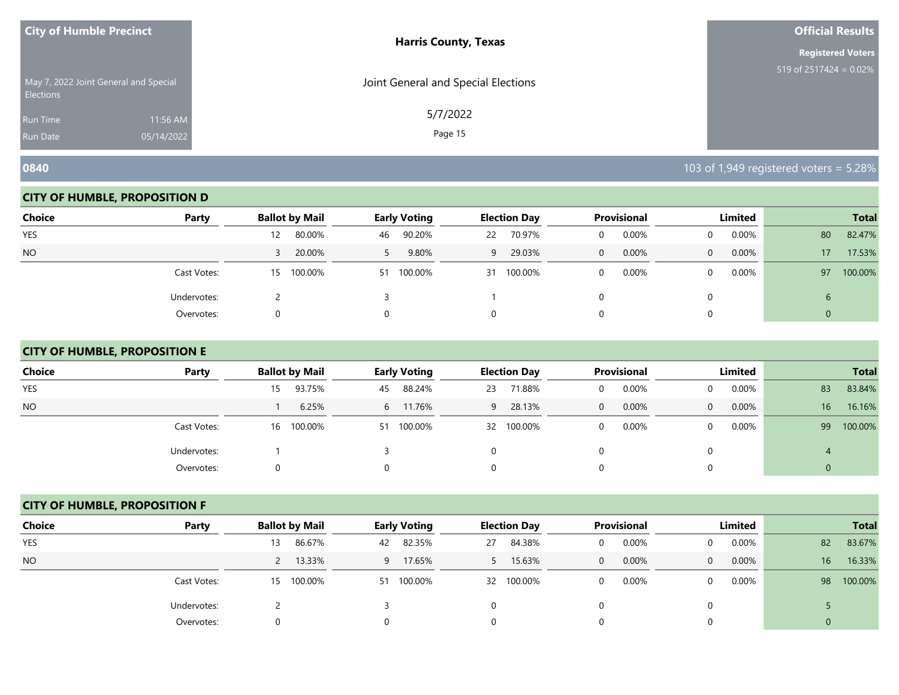| <b>City of Humble Precinct</b>                            |            | <b>Harris County, Texas</b>         | <b>Official Results</b>   |
|-----------------------------------------------------------|------------|-------------------------------------|---------------------------|
|                                                           |            |                                     | <b>Registered Voters</b>  |
| May 7, 2022 Joint General and Special<br><b>Elections</b> |            | Joint General and Special Elections | 519 of $2517424 = 0.02\%$ |
| Run Time                                                  | 11:56 AM   | 5/7/2022                            |                           |
| <b>Run Date</b>                                           | 05/14/2022 | Page 15                             |                           |

**0840** 103 of 1,949 registered voters = 5.28%

#### **CITY OF HUMBLE, PROPOSITION D**

| <b>Choice</b> | Party       | <b>Ballot by Mail</b> | <b>Early Voting</b> | <b>Election Day</b> | Provisional | Limited               | <b>Total</b>  |
|---------------|-------------|-----------------------|---------------------|---------------------|-------------|-----------------------|---------------|
| <b>YES</b>    |             | 80.00%<br>12          | 90.20%<br>46        | 70.97%<br>22        | 0.00%<br>0  | $0.00\%$<br>0         | 82.47%<br>80  |
| <b>NO</b>     |             | 20.00%                | 9.80%               | 29.03%<br>9         | 0.00%<br>0  | 0.00%<br>$\mathbf{0}$ | 17.53%<br>17  |
|               | Cast Votes: | 100.00%<br>15         | 100.00%<br>51       | 100.00%<br>31       | 0.00%       | $0.00\%$<br>$\Omega$  | 100.00%<br>97 |
|               | Undervotes: | ←                     |                     |                     |             |                       | ь             |
|               | Overvotes:  |                       |                     |                     |             |                       | 0             |

# **CITY OF HUMBLE, PROPOSITION E**

| <b>Choice</b> | Party       | <b>Ballot by Mail</b> | <b>Early Voting</b> | <b>Election Day</b> | Provisional              | Limited              | <b>Total</b>              |
|---------------|-------------|-----------------------|---------------------|---------------------|--------------------------|----------------------|---------------------------|
| <b>YES</b>    |             | 93.75%<br>15.         | 88.24%<br>45        | 71.88%<br>23        | 0.00%<br>0               | $0.00\%$<br>0        | 83.84%<br>83              |
| <b>NO</b>     |             | 6.25%                 | 6 11.76%            | 28.13%<br>9         | $0.00\%$<br>$\mathbf{0}$ | $0.00\%$<br>$\Omega$ | 16.16%<br>16 <sup>1</sup> |
|               | Cast Votes: | 16 100.00%            | 100.00%<br>51       | 32 100.00%          | $0.00\%$<br>0            | $0.00\%$<br>0        | 100.00%<br>99             |
|               | Undervotes: |                       |                     |                     | 0                        |                      |                           |
|               | Overvotes:  | $\Omega$              | 0                   |                     | 0                        |                      |                           |

#### **CITY OF HUMBLE, PROPOSITION F**

| <b>Choice</b> | Party       | <b>Ballot by Mail</b> | <b>Early Voting</b> | <b>Election Day</b> | <b>Provisional</b>    | Limited              | <b>Total</b>               |
|---------------|-------------|-----------------------|---------------------|---------------------|-----------------------|----------------------|----------------------------|
| <b>YES</b>    |             | 86.67%<br>13          | 82.35%<br>42        | 84.38%<br>27        | 0.00%<br>0            | $0.00\%$             | 83.67%<br>82               |
| <b>NO</b>     |             | 13.33%                | 17.65%<br>9         | 15.63%<br>5.        | 0.00%<br>$\mathbf{0}$ | $0.00\%$<br>$\Omega$ | 16.33%<br>16               |
|               | Cast Votes: | 100.00%<br>15         | 100.00%<br>51       | 32 100.00%          | 0.00%<br>0            | $0.00\%$             | 100.00%<br>98 <sup>°</sup> |
|               | Undervotes: |                       |                     |                     |                       |                      |                            |
|               | Overvotes:  |                       |                     |                     |                       |                      | $\Omega$                   |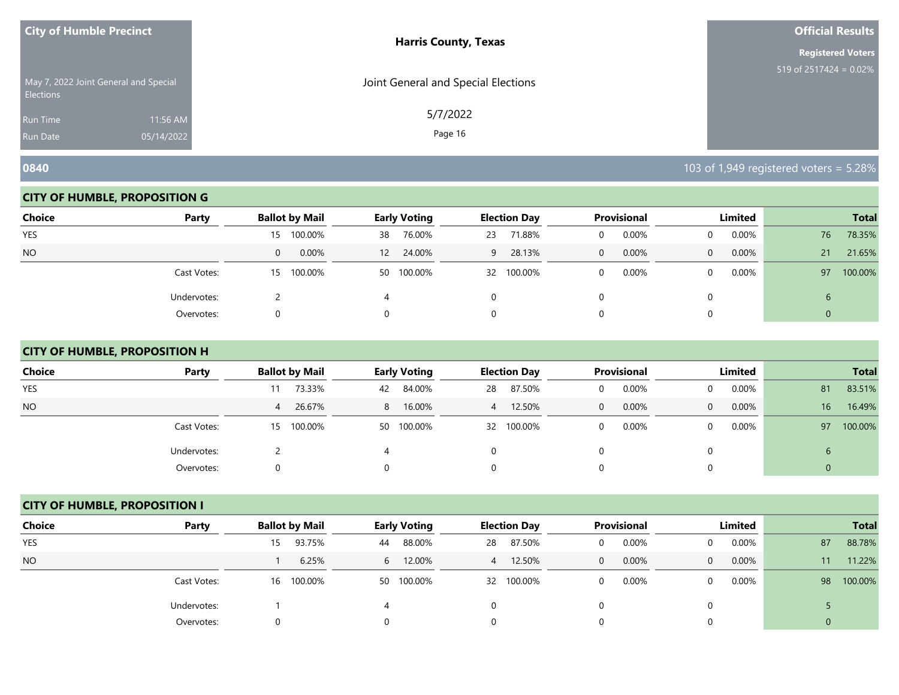| <b>City of Humble Precinct</b>                            |            | <b>Harris County, Texas</b>         | <b>Official Results</b>   |
|-----------------------------------------------------------|------------|-------------------------------------|---------------------------|
|                                                           |            |                                     | <b>Registered Voters</b>  |
| May 7, 2022 Joint General and Special<br><b>Elections</b> |            | Joint General and Special Elections | 519 of $2517424 = 0.02\%$ |
| <b>Run Time</b>                                           | 11:56 AM   | 5/7/2022                            |                           |
| <b>Run Date</b>                                           | 05/14/2022 | Page 16                             |                           |

#### **CITY OF HUMBLE, PROPOSITION G**

| <b>Choice</b> | Party       | <b>Ballot by Mail</b>      | <b>Early Voting</b>         | <b>Election Day</b> | Provisional          | Limited           | <b>Total</b>  |
|---------------|-------------|----------------------------|-----------------------------|---------------------|----------------------|-------------------|---------------|
| <b>YES</b>    |             | 100.00%<br>15 <sup>2</sup> | 76.00%<br>38                | 71.88%<br>23        | 0.00%<br>0           | $0.00\%$          | 78.35%<br>76  |
| <b>NO</b>     |             | 0.00%<br>$\mathbf{0}$      | 24.00%<br>$12 \overline{ }$ | 28.13%<br>9         | 0.00%<br>$\mathbf 0$ | 0.00%<br>$\Omega$ | 21.65%<br>21  |
|               | Cast Votes: | 100.00%<br>15 <sup>2</sup> | 50 100.00%                  | 100.00%<br>32       | 0.00%                | $0.00\%$          | 100.00%<br>97 |
|               | Undervotes: |                            |                             | 0                   |                      |                   | ь             |
|               | Overvotes:  | 0                          |                             | 0                   |                      |                   |               |

# **CITY OF HUMBLE, PROPOSITION H**

| <b>Choice</b> | Party       | <b>Ballot by Mail</b> | <b>Early Voting</b> | <b>Election Day</b> | <b>Provisional</b>       | Limited                    | <b>Total</b>               |
|---------------|-------------|-----------------------|---------------------|---------------------|--------------------------|----------------------------|----------------------------|
| <b>YES</b>    |             | 73.33%<br>11          | 84.00%<br>42        | 87.50%<br>28        | 0.00%<br>0               | $0.00\%$<br>0              | 83.51%<br>81               |
| NO.           |             | 26.67%<br>4           | 8 16.00%            | 12.50%<br>4         | $0.00\%$<br>$\mathbf{0}$ | $0.00\%$<br>$\overline{0}$ | 16.49%<br>16 <sup>1</sup>  |
|               | Cast Votes: | 15 100.00%            | 50 100.00%          | 32 100.00%          | 0.00%<br>0               | $0.00\%$<br>$\Omega$       | 100.00%<br>97 <sup>°</sup> |
|               | Undervotes: |                       | 4                   |                     | 0                        | 0                          | $\mathbf b$                |
|               | Overvotes:  | 0                     | 0                   |                     | 0                        | $\Omega$                   | $\theta$                   |

#### **CITY OF HUMBLE, PROPOSITION I**

| <b>Choice</b> | Party       | <b>Ballot by Mail</b> | Early Voting  | <b>Election Day</b> | <b>Provisional</b>    | Limited              | <b>Total</b>  |
|---------------|-------------|-----------------------|---------------|---------------------|-----------------------|----------------------|---------------|
| <b>YES</b>    |             | 93.75%<br>15.         | 88.00%<br>44  | 87.50%<br>28        | 0.00%<br>0            | 0.00%<br>$\Omega$    | 88.78%<br>87  |
| <b>NO</b>     |             | 6.25%                 | 6 12.00%      | 12.50%<br>4         | 0.00%<br>$\mathbf{0}$ | $0.00\%$<br>$\Omega$ | 11.22%<br>11  |
|               | Cast Votes: | 16 100.00%            | 100.00%<br>50 | 32 100.00%          | 0.00%<br>0            | $0.00\%$<br>$\Omega$ | 100.00%<br>98 |
|               | Undervotes: |                       |               |                     |                       | $\Omega$             |               |
|               | Overvotes:  | 0                     |               | 0                   |                       | 0                    |               |

**0840** 103 of 1,949 registered voters = 5.28%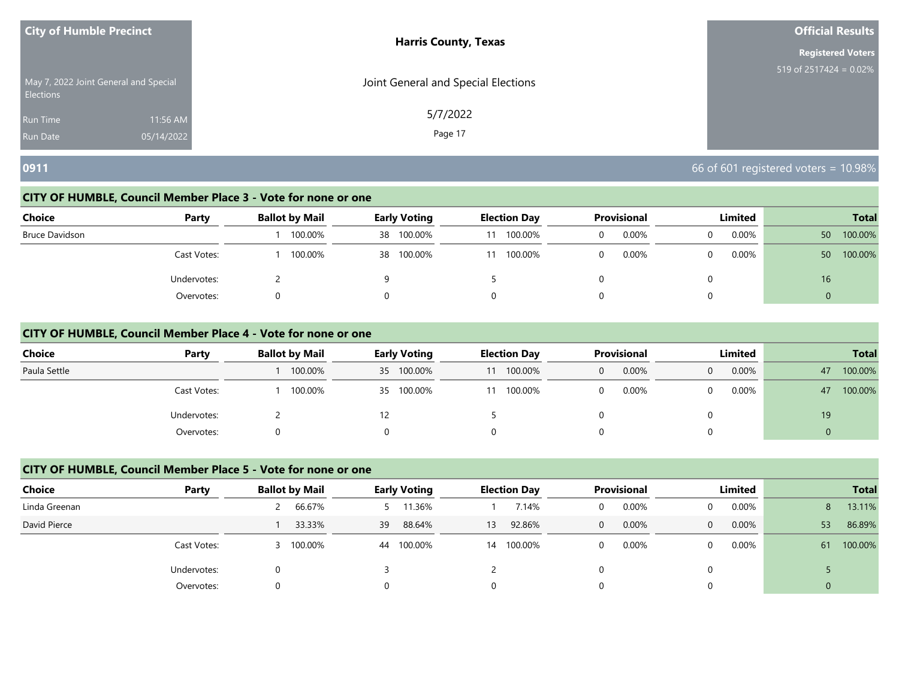| <b>City of Humble Precinct</b>                            |            | <b>Harris County, Texas</b>         | <b>Official Results</b>   |
|-----------------------------------------------------------|------------|-------------------------------------|---------------------------|
|                                                           |            |                                     | <b>Registered Voters</b>  |
| May 7, 2022 Joint General and Special<br><b>Elections</b> |            | Joint General and Special Elections | 519 of 2517424 = $0.02\%$ |
| <b>Run Time</b>                                           | 11:56 AM   | 5/7/2022                            |                           |
| <b>Run Date</b>                                           | 05/14/2022 | Page 17                             |                           |

# **0911** 66 of 601 registered voters = 10.98%

#### **CITY OF HUMBLE, Council Member Place 3 - Vote for none or one**

| <b>Choice</b>  | Party       | <b>Ballot by Mail</b> | <b>Early Voting</b> | <b>Election Day</b> | <b>Provisional</b> | Limited    | <b>Total</b>   |
|----------------|-------------|-----------------------|---------------------|---------------------|--------------------|------------|----------------|
| Bruce Davidson |             | 100.00%               | 100.00%<br>38       | 100.00%<br>11       | 0.00%<br>0         | 0.00%<br>0 | 100.00%<br>50  |
|                | Cast Votes: | 100.00%               | 100.00%<br>38       | 100.00%<br>11       | $0.00\%$<br>0      | 0.00%<br>0 | 100.00%<br>50  |
|                | Undervotes: |                       |                     |                     |                    | 0          | 16             |
|                | Overvotes:  |                       |                     |                     |                    | 0          | $\overline{0}$ |

#### **CITY OF HUMBLE, Council Member Place 4 - Vote for none or one**

| <b>Choice</b> | Party       | <b>Ballot by Mail</b> | <b>Early Voting</b> | <b>Election Day</b> | <b>Provisional</b> | Limited    | <b>Total</b>  |
|---------------|-------------|-----------------------|---------------------|---------------------|--------------------|------------|---------------|
| Paula Settle  |             | 100.00%               | 100.00%<br>35       | 100.00%             | 0.00%<br>0         | 0.00%<br>0 | 100.00%<br>47 |
|               | Cast Votes: | 100.00%               | 100.00%<br>35       | 100.00%             | 0.00%              | 0.00%      | 100.00%<br>47 |
|               | Undervotes: |                       |                     |                     |                    |            | 19            |
|               | Overvotes:  | 0                     |                     |                     |                    |            | $\Omega$      |

# **CITY OF HUMBLE, Council Member Place 5 - Vote for none or one**

| Choice        | Party       | <b>Ballot by Mail</b> | <b>Early Voting</b> | <b>Election Day</b> | <b>Provisional</b> | Limited  | <b>Total</b>   |
|---------------|-------------|-----------------------|---------------------|---------------------|--------------------|----------|----------------|
| Linda Greenan |             | 66.67%                | 1.36%               | 7.14%               | 0.00%<br>0         | 0.00%    | 13.11%<br>8    |
| David Pierce  |             | 33.33%                | 88.64%<br>39        | 92.86%<br>13        | 0.00%<br>0         | 0.00%    | 53<br>86.89%   |
|               | Cast Votes: | 100.00%               | 100.00%<br>44       | 14 100.00%          | 0.00%<br>0         | $0.00\%$ | 100.00%<br>61  |
|               | Undervotes: |                       |                     |                     |                    |          |                |
|               | Overvotes:  | 0                     |                     |                     |                    |          | $\overline{0}$ |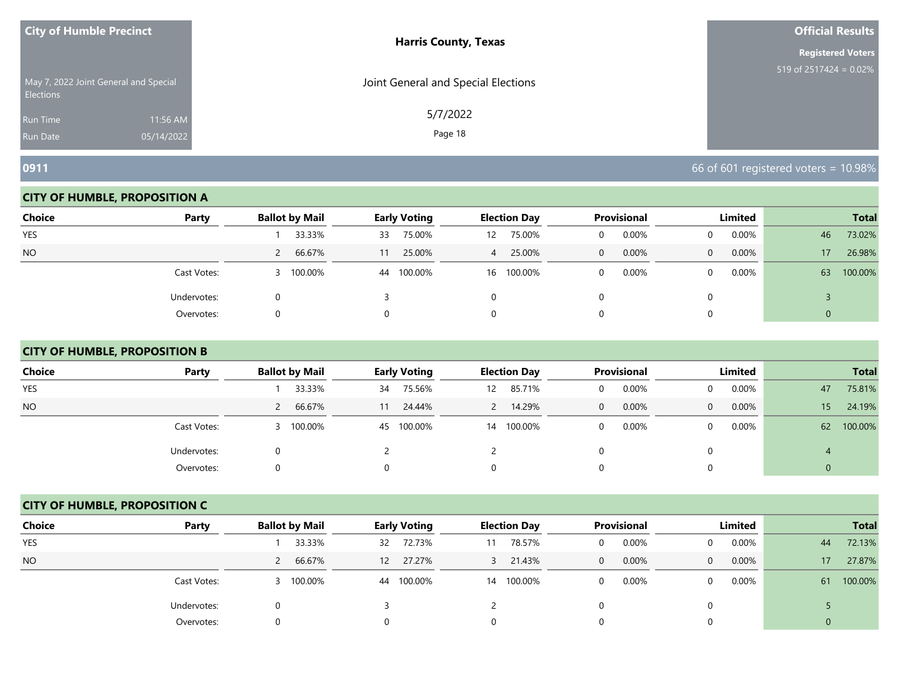| <b>City of Humble Precinct</b> |                                       | <b>Harris County, Texas</b>         | <b>Official Results</b>   |
|--------------------------------|---------------------------------------|-------------------------------------|---------------------------|
|                                |                                       |                                     | <b>Registered Voters</b>  |
| <b>Elections</b>               | May 7, 2022 Joint General and Special | Joint General and Special Elections | 519 of $2517424 = 0.02\%$ |
| <b>Run Time</b>                | 11:56 AM                              | 5/7/2022                            |                           |
| <b>Run Date</b>                | 05/14/2022                            | Page 18                             |                           |

#### **CITY OF HUMBLE, PROPOSITION A**

| <b>Choice</b> | Party       | <b>Ballot by Mail</b>   | <b>Early Voting</b> | <b>Election Day</b> | Provisional             | Limited                    | <b>Total</b>  |
|---------------|-------------|-------------------------|---------------------|---------------------|-------------------------|----------------------------|---------------|
| YES           |             | 33.33%                  | 75.00%<br>33        | 75.00%<br>12        | 0.00%                   | $0.00\%$<br>0              | 73.02%<br>46  |
| <b>NO</b>     |             | 66.67%<br>$\mathcal{L}$ | 25.00%              | 25.00%<br>4         | 0.00%<br>$\overline{0}$ | $0.00\%$<br>$\overline{0}$ | 26.98%<br>17  |
|               | Cast Votes: | 100.00%                 | 100.00%<br>44       | 16 100.00%          | 0.00%                   | $0.00\%$                   | 100.00%<br>63 |
|               | Undervotes: |                         |                     |                     |                         |                            |               |
|               | Overvotes:  |                         |                     |                     |                         |                            |               |

# **CITY OF HUMBLE, PROPOSITION B**

| <b>Choice</b> | Party       | <b>Ballot by Mail</b> | <b>Early Voting</b> | <b>Election Day</b>    | <b>Provisional</b>    | Limited                 | <b>Total</b>              |
|---------------|-------------|-----------------------|---------------------|------------------------|-----------------------|-------------------------|---------------------------|
| <b>YES</b>    |             | 33.33%                | 75.56%<br>34        | 85.71%<br>12           | 0.00%<br>0            | $0.00\%$<br>0           | 75.81%<br>47              |
| NO.           |             | 66.67%                | 24.44%              | 14.29%<br>$\mathbf{2}$ | 0.00%<br>$\mathbf{0}$ | 0.00%<br>$\overline{0}$ | 24.19%<br>15 <sup>1</sup> |
|               | Cast Votes: | 3 100.00%             | 100.00%<br>45       | 100.00%<br>14          | 0.00%<br>0            | $0.00\%$<br>$\Omega$    | 100.00%<br>62             |
|               | Undervotes: | 0                     |                     |                        | 0                     | $\Omega$                |                           |
|               | Overvotes:  | 0                     | 0                   |                        | 0                     | $\Omega$                | $\theta$                  |

#### **CITY OF HUMBLE, PROPOSITION C**

| <b>Choice</b> | Party       | <b>Ballot by Mail</b> | Early Voting                | <b>Election Day</b>    | <b>Provisional</b>    | Limited              | <b>Total</b>  |
|---------------|-------------|-----------------------|-----------------------------|------------------------|-----------------------|----------------------|---------------|
| <b>YES</b>    |             | 33.33%                | 72.73%<br>32                | 78.57%                 | 0.00%<br>0            | 0.00%<br>$\Omega$    | 72.13%<br>44  |
| <b>NO</b>     |             | 66.67%<br>2           | 27.27%<br>$12 \overline{ }$ | 21.43%<br>$\mathbf{3}$ | 0.00%<br>$\mathbf{0}$ | 0.00%<br>$\Omega$    | 27.87%<br>17  |
|               | Cast Votes: | 3 100.00%             | 100.00%<br>44               | 100.00%<br>14          | 0.00%<br>0            | $0.00\%$<br>$\Omega$ | 100.00%<br>61 |
|               | Undervotes: | 0                     |                             |                        |                       | 0                    |               |
|               | Overvotes:  | 0                     |                             | 0                      |                       | 0                    |               |

**0911** 66 of 601 registered voters = 10.98%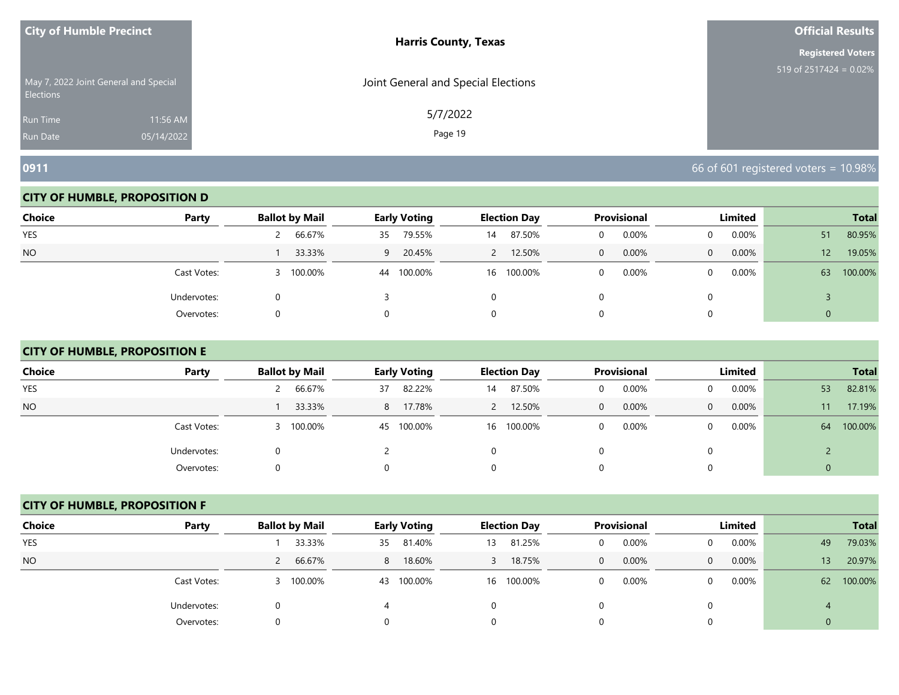| <b>City of Humble Precinct</b> |                                       | <b>Harris County, Texas</b>         | <b>Official Results</b>   |
|--------------------------------|---------------------------------------|-------------------------------------|---------------------------|
|                                |                                       |                                     | <b>Registered Voters</b>  |
| <b>Elections</b>               | May 7, 2022 Joint General and Special | Joint General and Special Elections | 519 of 2517424 = $0.02\%$ |
| <b>Run Time</b>                | 11:56 AM                              | 5/7/2022                            |                           |
| <b>Run Date</b>                | 05/14/2022                            | Page 19                             |                           |

#### **CITY OF HUMBLE, PROPOSITION D**

| <b>Choice</b> | Party       | <b>Ballot by Mail</b> | <b>Early Voting</b> | <b>Election Day</b> | Provisional             | Limited                  | <b>Total</b>              |
|---------------|-------------|-----------------------|---------------------|---------------------|-------------------------|--------------------------|---------------------------|
| YES           |             | 66.67%<br>$\epsilon$  | 79.55%<br>35        | 87.50%<br>14        | 0.00%                   | $0.00\%$                 | 80.95%<br>51              |
| <b>NO</b>     |             | 33.33%                | 9 20.45%            | 12.50%              | 0.00%<br>$\overline{0}$ | $0.00\%$<br>$\mathbf{0}$ | 19.05%<br>12 <sup>1</sup> |
|               | Cast Votes: | 100.00%               | 100.00%<br>44       | 16 100.00%          | 0.00%<br>0              | $0.00\%$                 | 100.00%<br>63             |
|               | Undervotes: |                       |                     |                     |                         |                          |                           |
|               | Overvotes:  |                       |                     | 0                   |                         |                          |                           |

# **CITY OF HUMBLE, PROPOSITION E**

| <b>Choice</b> | Party       | <b>Ballot by Mail</b> | Early Voting  | <b>Election Day</b> | Provisional   | Limited                  | <b>Total</b>  |
|---------------|-------------|-----------------------|---------------|---------------------|---------------|--------------------------|---------------|
|               |             |                       |               |                     |               |                          |               |
| <b>YES</b>    |             | 66.67%                | 82.22%<br>37  | 87.50%<br>14        | 0.00%<br>U    | $0.00\%$                 | 82.81%<br>53  |
| <b>NO</b>     |             | 33.33%                | 17.78%<br>8   | 12.50%<br>2         | $0.00\%$<br>0 | $0.00\%$<br>$\mathbf{0}$ | 17.19%<br>11  |
|               | Cast Votes: | 3 100.00%             | 100.00%<br>45 | 100.00%<br>16       | 0.00%<br>0    | $0.00\%$<br>0            | 100.00%<br>64 |
|               | Undervotes: | O                     |               |                     |               |                          |               |
|               | Overvotes:  | O                     |               |                     |               |                          | 0             |

#### **CITY OF HUMBLE, PROPOSITION F**

| <b>Choice</b> | Party       | <b>Ballot by Mail</b> | <b>Early Voting</b> | <b>Election Day</b> | <b>Provisional</b>      | Limited           | <b>Total</b>         |
|---------------|-------------|-----------------------|---------------------|---------------------|-------------------------|-------------------|----------------------|
| <b>YES</b>    |             | 33.33%                | 81.40%<br>35        | 81.25%<br>13        | 0.00%<br>0              | 0.00%             | 79.03%<br>49         |
| <b>NO</b>     |             | 66.67%                | 18.60%<br>8         | 18.75%              | 0.00%<br>$\overline{0}$ | 0.00%<br>$\Omega$ | 20.97%<br>13         |
|               | Cast Votes: | 3 100.00%             | 100.00%<br>43       | 100.00%<br>16       | 0.00%<br>0              | 0.00%<br>0        | 100.00%<br><b>62</b> |
|               | Undervotes: |                       |                     |                     |                         |                   | $\overline{4}$       |
|               | Overvotes:  | 0                     |                     |                     | 0                       |                   | $\Omega$             |

**0911** 66 of 601 registered voters = 10.98%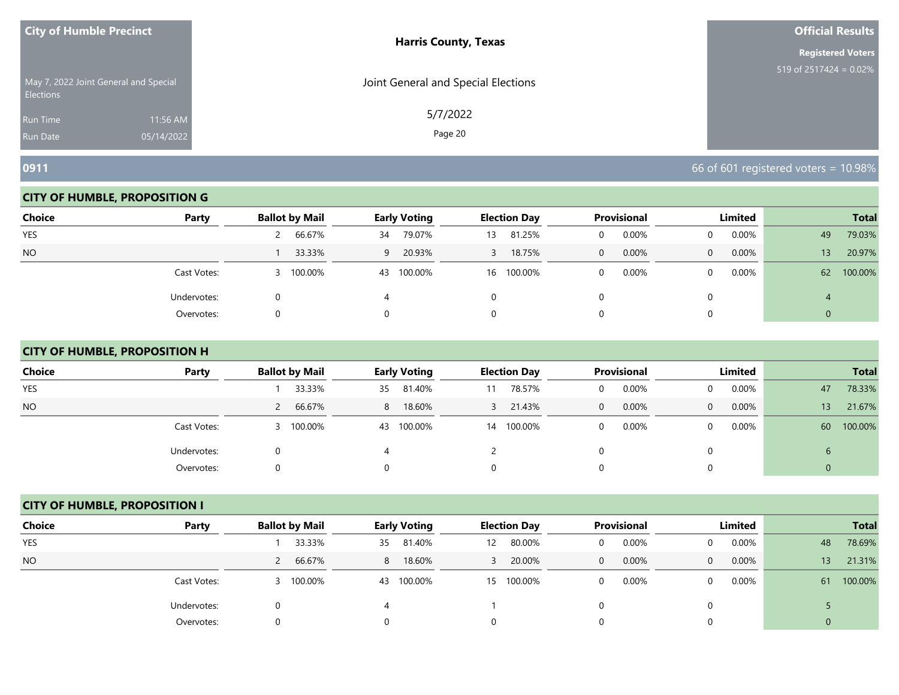| <b>City of Humble Precinct</b> |                                       | <b>Harris County, Texas</b>         | <b>Official Results</b>   |
|--------------------------------|---------------------------------------|-------------------------------------|---------------------------|
|                                |                                       |                                     | <b>Registered Voters</b>  |
| <b>Elections</b>               | May 7, 2022 Joint General and Special | Joint General and Special Elections | 519 of 2517424 = $0.02\%$ |
| <b>Run Time</b>                | 11:56 AM                              | 5/7/2022                            |                           |
| <b>Run Date</b>                | 05/14/2022                            | Page 20                             |                           |

#### **CITY OF HUMBLE, PROPOSITION G**

| <b>Choice</b> | Party       | <b>Ballot by Mail</b> | <b>Early Voting</b> | <b>Election Day</b> | <b>Provisional</b>      | <b>Limited</b>       | <b>Total</b>              |
|---------------|-------------|-----------------------|---------------------|---------------------|-------------------------|----------------------|---------------------------|
| <b>YES</b>    |             | 66.67%                | 79.07%<br>34        | 81.25%<br>13        | 0.00%                   | $0.00\%$<br>0        | 79.03%<br>49              |
| <b>NO</b>     |             | 33.33%                | 9 20.93%            | 18.75%<br>3         | 0.00%<br>$\overline{0}$ | $0.00\%$<br>$\Omega$ | 20.97%<br>13 <sup>°</sup> |
|               | Cast Votes: | 100.00%               | 100.00%<br>43       | 16 100.00%          | 0.00%<br>0              | $0.00\%$<br>0        | 100.00%<br>62             |
|               | Undervotes: |                       |                     |                     |                         |                      |                           |
|               | Overvotes:  |                       |                     | 0                   |                         |                      |                           |

# **CITY OF HUMBLE, PROPOSITION H**

| <b>Choice</b> | Party       | <b>Ballot by Mail</b> | Early Voting  | <b>Election Day</b> | Provisional   | Limited                  | <b>Total</b>  |
|---------------|-------------|-----------------------|---------------|---------------------|---------------|--------------------------|---------------|
| <b>YES</b>    |             | 33.33%                | 81.40%<br>35  | 78.57%<br>11        | 0.00%<br>U    | $0.00\%$                 | 78.33%<br>47  |
| <b>NO</b>     |             | 66.67%                | 18.60%<br>8   | 21.43%<br>3         | $0.00\%$<br>0 | $0.00\%$<br>$\mathbf{0}$ | 21.67%<br>13  |
|               | Cast Votes: | 3 100.00%             | 100.00%<br>43 | 100.00%<br>14       | 0.00%<br>0    | $0.00\%$<br>0            | 100.00%<br>60 |
|               | Undervotes: | O                     | 4             |                     |               |                          | $\mathbf b$   |
|               | Overvotes:  | O                     |               |                     |               |                          | 0             |

# **CITY OF HUMBLE, PROPOSITION I**

| <b>Choice</b> | Party       | <b>Ballot by Mail</b> | Early Voting  | <b>Election Day</b>         | Provisional           | Limited              | <b>Total</b>  |
|---------------|-------------|-----------------------|---------------|-----------------------------|-----------------------|----------------------|---------------|
| <b>YES</b>    |             | 33.33%                | 81.40%<br>35  | 80.00%<br>$12 \overline{ }$ | 0.00%<br>0            | 0.00%<br>$\Omega$    | 78.69%<br>48  |
| <b>NO</b>     |             | 66.67%                | 18.60%<br>8   | 20.00%                      | 0.00%<br>$\mathbf{0}$ | 0.00%<br>$\Omega$    | 21.31%<br>13  |
|               | Cast Votes: | 3 100.00%             | 100.00%<br>43 | 100.00%<br>15               | 0.00%<br>0            | $0.00\%$<br>$\Omega$ | 100.00%<br>61 |
|               | Undervotes: | 0                     |               |                             |                       | 0                    |               |
|               | Overvotes:  | 0                     |               | 0                           |                       | 0                    |               |

**0911 1000 FM 1000 FM 1000 FM 1000 FM 1000 FM 1000 FM 1000 FM 1000 FM 1000 FM 1000 FM 1000 FM 1000 FM 1000 FM 1000 FM 1000 FM 1000 FM 1000 FM 1000 FM 1000 FM 1000 FM 1000 FM 1000**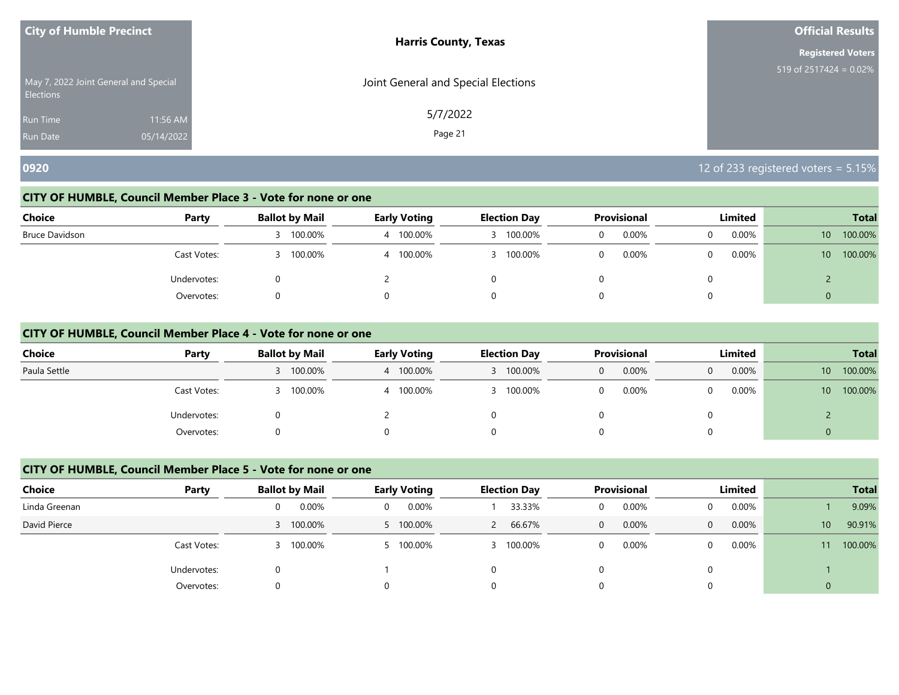| <b>City of Humble Precinct</b>                            |            | <b>Harris County, Texas</b>         | <b>Official Results</b>   |
|-----------------------------------------------------------|------------|-------------------------------------|---------------------------|
|                                                           |            |                                     | <b>Registered Voters</b>  |
| May 7, 2022 Joint General and Special<br><b>Elections</b> |            | Joint General and Special Elections | 519 of 2517424 = $0.02\%$ |
| <b>Run Time</b>                                           | 11:56 AM   | 5/7/2022                            |                           |
| <b>Run Date</b>                                           | 05/14/2022 | Page 21                             |                           |

#### **CITY OF HUMBLE, Council Member Place 3 - Vote for none or one**

| <b>Choice</b>  | Party       | <b>Ballot by Mail</b> | <b>Early Voting</b> | <b>Election Day</b> | <b>Provisional</b>   | <b>Limited</b> | <b>Total</b>               |
|----------------|-------------|-----------------------|---------------------|---------------------|----------------------|----------------|----------------------------|
| Bruce Davidson |             | 100.00%               | 100.00%             | 100.00%             | $0.00\%$<br>$\Omega$ | $0.00\%$<br>0  | 100.00%<br>10 <sup>°</sup> |
|                | Cast Votes: | 100.00%               | 4 100.00%           | 3 100.00%           | 0.00%<br>$\Omega$    | $0.00\%$<br>0  | 100.00%<br>10 <sup>1</sup> |
|                | Undervotes: |                       |                     |                     | $\left( \right)$     | 0              |                            |
|                | Overvotes:  |                       |                     |                     | 0                    | 0              | 0                          |

#### **CITY OF HUMBLE, Council Member Place 4 - Vote for none or one**

| <b>Choice</b> | Party       | <b>Ballot by Mail</b> | <b>Early Voting</b> | <b>Election Day</b> | <b>Provisional</b> | Limited    | <b>Total</b>               |
|---------------|-------------|-----------------------|---------------------|---------------------|--------------------|------------|----------------------------|
| Paula Settle  |             | 3 100.00%             | 4 100.00%           | 100.00%             | 0.00%<br>0         | 0.00%<br>0 | 100.00%<br>10 <sup>°</sup> |
|               | Cast Votes: | 100.00%               | 4 100.00%           | 100.00%             | 0.00%              | $0.00\%$   | 100.00%<br>10 <sup>1</sup> |
|               | Undervotes: | 0                     |                     |                     |                    |            |                            |
|               | Overvotes:  |                       | 0                   |                     |                    |            | $\Omega$                   |

# **CITY OF HUMBLE, Council Member Place 5 - Vote for none or one**

| <b>Choice</b> | Party       | <b>Ballot by Mail</b> | <b>Early Voting</b> | <b>Election Day</b> | <b>Provisional</b> | Limited  | <b>Total</b>              |
|---------------|-------------|-----------------------|---------------------|---------------------|--------------------|----------|---------------------------|
| Linda Greenan |             | 0.00%<br>0            | 0.00%<br>$\Omega$   | 33.33%              | 0.00%<br>0         | 0.00%    | 9.09%                     |
| David Pierce  |             | 3 100.00%             | 5 100.00%           | 66.67%<br>2         | 0.00%<br>0         | 0.00%    | 90.91%<br>10 <sup>°</sup> |
|               | Cast Votes: | 100.00%<br>3.         | 100.00%             | 3 100.00%           | 0.00%<br>0         | $0.00\%$ | 100.00%<br>11             |
|               | Undervotes: |                       |                     |                     |                    |          |                           |
|               | Overvotes:  | 0                     |                     |                     |                    |          | $\overline{0}$            |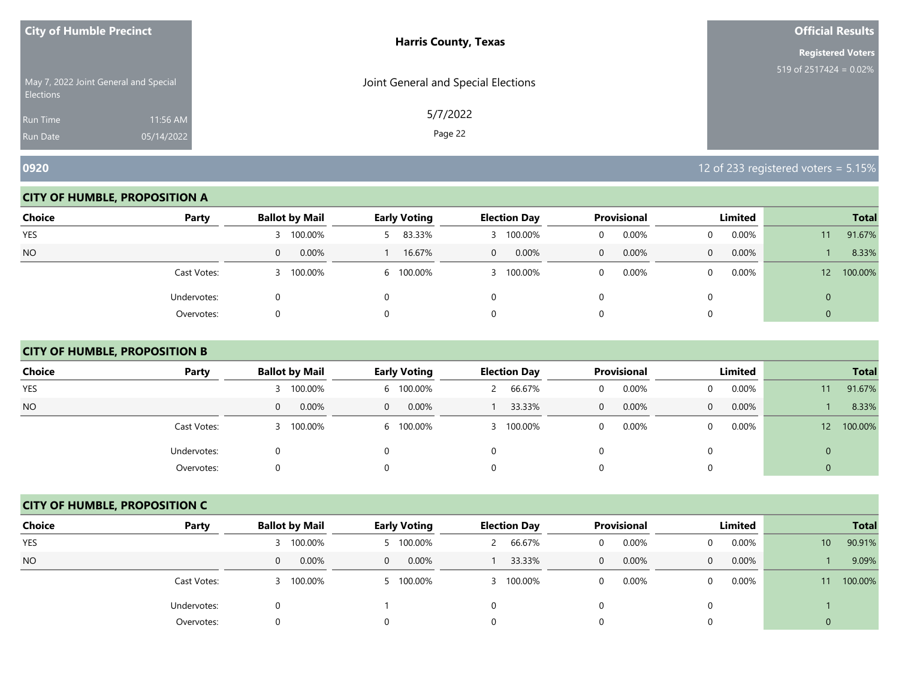| <b>City of Humble Precinct</b>                            |            | <b>Harris County, Texas</b>         | <b>Official Results</b>   |
|-----------------------------------------------------------|------------|-------------------------------------|---------------------------|
|                                                           |            |                                     | <b>Registered Voters</b>  |
| May 7, 2022 Joint General and Special<br><b>Elections</b> |            | Joint General and Special Elections | 519 of $2517424 = 0.02\%$ |
| <b>Run Time</b>                                           | 11:56 AM   | 5/7/2022                            |                           |
| Run Date                                                  | 05/14/2022 | Page 22                             |                           |

#### **CITY OF HUMBLE, PROPOSITION A**

| <b>Choice</b> | Party       | <b>Ballot by Mail</b> | <b>Early Voting</b> | <b>Election Day</b>     | Provisional       | Limited               | <b>Total</b>               |
|---------------|-------------|-----------------------|---------------------|-------------------------|-------------------|-----------------------|----------------------------|
| YES           |             | 100.00%               | 83.33%              | 100.00%                 | 0.00%<br>O        | $0.00\%$<br>$\Omega$  | 91.67%<br>11               |
| <b>NO</b>     |             | 0.00%<br>0            | 16.67%              | 0.00%<br>$\overline{0}$ | 0.00%<br>$\Omega$ | 0.00%<br>$\mathbf{0}$ | 8.33%                      |
|               | Cast Votes: | 100.00%               | 6 100.00%           | 100.00%                 | 0.00%             | $0.00\%$<br>0         | 100.00%<br>12 <sup>2</sup> |
|               | Undervotes: |                       |                     |                         |                   |                       | 0                          |
|               | Overvotes:  |                       |                     |                         |                   |                       | 0                          |

# **CITY OF HUMBLE, PROPOSITION B**

| <b>Choice</b> | Party       | <b>Ballot by Mail</b> | <b>Early Voting</b> | <b>Election Day</b> | <b>Provisional</b>    | Limited               | <b>Total</b>               |
|---------------|-------------|-----------------------|---------------------|---------------------|-----------------------|-----------------------|----------------------------|
| <b>YES</b>    |             | 100.00%               | 6 100.00%           | 66.67%              | 0.00%<br>0            | $0.00\%$<br>0         | 91.67%<br>11               |
| NO.           |             | 0.00%<br>$\mathbf{0}$ | 0.00%<br>$\Omega$   | 33.33%              | 0.00%<br>$\mathbf{0}$ | 0.00%<br>$\mathbf{0}$ | 8.33%                      |
|               | Cast Votes: | 100.00%               | 6 100.00%           | 100.00%             | 0.00%<br>0            | $0.00\%$<br>$\Omega$  | 100.00%<br>12 <sup>2</sup> |
|               | Undervotes: | 0                     | $\Omega$            |                     | 0                     | $\Omega$              | $\mathbf{0}$               |
|               | Overvotes:  | 0                     | 0                   |                     | 0                     | $\Omega$              | $\theta$                   |

# **CITY OF HUMBLE, PROPOSITION C**

| <b>Choice</b> | Party       | <b>Ballot by Mail</b> | Early Voting      | <b>Election Day</b> | <b>Provisional</b>    | Limited           | <b>Total</b>              |
|---------------|-------------|-----------------------|-------------------|---------------------|-----------------------|-------------------|---------------------------|
| <b>YES</b>    |             | 3 100.00%             | 5 100.00%         | 66.67%              | 0.00%<br>0            | 0.00%<br>0        | 90.91%<br>10 <sup>°</sup> |
| <b>NO</b>     |             | 0.00%<br>0            | 0.00%<br>$\Omega$ | 33.33%              | 0.00%<br>$\mathbf{0}$ | 0.00%<br>$\Omega$ | 9.09%                     |
|               | Cast Votes: | 3 100.00%             | 100.00%           | 3 100.00%           | 0.00%<br>0            | 0.00%<br>$\Omega$ | 100.00%<br>11             |
|               | Undervotes: | 0                     |                   |                     |                       | $\Omega$          |                           |
|               | Overvotes:  | 0                     |                   | 0                   |                       | 0                 |                           |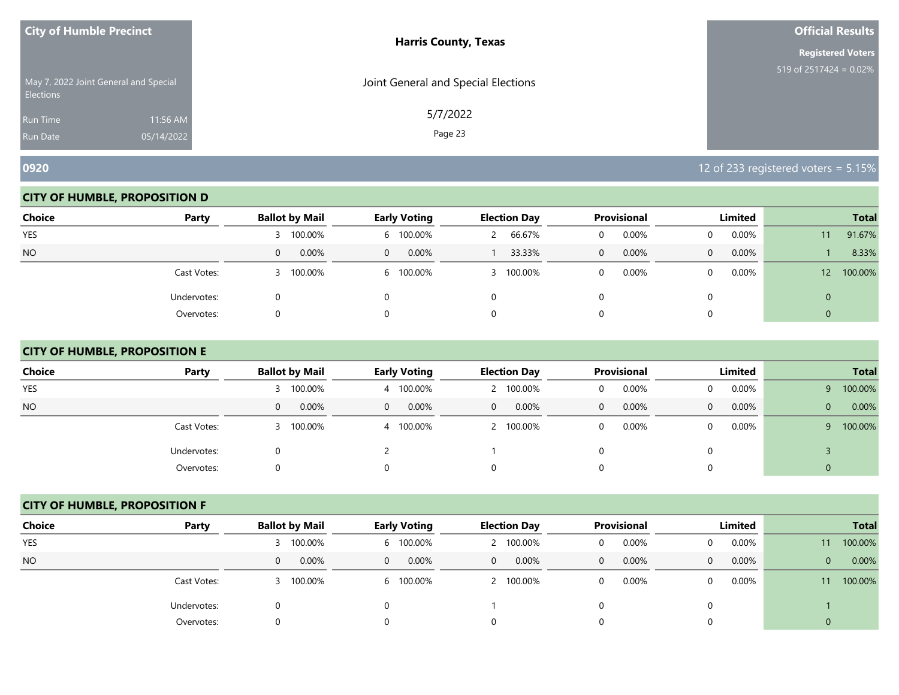| <b>City of Humble Precinct</b>                            |            | <b>Harris County, Texas</b>         | <b>Official Results</b>   |
|-----------------------------------------------------------|------------|-------------------------------------|---------------------------|
|                                                           |            |                                     | <b>Registered Voters</b>  |
| May 7, 2022 Joint General and Special<br><b>Elections</b> |            | Joint General and Special Elections | 519 of $2517424 = 0.02\%$ |
| <b>Run Time</b>                                           | 11:56 AM   | 5/7/2022                            |                           |
| <b>Run Date</b>                                           | 05/14/2022 | Page 23                             |                           |

#### **CITY OF HUMBLE, PROPOSITION D**

| <b>Choice</b> | Party       | <b>Ballot by Mail</b>    | <b>Early Voting</b>  | <b>Election Day</b> | Provisional   | Limited           | <b>Total</b>               |
|---------------|-------------|--------------------------|----------------------|---------------------|---------------|-------------------|----------------------------|
| YES           |             | 100.00%                  | 6 100.00%            | 66.67%              | 0.00%<br>0    | 0.00%             | 91.67%<br>11               |
| <b>NO</b>     |             | $0.00\%$<br>$\mathbf{0}$ | $0.00\%$<br>$\Omega$ | 33.33%              | $0.00\%$<br>0 | 0.00%<br>$\Omega$ | 8.33%                      |
|               | Cast Votes: | 100.00%                  | 6 100.00%            | 100.00%<br>3.       | 0.00%         | $0.00\%$          | 100.00%<br>12 <sup>2</sup> |
|               | Undervotes: |                          |                      | 0                   |               |                   | 0                          |
|               | Overvotes:  | O                        |                      | 0                   |               |                   |                            |

# **CITY OF HUMBLE, PROPOSITION E**

| <b>Choice</b> | Party       | <b>Ballot by Mail</b> | <b>Early Voting</b> | <b>Election Day</b>   | <b>Provisional</b>       | Limited              | <b>Total</b>          |
|---------------|-------------|-----------------------|---------------------|-----------------------|--------------------------|----------------------|-----------------------|
| <b>YES</b>    |             | 3 100.00%             | 4 100.00%           | 100.00%               | 0.00%<br>0               | $0.00\%$<br>$\Omega$ | 100.00%<br>Q          |
| <b>NO</b>     |             | $0.00\%$<br>0         | 0.00%<br>$\Omega$   | 0.00%<br>$\mathbf{0}$ | $0.00\%$<br>$\mathbf{0}$ | $0.00\%$<br>0        | 0.00%<br>$\mathbf{0}$ |
|               | Cast Votes: | 3 100.00%             | 4 100.00%           | 100.00%               | 0.00%<br>0               | $0.00\%$<br>0        | 100.00%<br>Q.         |
|               | Undervotes: | 0                     |                     |                       | 0                        | 0                    |                       |
|               | Overvotes:  |                       | $\Omega$            |                       | $\Omega$                 | $\Omega$             |                       |

# **CITY OF HUMBLE, PROPOSITION F**

| <b>Choice</b> | Party       | <b>Ballot by Mail</b> | <b>Early Voting</b> | <b>Election Day</b>     | <b>Provisional</b>   | Limited    | <b>Total</b>            |
|---------------|-------------|-----------------------|---------------------|-------------------------|----------------------|------------|-------------------------|
| <b>YES</b>    |             | 3 100.00%             | 6 100.00%           | 100.00%                 | 0.00%<br>0           | 0.00%      | 100.00%<br>11           |
| <b>NO</b>     |             | 0.00%<br>$\mathbf{0}$ | 0.00%<br>$\Omega$   | 0.00%<br>$\overline{0}$ | 0.00%<br>$\mathbf 0$ | 0.00%<br>0 | 0.00%<br>$\overline{0}$ |
|               | Cast Votes: | 3 100.00%             | 6 100.00%           | 100.00%                 | 0.00%<br>0           | 0.00%      | 100.00%<br>11           |
|               | Undervotes: | U                     |                     |                         |                      |            |                         |
|               | Overvotes:  | U                     |                     |                         | 0                    |            |                         |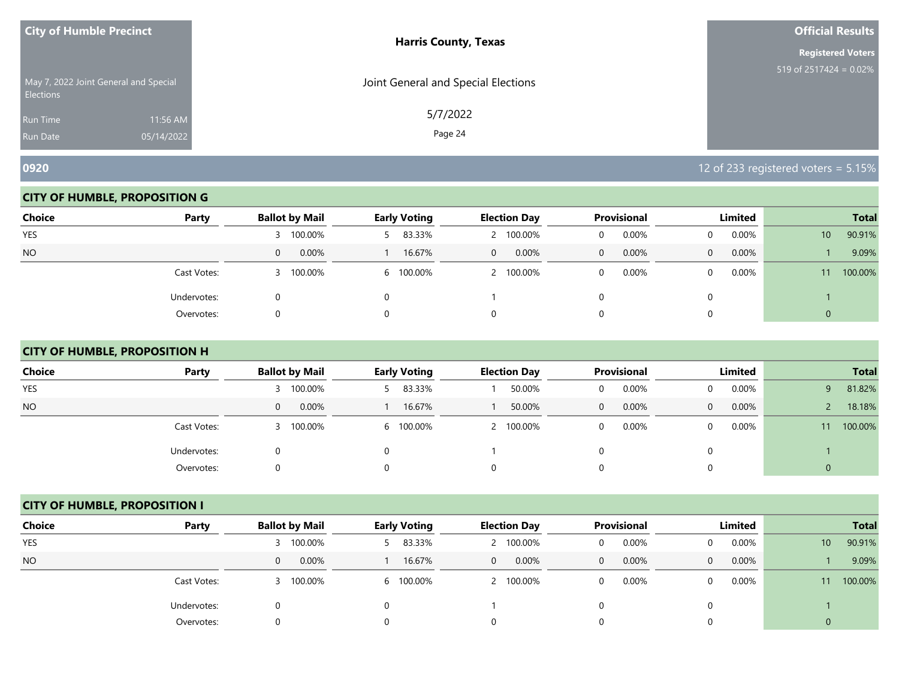| <b>City of Humble Precinct</b>                            |            | <b>Harris County, Texas</b>         | <b>Official Results</b>   |
|-----------------------------------------------------------|------------|-------------------------------------|---------------------------|
|                                                           |            |                                     | <b>Registered Voters</b>  |
| May 7, 2022 Joint General and Special<br><b>Elections</b> |            | Joint General and Special Elections | 519 of $2517424 = 0.02\%$ |
| <b>Run Time</b>                                           | 11:56 AM   | 5/7/2022                            |                           |
| <b>Run Date</b>                                           | 05/14/2022 | Page 24                             |                           |

#### **CITY OF HUMBLE, PROPOSITION G**

| <b>Choice</b> | Party       | <b>Ballot by Mail</b> | <b>Early Voting</b> | <b>Election Day</b>   | Provisional | Limited               | <b>Total</b>              |
|---------------|-------------|-----------------------|---------------------|-----------------------|-------------|-----------------------|---------------------------|
| <b>YES</b>    |             | 100.00%               | 5 83.33%            | 100.00%               | 0.00%       | $0.00\%$              | 90.91%<br>10 <sup>°</sup> |
| <b>NO</b>     |             | 0.00%<br>0            | 16.67%              | 0.00%<br>$\mathbf{0}$ | 0.00%<br>0  | 0.00%<br>$\mathbf{0}$ | 9.09%                     |
|               | Cast Votes: | 100.00%               | 6 100.00%           | 100.00%               | 0.00%       | $0.00\%$<br>$\Omega$  | 100.00%<br>11             |
|               | Undervotes: |                       |                     |                       |             |                       |                           |
|               | Overvotes:  |                       |                     |                       |             |                       | 0                         |

# **CITY OF HUMBLE, PROPOSITION H**

| <b>Choice</b> | Party       | <b>Ballot by Mail</b> | <b>Early Voting</b> | <b>Election Day</b> | <b>Provisional</b>       | Limited               |              | <b>Total</b> |
|---------------|-------------|-----------------------|---------------------|---------------------|--------------------------|-----------------------|--------------|--------------|
| YES           |             | 100.00%               | 83.33%              | 50.00%              | 0.00%<br>0               | $0.00\%$<br>$\Omega$  | q            | 81.82%       |
| NO.           |             | 0.00%<br>$\mathbf{0}$ | 16.67%              | 50.00%              | $0.00\%$<br>$\mathbf{0}$ | 0.00%<br>$\mathbf{0}$ |              | 18.18%       |
|               | Cast Votes: | 3 100.00%             | 6 100.00%           | 100.00%             | 0.00%<br>0               | $0.00\%$<br>$\Omega$  | $11^{\circ}$ | 100.00%      |
|               | Undervotes: | 0                     | $\Omega$            |                     | 0                        | 0                     |              |              |
|               | Overvotes:  | 0                     | 0                   |                     | $\Omega$                 | $\Omega$              | 0            |              |

# **CITY OF HUMBLE, PROPOSITION I**

| <b>Choice</b> | Party       | <b>Ballot by Mail</b> | <b>Early Voting</b> | <b>Election Day</b>   | Provisional          | Limited           | <b>Total</b>              |
|---------------|-------------|-----------------------|---------------------|-----------------------|----------------------|-------------------|---------------------------|
| <b>YES</b>    |             | 3 100.00%             | 5 83.33%            | 100.00%               | 0.00%<br>0           | 0.00%             | 90.91%<br>10 <sup>°</sup> |
| <b>NO</b>     |             | 0.00%<br>$\mathbf{0}$ | 16.67%              | 0.00%<br>$\mathbf{0}$ | 0.00%<br>$\mathbf 0$ | 0.00%<br>$\Omega$ | 9.09%                     |
|               | Cast Votes: | 3 100.00%             | 6 100.00%           | 2 100.00%             | 0.00%<br>0           | 0.00%             | 100.00%<br>11             |
|               | Undervotes: | Ü                     |                     |                       |                      |                   |                           |
|               | Overvotes:  | 0                     |                     |                       | 0                    |                   |                           |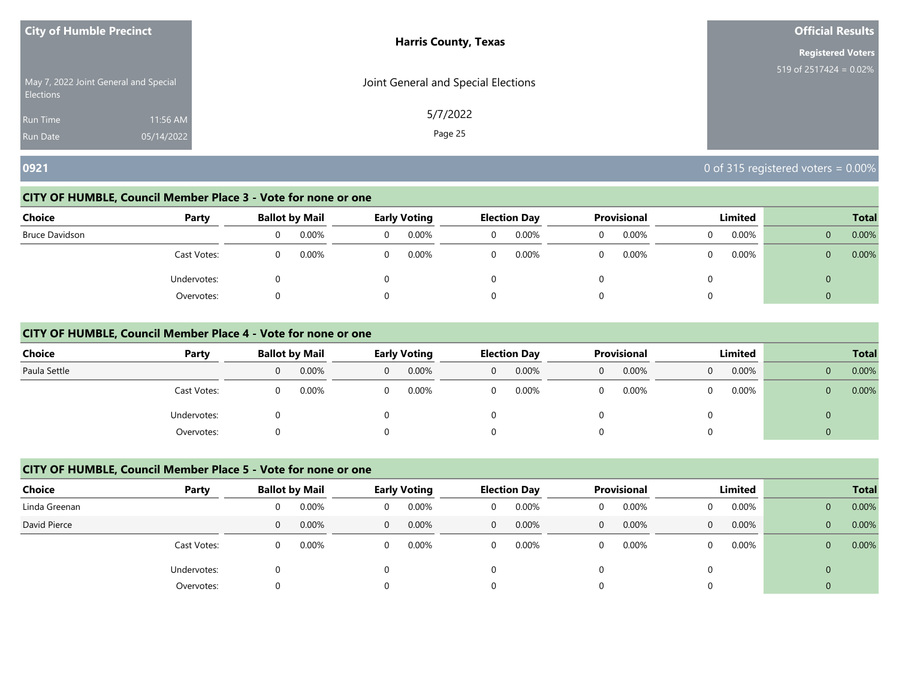| <b>City of Humble Precinct</b>                            |            | <b>Harris County, Texas</b>         | <b>Official Results</b>   |
|-----------------------------------------------------------|------------|-------------------------------------|---------------------------|
|                                                           |            |                                     | <b>Registered Voters</b>  |
| May 7, 2022 Joint General and Special<br><b>Elections</b> |            | Joint General and Special Elections | 519 of $2517424 = 0.02\%$ |
| <b>Run Time</b>                                           | 11:56 AM   | 5/7/2022                            |                           |
| <b>Run Date</b>                                           | 05/14/2022 | Page 25                             |                           |

# **0921** 0921 **0921 0921 001 001 001 001 001 001 001 001 001 001 001 001 001 001 001 001 001 001 001 001 001 001 001 001 001 001 001 001 001 001 001 001 001**

## **CITY OF HUMBLE, Council Member Place 3 - Vote for none or one**

| <b>Choice</b>  | Party       |   | <b>Ballot by Mail</b> | <b>Early Voting</b> |          | <b>Election Day</b> | <b>Provisional</b> | Limited  |              | <b>Total</b> |
|----------------|-------------|---|-----------------------|---------------------|----------|---------------------|--------------------|----------|--------------|--------------|
| Bruce Davidson |             | O | 0.00%                 | 0.00%               | $\Omega$ | 0.00%               | 0.00%              | 0.00%    | $\mathbf{0}$ | 0.00%        |
|                | Cast Votes: | 0 | 0.00%                 | 0.00%               | $\Omega$ | 0.00%               | 0.00%              | $0.00\%$ | 0            | 0.00%        |
|                | Undervotes: |   |                       |                     |          |                     |                    |          | U            |              |
|                | Overvotes:  |   |                       |                     |          |                     |                    |          | 0            |              |

#### **CITY OF HUMBLE, Council Member Place 4 - Vote for none or one**

| <b>Choice</b> | Party       |   | <b>Ballot by Mail</b> |          | <b>Early Voting</b> |   | <b>Election Day</b> |   | <b>Provisional</b> |   | Limited | <b>Total</b> |       |  |
|---------------|-------------|---|-----------------------|----------|---------------------|---|---------------------|---|--------------------|---|---------|--------------|-------|--|
| Paula Settle  |             | 0 | 0.00%                 | $\Omega$ | 0.00%               | 0 | 0.00%               | 0 | 0.00%              | 0 | 0.00%   | $\mathbf{0}$ | 0.00% |  |
|               | Cast Votes: | 0 | 0.00%                 | 0        | 0.00%               |   | 0.00%               |   | 0.00%              |   | 0.00%   | $\mathbf{0}$ | 0.00% |  |
|               | Undervotes: | 0 |                       |          |                     |   |                     |   |                    |   |         | $\Omega$     |       |  |
|               | Overvotes:  | 0 |                       | 0        |                     |   |                     |   |                    |   |         | $\Omega$     |       |  |

# **CITY OF HUMBLE, Council Member Place 5 - Vote for none or one**

| <b>Choice</b> | Party       |   | <b>Ballot by Mail</b> |          | Early Voting |              | <b>Election Day</b> |              | <b>Provisional</b> |          | Limited |              | <b>Total</b> |
|---------------|-------------|---|-----------------------|----------|--------------|--------------|---------------------|--------------|--------------------|----------|---------|--------------|--------------|
| Linda Greenan |             | 0 | 0.00%                 | 0        | 0.00%        | 0            | 0.00%               | 0            | 0.00%              | $\Omega$ | 0.00%   | $\mathbf{0}$ | 0.00%        |
| David Pierce  |             | 0 | 0.00%                 | $\Omega$ | 0.00%        | $\mathbf{0}$ | 0.00%               | $\mathbf{0}$ | 0.00%              | $\Omega$ | 0.00%   | $\mathbf{0}$ | 0.00%        |
|               | Cast Votes: | 0 | 0.00%                 | 0        | 0.00%        | 0            | 0.00%               | 0            | 0.00%              | $\Omega$ | 0.00%   | $\mathbf{0}$ | 0.00%        |
|               | Undervotes: | 0 |                       |          |              |              |                     |              |                    |          |         | $\mathbf 0$  |              |
|               | Overvotes:  | 0 |                       |          |              | 0            |                     | 0            |                    | 0        |         | 0            |              |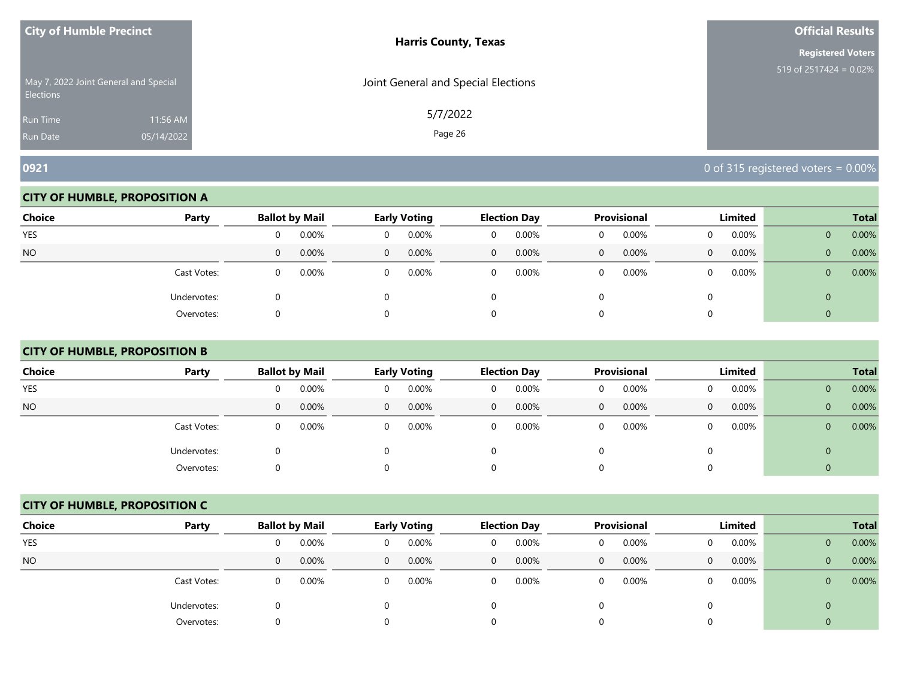| <b>City of Humble Precinct</b> |                                       | <b>Harris County, Texas</b>         | <b>Official Results</b>   |
|--------------------------------|---------------------------------------|-------------------------------------|---------------------------|
|                                |                                       |                                     | <b>Registered Voters</b>  |
| <b>Elections</b>               | May 7, 2022 Joint General and Special | Joint General and Special Elections | 519 of $2517424 = 0.02\%$ |
| Run Time                       | 11:56 AM                              | 5/7/2022                            |                           |
| <b>Run Date</b>                | 05/14/2022                            | Page 26                             |                           |

#### **CITY OF HUMBLE, PROPOSITION A**

| Choice    | Party       |          | <b>Ballot by Mail</b> |          | <b>Early Voting</b> |                | <b>Election Day</b> |          | Provisional |          | Limited  |                | <b>Total</b> |
|-----------|-------------|----------|-----------------------|----------|---------------------|----------------|---------------------|----------|-------------|----------|----------|----------------|--------------|
| YES       |             | 0        | $0.00\%$              | 0        | 0.00%               | 0              | 0.00%               | U        | 0.00%       | 0        | $0.00\%$ | $\mathbf{0}$   | 0.00%        |
| <b>NO</b> |             | 0        | 0.00%                 | $\Omega$ | 0.00%               | $\overline{0}$ | 0.00%               | $\Omega$ | 0.00%       | $\Omega$ | 0.00%    | $\overline{0}$ | 0.00%        |
|           | Cast Votes: | $\Omega$ | 0.00%                 |          | 0.00%               | $\Omega$       | 0.00%               |          | 0.00%       | $\Omega$ | $0.00\%$ | $\overline{0}$ | 0.00%        |
|           | Undervotes: |          |                       |          |                     |                |                     |          |             |          |          | 0              |              |
|           | Overvotes:  |          |                       |          |                     |                |                     |          |             |          |          |                |              |

# **CITY OF HUMBLE, PROPOSITION B**

| <b>Choice</b> | Party       |   | <b>Ballot by Mail</b> |          | <b>Early Voting</b> |              | <b>Election Day</b> |   | Provisional |          | Limited |                | <b>Total</b> |
|---------------|-------------|---|-----------------------|----------|---------------------|--------------|---------------------|---|-------------|----------|---------|----------------|--------------|
| <b>YES</b>    |             | 0 | 0.00%                 | $\Omega$ | 0.00%               | $\Omega$     | 0.00%               | 0 | 0.00%       |          | 0.00%   | $\mathbf{0}$   | 0.00%        |
| <b>NO</b>     |             | 0 | 0.00%                 | $\Omega$ | 0.00%               | $\mathbf{0}$ | 0.00%               | 0 | 0.00%       | $\Omega$ | 0.00%   | $\overline{0}$ | 0.00%        |
|               | Cast Votes: | 0 | 0.00%                 | $\Omega$ | 0.00%               | $\Omega$     | 0.00%               | 0 | 0.00%       | 0        | 0.00%   | $\overline{0}$ | 0.00%        |
|               | Undervotes: | 0 |                       |          |                     |              |                     |   |             | 0        |         | $\mathbf{0}$   |              |
|               | Overvotes:  | 0 |                       |          |                     |              |                     | 0 |             |          |         | 0              |              |

#### **CITY OF HUMBLE, PROPOSITION C**

| <b>Choice</b> | Party       |   | <b>Ballot by Mail</b> |          | Early Voting |                | <b>Election Day</b> |              | <b>Provisional</b> |          | Limited |              | <b>Total</b> |
|---------------|-------------|---|-----------------------|----------|--------------|----------------|---------------------|--------------|--------------------|----------|---------|--------------|--------------|
| <b>YES</b>    |             | 0 | 0.00%                 | 0        | 0.00%        | 0              | 0.00%               | 0            | 0.00%              | $\Omega$ | 0.00%   | $\mathbf{0}$ | 0.00%        |
| <b>NO</b>     |             | 0 | 0.00%                 | $\Omega$ | 0.00%        | $\overline{0}$ | 0.00%               | $\mathbf{0}$ | 0.00%              | $\Omega$ | 0.00%   | $\mathbf{0}$ | 0.00%        |
|               | Cast Votes: | 0 | 0.00%                 | $\Omega$ | 0.00%        | 0              | 0.00%               | 0            | 0.00%              | $\Omega$ | 0.00%   | $\mathbf{0}$ | 0.00%        |
|               | Undervotes: | 0 |                       |          |              |                |                     |              |                    | 0        |         | 0            |              |
|               | Overvotes:  | 0 |                       |          |              | 0              |                     |              |                    | 0        |         |              |              |

**0921** 0 of 315 registered voters = 0.00%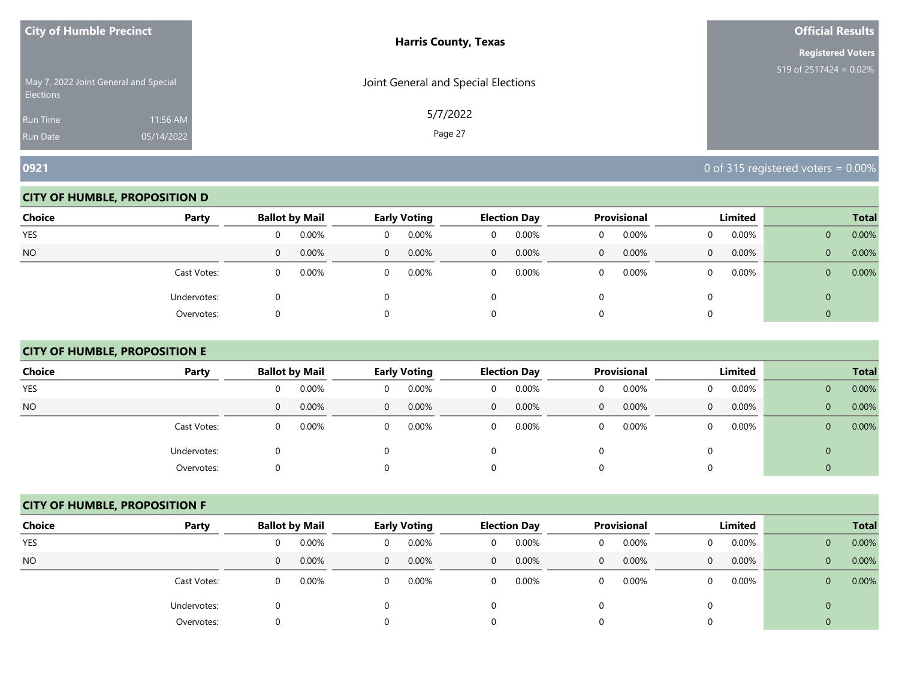| <b>City of Humble Precinct</b>                            | <b>Harris County, Texas</b>         | <b>Official Results</b>   |
|-----------------------------------------------------------|-------------------------------------|---------------------------|
|                                                           |                                     | <b>Registered Voters</b>  |
| May 7, 2022 Joint General and Special<br><b>Elections</b> | Joint General and Special Elections | 519 of $2517424 = 0.02\%$ |
| <b>Run Time</b>                                           | 5/7/2022<br>11:56 AM                |                           |
| 05/14/2022<br><b>Run Date</b>                             | Page 27                             |                           |

#### **CITY OF HUMBLE, PROPOSITION D**

| Choice    | Party       |          | <b>Ballot by Mail</b> |          | <b>Early Voting</b> |                | <b>Election Day</b> |          | Provisional |          | Limited  |                | <b>Total</b> |
|-----------|-------------|----------|-----------------------|----------|---------------------|----------------|---------------------|----------|-------------|----------|----------|----------------|--------------|
| YES       |             | 0        | $0.00\%$              | 0        | 0.00%               | 0              | 0.00%               | U        | 0.00%       | 0        | $0.00\%$ | $\mathbf{0}$   | 0.00%        |
| <b>NO</b> |             | 0        | 0.00%                 | $\Omega$ | 0.00%               | $\overline{0}$ | 0.00%               | $\Omega$ | 0.00%       | $\Omega$ | 0.00%    | $\overline{0}$ | 0.00%        |
|           | Cast Votes: | $\Omega$ | 0.00%                 |          | 0.00%               | $\Omega$       | 0.00%               |          | 0.00%       | $\Omega$ | $0.00\%$ | $\overline{0}$ | 0.00%        |
|           | Undervotes: |          |                       |          |                     |                |                     |          |             |          |          | 0              |              |
|           | Overvotes:  |          |                       |          |                     |                |                     |          |             |          |          |                |              |

# **CITY OF HUMBLE, PROPOSITION E**

| <b>Choice</b> | Party       | <b>Ballot by Mail</b> |       |          | <b>Early Voting</b> |   | <b>Election Day</b> |              | Provisional |   | Limited  |                | <b>Total</b> |
|---------------|-------------|-----------------------|-------|----------|---------------------|---|---------------------|--------------|-------------|---|----------|----------------|--------------|
| <b>YES</b>    |             | 0                     | 0.00% | 0        | 0.00%               | 0 | 0.00%               | 0            | 0.00%       | 0 | $0.00\%$ | $\mathbf{0}$   | 0.00%        |
| <b>NO</b>     |             | 0                     | 0.00% | $\Omega$ | 0.00%               | 0 | 0.00%               | $\mathbf{0}$ | 0.00%       | 0 | $0.00\%$ | $\overline{0}$ | 0.00%        |
|               | Cast Votes: | 0                     | 0.00% | $\Omega$ | $0.00\%$            | 0 | 0.00%               | 0            | 0.00%       |   | 0.00%    | $\mathbf{0}$   | 0.00%        |
|               | Undervotes: | 0                     |       | 0        |                     |   |                     | 0            |             |   |          | 0              |              |
|               | Overvotes:  | 0                     |       | 0        |                     |   |                     | 0            |             | 0 |          |                |              |

#### **CITY OF HUMBLE, PROPOSITION F**

| <b>Choice</b> | Party       |   | <b>Ballot by Mail</b> |                | Early Voting |              | <b>Election Day</b> |              | <b>Provisional</b> |          | Limited |                | <b>Total</b> |
|---------------|-------------|---|-----------------------|----------------|--------------|--------------|---------------------|--------------|--------------------|----------|---------|----------------|--------------|
| <b>YES</b>    |             | 0 | 0.00%                 | 0              | 0.00%        | 0            | 0.00%               | 0            | 0.00%              | 0        | 0.00%   | $\mathbf{0}$   | 0.00%        |
| <b>NO</b>     |             | 0 | 0.00%                 | $\overline{0}$ | 0.00%        | $\mathbf{0}$ | 0.00%               | $\mathbf{0}$ | 0.00%              | $\Omega$ | 0.00%   | $\mathbf{0}$   | 0.00%        |
|               | Cast Votes: | 0 | 0.00%                 | $\Omega$       | 0.00%        | 0            | 0.00%               | 0            | 0.00%              | $\Omega$ | 0.00%   | $\mathbf{0}$   | 0.00%        |
|               | Undervotes: | 0 |                       |                |              |              |                     |              |                    |          |         | $\overline{0}$ |              |
|               | Overvotes:  | 0 |                       |                |              | 0            |                     |              |                    | 0        |         |                |              |

**0921** 0 of 315 registered voters = 0.00%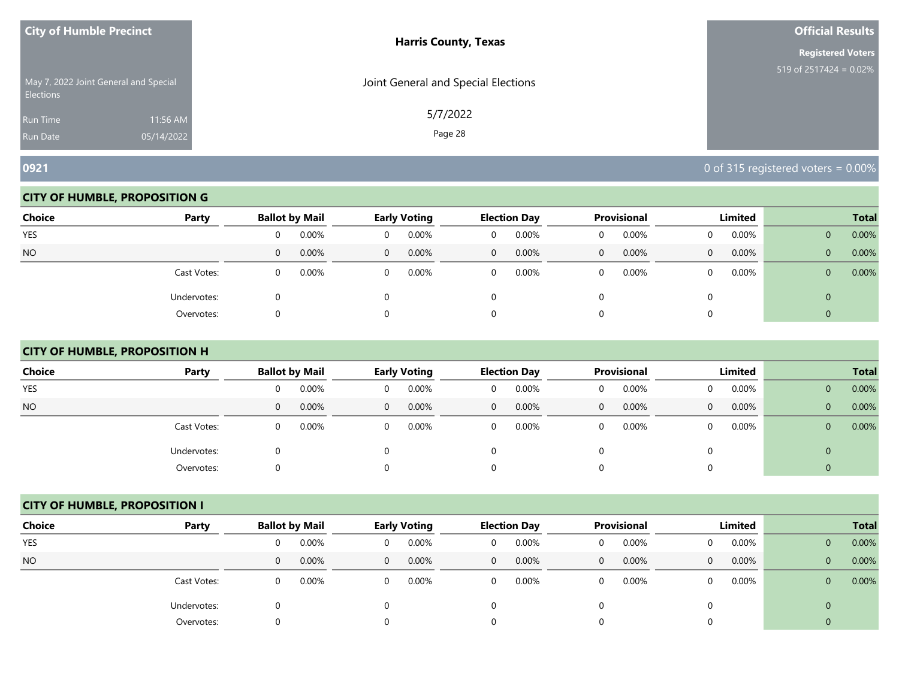| <b>City of Humble Precinct</b>                            |            | <b>Harris County, Texas</b>         | <b>Official Results</b>   |
|-----------------------------------------------------------|------------|-------------------------------------|---------------------------|
|                                                           |            |                                     | <b>Registered Voters</b>  |
| May 7, 2022 Joint General and Special<br><b>Elections</b> |            | Joint General and Special Elections | 519 of $2517424 = 0.02\%$ |
| Run Time                                                  | 11:56 AM   | 5/7/2022                            |                           |
| <b>Run Date</b>                                           | 05/14/2022 | Page 28                             |                           |

#### **CITY OF HUMBLE, PROPOSITION G**

| Choice    | Party       |          | <b>Ballot by Mail</b> |          | <b>Early Voting</b> |                | <b>Election Day</b> |          | Provisional |          | Limited  |                | <b>Total</b> |
|-----------|-------------|----------|-----------------------|----------|---------------------|----------------|---------------------|----------|-------------|----------|----------|----------------|--------------|
| YES       |             | 0        | $0.00\%$              | 0        | 0.00%               | 0              | 0.00%               | U        | 0.00%       | 0        | $0.00\%$ | $\mathbf{0}$   | 0.00%        |
| <b>NO</b> |             | 0        | 0.00%                 | $\Omega$ | 0.00%               | $\overline{0}$ | 0.00%               | $\Omega$ | 0.00%       | $\Omega$ | 0.00%    | $\overline{0}$ | 0.00%        |
|           | Cast Votes: | $\Omega$ | 0.00%                 |          | 0.00%               | $\Omega$       | 0.00%               |          | 0.00%       | $\Omega$ | $0.00\%$ | $\overline{0}$ | 0.00%        |
|           | Undervotes: |          |                       |          |                     |                |                     |          |             |          |          | 0              |              |
|           | Overvotes:  |          |                       |          |                     |                |                     |          |             |          |          |                |              |

# **CITY OF HUMBLE, PROPOSITION H**

| <b>Choice</b>  | Party       |              | <b>Ballot by Mail</b> |          | <b>Early Voting</b> |              | <b>Election Day</b> |   | Provisional |              | Limited  |                | <b>Total</b> |
|----------------|-------------|--------------|-----------------------|----------|---------------------|--------------|---------------------|---|-------------|--------------|----------|----------------|--------------|
| <b>YES</b>     |             | 0            | 0.00%                 | 0        | 0.00%               | $\Omega$     | 0.00%               | U | 0.00%       |              | $0.00\%$ | $\mathbf{0}$   | 0.00%        |
| N <sub>O</sub> |             | $\mathbf{0}$ | 0.00%                 | $\Omega$ | 0.00%               | $\mathbf{0}$ | 0.00%               | 0 | 0.00%       | $\mathbf{0}$ | $0.00\%$ | $\overline{0}$ | 0.00%        |
|                | Cast Votes: | 0            | 0.00%                 | $\Omega$ | 0.00%               | $\Omega$     | 0.00%               | 0 | 0.00%       |              | $0.00\%$ | $\overline{0}$ | 0.00%        |
|                | Undervotes: | O            |                       |          |                     |              |                     |   |             | 0            |          | $\mathbf{0}$   |              |
|                | Overvotes:  | O            |                       |          |                     |              |                     |   |             |              |          | 0              |              |

# **CITY OF HUMBLE, PROPOSITION I**

| <b>Choice</b> | Party       |   | <b>Ballot by Mail</b> |          | Early Voting |                | <b>Election Day</b> |              | <b>Provisional</b> |          | Limited |              | <b>Total</b> |
|---------------|-------------|---|-----------------------|----------|--------------|----------------|---------------------|--------------|--------------------|----------|---------|--------------|--------------|
| <b>YES</b>    |             | 0 | 0.00%                 | 0        | 0.00%        | 0              | 0.00%               | 0            | 0.00%              | $\Omega$ | 0.00%   | $\mathbf{0}$ | 0.00%        |
| <b>NO</b>     |             | 0 | 0.00%                 | $\Omega$ | 0.00%        | $\overline{0}$ | 0.00%               | $\mathbf{0}$ | 0.00%              | $\Omega$ | 0.00%   | $\mathbf{0}$ | 0.00%        |
|               | Cast Votes: | 0 | 0.00%                 | $\Omega$ | 0.00%        | 0              | 0.00%               | 0            | 0.00%              | $\Omega$ | 0.00%   | $\mathbf{0}$ | 0.00%        |
|               | Undervotes: | 0 |                       |          |              |                |                     |              |                    | 0        |         | 0            |              |
|               | Overvotes:  | 0 |                       |          |              | 0              |                     |              |                    | 0        |         |              |              |

**0921** 0 of 315 registered voters = 0.00%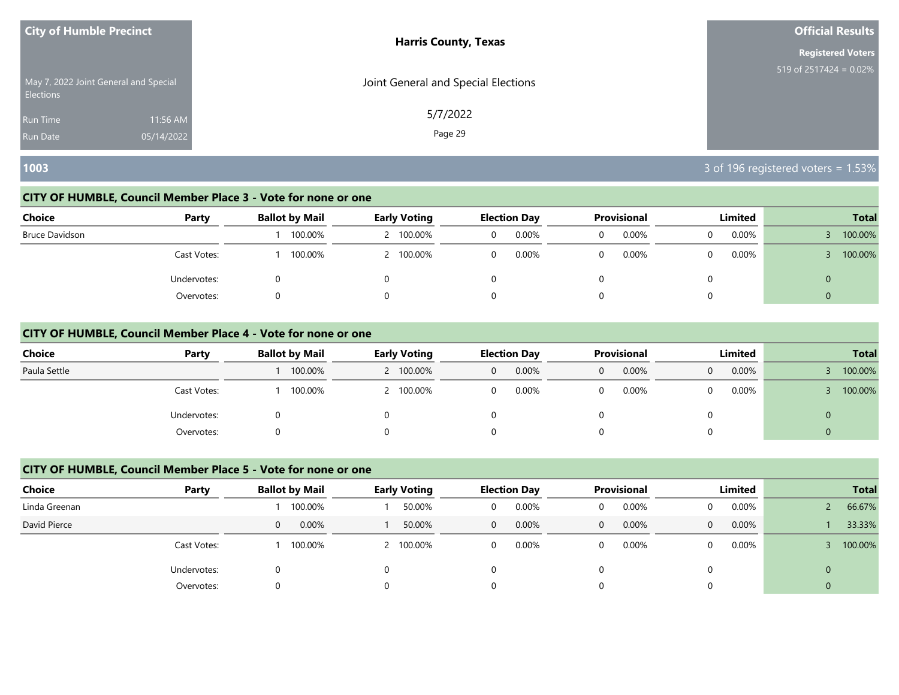| <b>City of Humble Precinct</b>                     | <b>Harris County, Texas</b>         | <b>Official Results</b>   |
|----------------------------------------------------|-------------------------------------|---------------------------|
|                                                    |                                     | <b>Registered Voters</b>  |
| May 7, 2022 Joint General and Special<br>Elections | Joint General and Special Elections | 519 of $2517424 = 0.02\%$ |
| 11:56 AM<br><b>Run Time</b>                        | 5/7/2022                            |                           |
| 05/14/2022<br><b>Run Date</b>                      | Page 29                             |                           |

# **1003** 3 of 196 registered voters = 1.53%

## **CITY OF HUMBLE, Council Member Place 3 - Vote for none or one**

| <b>Choice</b>  | Party       | <b>Ballot by Mail</b> | <b>Early Voting</b> | <b>Election Day</b> | <b>Provisional</b> | Limited  | <b>Total</b> |
|----------------|-------------|-----------------------|---------------------|---------------------|--------------------|----------|--------------|
| Bruce Davidson |             | 100.00%               | 2 100.00%           | 0.00%<br>$\Omega$   | 0.00%              | 0.00%    | 100.00%      |
|                | Cast Votes: | 100.00%               | 2 100.00%           | 0.00%<br>0          | 0.00%              | $0.00\%$ | 100.00%      |
|                | Undervotes: |                       |                     |                     |                    |          | U            |
|                | Overvotes:  |                       |                     |                     |                    |          | 0            |

#### **CITY OF HUMBLE, Council Member Place 4 - Vote for none or one**

| <b>Choice</b> | Party       | <b>Ballot by Mail</b> | <b>Early Voting</b> | <b>Election Day</b> | <b>Provisional</b> | Limited    | <b>Total</b> |
|---------------|-------------|-----------------------|---------------------|---------------------|--------------------|------------|--------------|
| Paula Settle  |             | 100.00%               | 2 100.00%           | 0.00%<br>0          | 0.00%<br>0         | 0.00%<br>0 | 100.00%      |
|               | Cast Votes: | 100.00%               | 2 100.00%           | 0.00%               | 0.00%              | 0.00%      | 100.00%      |
|               | Undervotes: | 0                     |                     |                     |                    |            | $\Omega$     |
|               | Overvotes:  |                       |                     |                     |                    |            |              |

## **CITY OF HUMBLE, Council Member Place 5 - Vote for none or one**

| Choice        | Party       | <b>Ballot by Mail</b> | <b>Early Voting</b> | <b>Election Day</b> | Provisional       | Limited  | <b>Total</b>   |
|---------------|-------------|-----------------------|---------------------|---------------------|-------------------|----------|----------------|
| Linda Greenan |             | 100.00%               | 50.00%              | 0.00%<br>0          | 0.00%<br>0        | $0.00\%$ | 66.67%         |
| David Pierce  |             | 0.00%<br>0            | 50.00%              | $0.00\%$<br>0       | 0.00%<br>$\Omega$ | 0.00%    | 33.33%         |
|               | Cast Votes: | 100.00%               | 100.00%             | 0.00%<br>0          | 0.00%<br>0        | $0.00\%$ | 100.00%        |
|               | Undervotes: |                       |                     |                     |                   |          | $\mathbf{0}$   |
|               | Overvotes:  | O                     |                     |                     |                   |          | $\overline{0}$ |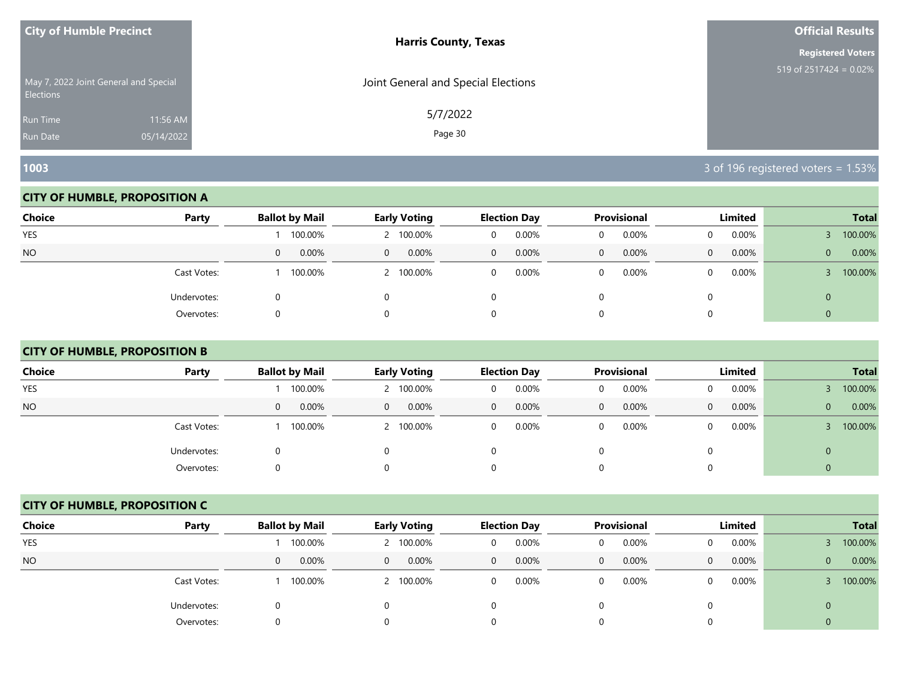| <b>City of Humble Precinct</b>                            |            | <b>Harris County, Texas</b>         | <b>Official Results</b>   |
|-----------------------------------------------------------|------------|-------------------------------------|---------------------------|
|                                                           |            |                                     | <b>Registered Voters</b>  |
| May 7, 2022 Joint General and Special<br><b>Elections</b> |            | Joint General and Special Elections | 519 of 2517424 = $0.02\%$ |
| <b>Run Time</b>                                           | 11:56 AM   | 5/7/2022                            |                           |
| <b>Run Date</b>                                           | 05/14/2022 | Page 30                             |                           |

#### **CITY OF HUMBLE, PROPOSITION A**

| <b>Choice</b> | Party       | <b>Ballot by Mail</b>    | <b>Early Voting</b>  | <b>Election Day</b>     | Provisional   | Limited           | <b>Total</b>          |
|---------------|-------------|--------------------------|----------------------|-------------------------|---------------|-------------------|-----------------------|
| YES           |             | 100.00%                  | 2 100.00%            | 0.00%<br>0              | 0.00%         | 0.00%             | 100.00%               |
| <b>NO</b>     |             | $0.00\%$<br>$\mathbf{0}$ | $0.00\%$<br>$\Omega$ | 0.00%<br>$\overline{0}$ | $0.00\%$<br>0 | 0.00%<br>$\Omega$ | 0.00%<br>$\mathbf{0}$ |
|               | Cast Votes: | 100.00%                  | 2 100.00%            | 0.00%<br>$\mathbf 0$    | 0.00%         | $0.00\%$          | 100.00%               |
|               | Undervotes: |                          |                      | 0                       |               |                   | 0                     |
|               | Overvotes:  | O                        |                      | 0                       |               |                   |                       |

# **CITY OF HUMBLE, PROPOSITION B**

| <b>Choice</b> | Party       | <b>Ballot by Mail</b> | <b>Early Voting</b> | <b>Election Day</b> | <b>Provisional</b>       | Limited               | <b>Total</b>          |
|---------------|-------------|-----------------------|---------------------|---------------------|--------------------------|-----------------------|-----------------------|
| <b>YES</b>    |             | 100.00%               | 2 100.00%           | 0.00%               | 0.00%<br>0               | $0.00\%$<br>$\Omega$  | 100.00%               |
| NO.           |             | 0.00%<br>$\mathbf{0}$ | 0.00%<br>$\Omega$   | 0.00%<br>0          | $0.00\%$<br>$\mathbf{0}$ | 0.00%<br>$\mathbf{0}$ | 0.00%<br>$\mathbf{0}$ |
|               | Cast Votes: | 100.00%               | 2 100.00%           | 0.00%<br>$\Omega$   | 0.00%<br>0               | $0.00\%$<br>$\Omega$  | 100.00%               |
|               | Undervotes: | 0                     | 0                   |                     | 0                        | 0                     | $\mathbf{0}$          |
|               | Overvotes:  | 0                     | 0                   |                     | 0                        | $\Omega$              | 0                     |

#### **CITY OF HUMBLE, PROPOSITION C**

| <b>Choice</b> | Party       | <b>Ballot by Mail</b> | <b>Early Voting</b>     | <b>Election Day</b>   | <b>Provisional</b>    | Limited                  | <b>Total</b>            |
|---------------|-------------|-----------------------|-------------------------|-----------------------|-----------------------|--------------------------|-------------------------|
| <b>YES</b>    |             | 100.00%               | 2 100.00%               | 0.00%<br>$\Omega$     | 0.00%<br>0            | $0.00\%$<br><sup>n</sup> | 100.00%                 |
| <b>NO</b>     |             | 0.00%<br>$\mathbf{0}$ | 0.00%<br>$\overline{0}$ | 0.00%<br>$\mathbf{0}$ | 0.00%<br>$\mathbf{0}$ | 0.00%<br>0               | 0.00%<br>$\overline{0}$ |
|               | Cast Votes: | 100.00%               | 2 100.00%               | 0.00%<br>$\Omega$     | 0.00%<br>0            | $0.00\%$                 | 100.00%                 |
|               | Undervotes: | 0                     | 0                       |                       |                       |                          | $\mathbf{0}$            |
|               | Overvotes:  | 0                     | 0                       |                       |                       |                          | 0                       |

**1003** 3 of 196 registered voters = 1.53%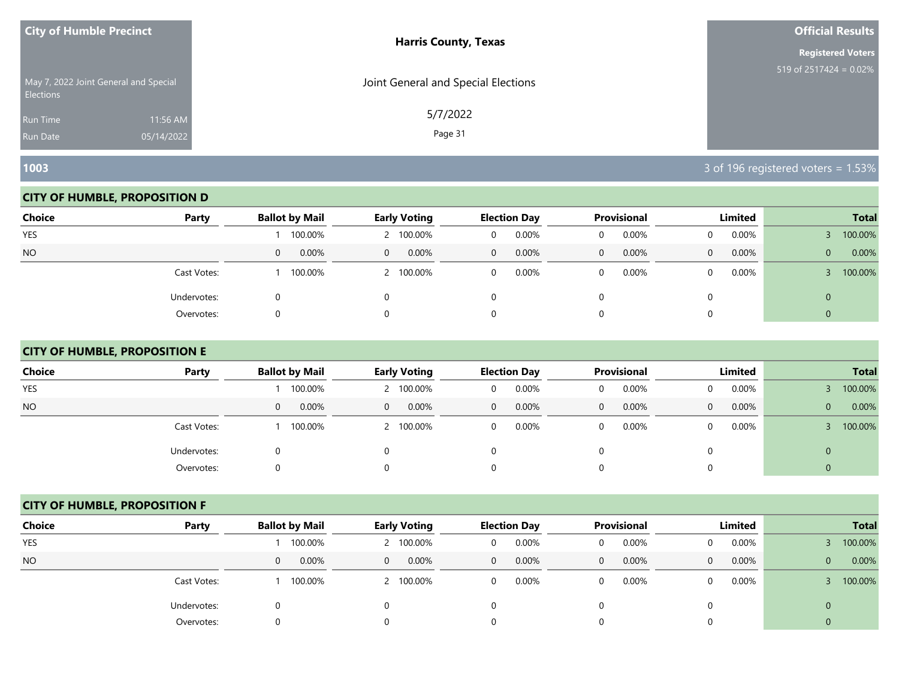| <b>City of Humble Precinct</b>                            |            | <b>Harris County, Texas</b>         | <b>Official Results</b>   |
|-----------------------------------------------------------|------------|-------------------------------------|---------------------------|
|                                                           |            |                                     | <b>Registered Voters</b>  |
| May 7, 2022 Joint General and Special<br><b>Elections</b> |            | Joint General and Special Elections | 519 of $2517424 = 0.02\%$ |
| <b>Run Time</b>                                           | 11:56 AM   | 5/7/2022                            |                           |
| Run Date                                                  | 05/14/2022 | Page 31                             |                           |

#### **CITY OF HUMBLE, PROPOSITION D**

| <b>Choice</b> | Party       | <b>Ballot by Mail</b>    | <b>Early Voting</b>  | <b>Election Day</b>     | Provisional   | Limited           | <b>Total</b>          |
|---------------|-------------|--------------------------|----------------------|-------------------------|---------------|-------------------|-----------------------|
| YES           |             | 100.00%                  | 2 100.00%            | 0.00%<br>0              | 0.00%         | 0.00%             | 100.00%               |
| <b>NO</b>     |             | $0.00\%$<br>$\mathbf{0}$ | $0.00\%$<br>$\Omega$ | 0.00%<br>$\overline{0}$ | $0.00\%$<br>0 | 0.00%<br>$\Omega$ | 0.00%<br>$\mathbf{0}$ |
|               | Cast Votes: | 100.00%                  | 2 100.00%            | 0.00%<br>$\mathbf 0$    | 0.00%         | $0.00\%$          | 100.00%               |
|               | Undervotes: |                          |                      | 0                       |               |                   | 0                     |
|               | Overvotes:  | O                        |                      | 0                       |               |                   |                       |

# **CITY OF HUMBLE, PROPOSITION E**

| <b>Choice</b>  | Party       | <b>Ballot by Mail</b> | <b>Early Voting</b> | <b>Election Day</b> | <b>Provisional</b>    | Limited              | <b>Total</b>          |
|----------------|-------------|-----------------------|---------------------|---------------------|-----------------------|----------------------|-----------------------|
| <b>YES</b>     |             | 100.00%               | 2 100.00%           | 0.00%<br>0          | 0.00%<br>0            | $0.00\%$<br>0        | 100.00%               |
| N <sub>O</sub> |             | 0.00%<br>0            | 0.00%<br>$\Omega$   | 0.00%<br>$\Omega$   | 0.00%<br>$\mathbf{0}$ | $0.00\%$<br>$\Omega$ | 0.00%<br>$\mathbf{0}$ |
|                | Cast Votes: | 100.00%               | 2 100.00%           | 0.00%<br>$\Omega$   | 0.00%<br>0            | $0.00\%$<br>0        | 100.00%               |
|                | Undervotes: | 0                     | 0                   |                     | 0                     | 0                    | 0                     |
|                | Overvotes:  |                       | $\Omega$            |                     | 0                     | $\Omega$             |                       |

#### **CITY OF HUMBLE, PROPOSITION F**

| <b>Choice</b> | Party       | <b>Ballot by Mail</b> | <b>Early Voting</b>     | <b>Election Day</b>      | <b>Provisional</b>       | Limited       | <b>Total</b>            |
|---------------|-------------|-----------------------|-------------------------|--------------------------|--------------------------|---------------|-------------------------|
| <b>YES</b>    |             | 100.00%               | 2 100.00%               | 0.00%<br>$\Omega$        | 0.00%<br>0               | $0.00\%$<br>0 | 100.00%                 |
| <b>NO</b>     |             | 0.00%<br>$\mathbf{0}$ | 0.00%<br>$\overline{0}$ | $0.00\%$<br>$\mathbf{0}$ | $0.00\%$<br>$\mathbf{0}$ | 0.00%<br>0    | 0.00%<br>$\overline{0}$ |
|               | Cast Votes: | 100.00%               | 2 100.00%               | 0.00%<br>0               | 0.00%<br>0               | $0.00\%$<br>0 | 100.00%                 |
|               | Undervotes: | 0                     | 0                       |                          |                          |               | $\mathbf{0}$            |
|               | Overvotes:  | 0                     | $\Omega$                |                          |                          |               |                         |

**1003** 3 of 196 registered voters = 1.53%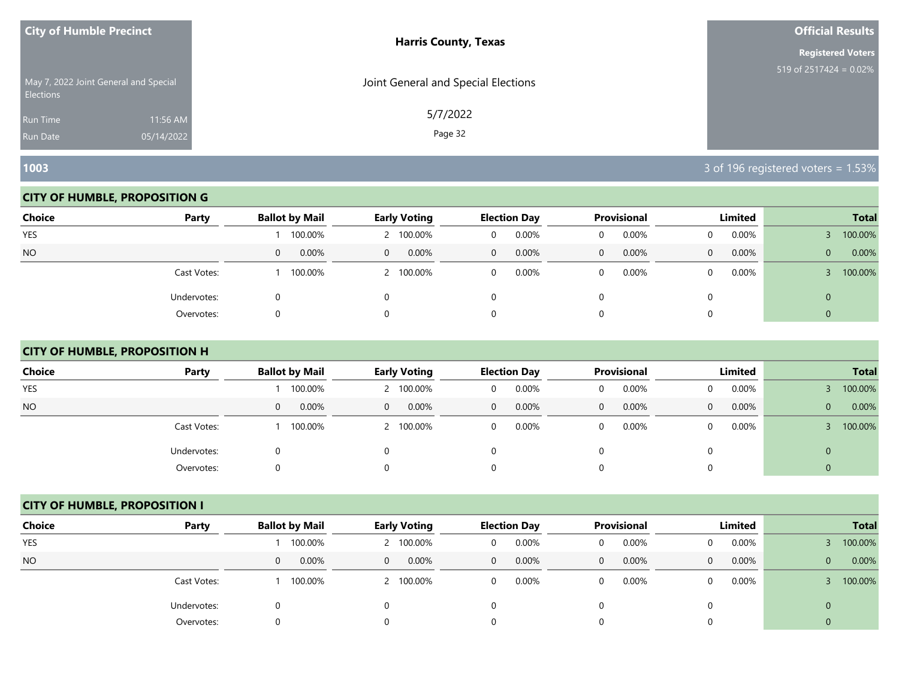| <b>City of Humble Precinct</b>                            |            | <b>Harris County, Texas</b>         | <b>Official Results</b>   |
|-----------------------------------------------------------|------------|-------------------------------------|---------------------------|
|                                                           |            |                                     | <b>Registered Voters</b>  |
| May 7, 2022 Joint General and Special<br><b>Elections</b> |            | Joint General and Special Elections | 519 of $2517424 = 0.02\%$ |
| <b>Run Time</b>                                           | 11:56 AM   | 5/7/2022                            |                           |
| <b>Run Date</b>                                           | 05/14/2022 | Page 32                             |                           |

#### **CITY OF HUMBLE, PROPOSITION G**

| <b>Choice</b> | Party       | <b>Ballot by Mail</b> | <b>Early Voting</b>  | <b>Election Day</b>   | Provisional   | Limited               | <b>Total</b>          |
|---------------|-------------|-----------------------|----------------------|-----------------------|---------------|-----------------------|-----------------------|
| <b>YES</b>    |             | 100.00%               | 2 100.00%            | 0.00%<br>0            | 0.00%<br>0    | 0.00%                 | 100.00%               |
| <b>NO</b>     |             | 0.00%<br>$\mathbf{0}$ | $0.00\%$<br>$\Omega$ | 0.00%<br>$\mathbf{0}$ | $0.00\%$<br>0 | 0.00%<br>$\mathbf{0}$ | 0.00%<br>$\mathbf{0}$ |
|               | Cast Votes: | 100.00%               | 2 100.00%            | 0.00%<br>$\mathbf 0$  | 0.00%         | 0.00%                 | 100.00%               |
|               | Undervotes: |                       |                      | 0                     |               |                       | U                     |
|               | Overvotes:  | O                     |                      | 0                     |               |                       |                       |

# **CITY OF HUMBLE, PROPOSITION H**

| <b>Choice</b> | Party       | <b>Ballot by Mail</b> | <b>Early Voting</b>     | <b>Election Day</b> | Provisional           | Limited       | <b>Total</b>          |
|---------------|-------------|-----------------------|-------------------------|---------------------|-----------------------|---------------|-----------------------|
| <b>YES</b>    |             | 100.00%               | 2 100.00%               | 0.00%<br>0          | 0.00%<br>0            | $0.00\%$      | 100.00%               |
| <b>NO</b>     |             | 0.00%<br>$\mathbf{0}$ | 0.00%<br>$\overline{0}$ | 0.00%<br>0          | 0.00%<br>$\mathbf{0}$ | $0.00\%$<br>0 | 0.00%<br>$\mathbf{0}$ |
|               | Cast Votes: | 100.00%               | 2 100.00%               | 0.00%<br>0          | 0.00%<br>0            | $0.00\%$<br>0 | 100.00%               |
|               | Undervotes: | 0                     | $\Omega$                |                     | 0                     |               | 0                     |
|               | Overvotes:  | $\Omega$              | 0                       |                     | 0                     |               |                       |

# **CITY OF HUMBLE, PROPOSITION I**

| <b>Choice</b> | Party       | <b>Ballot by Mail</b> | <b>Early Voting</b> | <b>Election Day</b>     | <b>Provisional</b>    | Limited           | <b>Total</b>            |  |  |
|---------------|-------------|-----------------------|---------------------|-------------------------|-----------------------|-------------------|-------------------------|--|--|
|               |             |                       |                     |                         |                       |                   |                         |  |  |
| <b>YES</b>    |             | 100.00%               | 100.00%             | 0.00%<br>0              | 0.00%<br>0            | 0.00%             | 100.00%                 |  |  |
| <b>NO</b>     |             | 0.00%<br>$\mathbf{0}$ | 0.00%<br>$\Omega$   | 0.00%<br>$\overline{0}$ | 0.00%<br>$\mathbf{0}$ | 0.00%<br>$\Omega$ | 0.00%<br>$\overline{0}$ |  |  |
|               | Cast Votes: | 100.00%               | 100.00%             | 0.00%<br>0              | 0.00%<br>0            | 0.00%             | 100.00%                 |  |  |
|               | Undervotes: | Ü                     |                     |                         |                       |                   | $\mathbf 0$             |  |  |
|               | Overvotes:  | O                     |                     |                         | 0                     |                   |                         |  |  |

**1003** 3 of 196 registered voters = 1.53%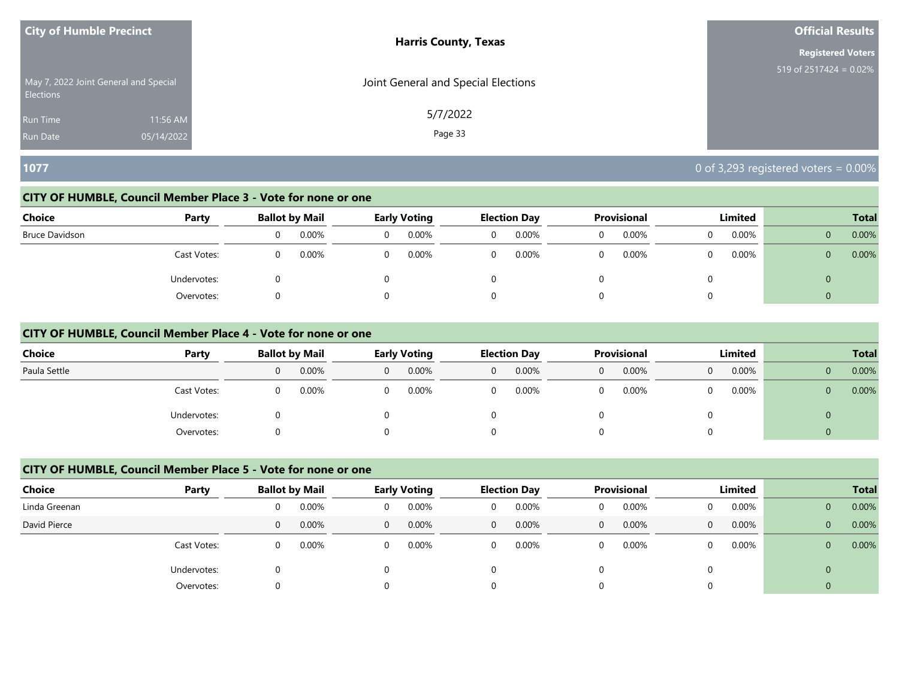| <b>City of Humble Precinct</b>                     | <b>Harris County, Texas</b>         | <b>Official Results</b>   |
|----------------------------------------------------|-------------------------------------|---------------------------|
|                                                    |                                     | <b>Registered Voters</b>  |
| May 7, 2022 Joint General and Special<br>Elections | Joint General and Special Elections | 519 of $2517424 = 0.02\%$ |
| 11:56 AM<br><b>Run Time</b>                        | 5/7/2022                            |                           |
| 05/14/2022<br><b>Run Date</b>                      | Page 33                             |                           |

## **1077** 0 of 3,293 registered voters = 0.00%

#### **CITY OF HUMBLE, Council Member Place 3 - Vote for none or one**

| Choice         | Party       |          | <b>Ballot by Mail</b> | <b>Early Voting</b> |   | <b>Election Day</b> | Provisional |   | Limited |          | <b>Total</b> |
|----------------|-------------|----------|-----------------------|---------------------|---|---------------------|-------------|---|---------|----------|--------------|
| Bruce Davidson |             | $\Omega$ | 0.00%                 | 0.00%               | 0 | 0.00%               | 0.00%       | 0 | 0.00%   | $\Omega$ | 0.00%        |
|                | Cast Votes: | 0        | 0.00%                 | 0.00%               | 0 | 0.00%               | 0.00%       | 0 | 0.00%   | $\Omega$ | 0.00%        |
|                | Undervotes: |          |                       |                     |   |                     |             | 0 |         | U        |              |
|                | Overvotes:  |          |                       |                     |   |                     |             | 0 |         | $\Omega$ |              |

#### **CITY OF HUMBLE, Council Member Place 4 - Vote for none or one**

| <b>Choice</b> | Party       |              | <b>Ballot by Mail</b> |          | <b>Provisional</b><br><b>Early Voting</b><br><b>Election Day</b> |          |       | Limited | <b>Total</b> |   |       |          |       |
|---------------|-------------|--------------|-----------------------|----------|------------------------------------------------------------------|----------|-------|---------|--------------|---|-------|----------|-------|
| Paula Settle  |             | $\mathbf{0}$ | 0.00%                 | $\Omega$ | 0.00%                                                            | $\Omega$ | 0.00% | 0       | 0.00%        | 0 | 0.00% | $\Omega$ | 0.00% |
|               | Cast Votes: | 0            | 0.00%                 | 0        | 0.00%                                                            |          | 0.00% |         | 0.00%        |   | 0.00% | $\Omega$ | 0.00% |
|               | Undervotes: | 0            |                       |          |                                                                  |          |       |         |              |   |       | $\Omega$ |       |
|               | Overvotes:  | 0            |                       | 0        |                                                                  |          |       |         |              |   |       | $\Omega$ |       |

# **CITY OF HUMBLE, Council Member Place 5 - Vote for none or one**

| <b>Choice</b> | Party       |              | <b>Ballot by Mail</b> |          | <b>Early Voting</b> |              | <b>Election Day</b> |             | <b>Provisional</b> |   | Limited |                | <b>Total</b> |
|---------------|-------------|--------------|-----------------------|----------|---------------------|--------------|---------------------|-------------|--------------------|---|---------|----------------|--------------|
| Linda Greenan |             | 0            | 0.00%                 |          | 0.00%               | 0            | 0.00%               | 0           | 0.00%              |   | 0.00%   | $\mathbf{0}$   | 0.00%        |
| David Pierce  |             | $\mathbf{0}$ | 0.00%                 | $\Omega$ | 0.00%               | $\mathbf{0}$ | 0.00%               | $\mathbf 0$ | 0.00%              | 0 | 0.00%   | $\overline{0}$ | 0.00%        |
|               | Cast Votes: | 0            | 0.00%                 |          | 0.00%               | 0            | 0.00%               | 0           | 0.00%              |   | 0.00%   | $\mathbf{0}$   | 0.00%        |
|               | Undervotes: |              |                       |          |                     |              |                     |             |                    |   |         | $\overline{0}$ |              |
|               | Overvotes:  | U            |                       |          |                     |              |                     | 0           |                    |   |         | $\overline{0}$ |              |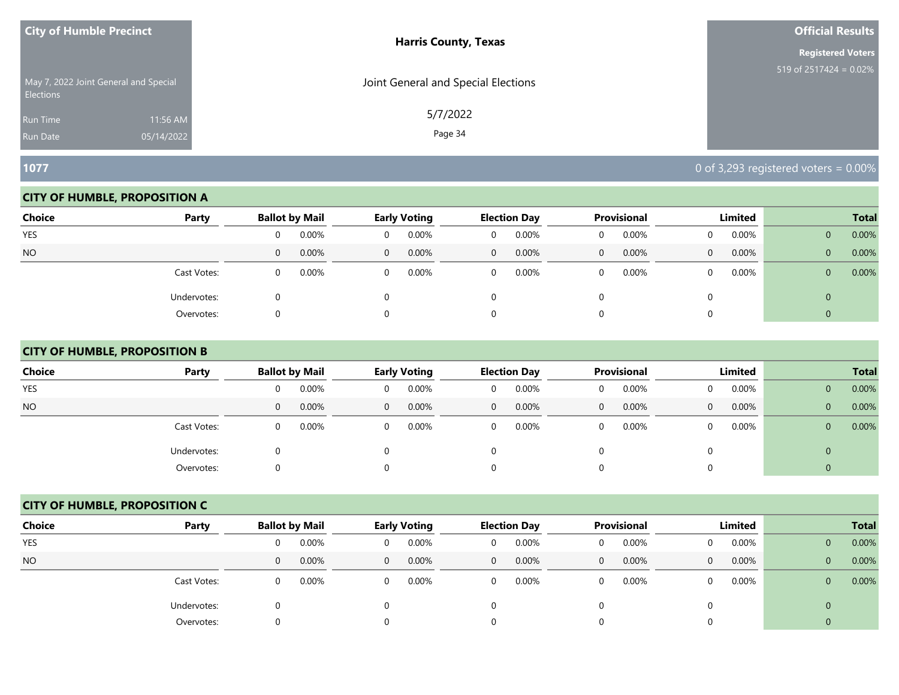| <b>City of Humble Precinct</b>                            |            | <b>Harris County, Texas</b>         | <b>Official Results</b>   |
|-----------------------------------------------------------|------------|-------------------------------------|---------------------------|
|                                                           |            |                                     | <b>Registered Voters</b>  |
| May 7, 2022 Joint General and Special<br><b>Elections</b> |            | Joint General and Special Elections | 519 of $2517424 = 0.02\%$ |
| <b>Run Time</b>                                           | 11:56 AM   | 5/7/2022                            |                           |
| <b>Run Date</b>                                           | 05/14/2022 | Page 34                             |                           |

#### **CITY OF HUMBLE, PROPOSITION A**

| <b>Choice</b> | Party       |              | <b>Ballot by Mail</b> |          | <b>Early Voting</b> |              | <b>Election Day</b> |                | Provisional | Limited  |          |                | <b>Total</b> |
|---------------|-------------|--------------|-----------------------|----------|---------------------|--------------|---------------------|----------------|-------------|----------|----------|----------------|--------------|
| YES           |             | 0            | 0.00%                 | $\Omega$ | 0.00%               | 0            | 0.00%               | $\overline{0}$ | 0.00%       |          | $0.00\%$ | $\mathbf{0}$   | 0.00%        |
| <b>NO</b>     |             | $\mathbf{0}$ | 0.00%                 | $\Omega$ | 0.00%               | $\mathbf{0}$ | 0.00%               | $\mathbf 0$    | 0.00%       | $\Omega$ | 0.00%    | $\overline{0}$ | 0.00%        |
|               | Cast Votes: | 0            | 0.00%                 | 0        | 0.00%               | $\mathbf{0}$ | 0.00%               | 0              | 0.00%       |          | $0.00\%$ | $\mathbf{0}$   | 0.00%        |
|               | Undervotes: |              |                       |          |                     | 0            |                     |                |             |          |          | 0              |              |
|               | Overvotes:  | $\cup$       |                       |          |                     | 0            |                     |                |             |          |          |                |              |

# **CITY OF HUMBLE, PROPOSITION B**

| <b>Choice</b> | Party       |              | <b>Ballot by Mail</b> |          | <b>Early Voting</b> |              | <b>Election Day</b> |              | <b>Provisional</b> |              | Limited  |              | <b>Total</b> |
|---------------|-------------|--------------|-----------------------|----------|---------------------|--------------|---------------------|--------------|--------------------|--------------|----------|--------------|--------------|
| <b>YES</b>    |             | 0            | 0.00%                 | $\Omega$ | 0.00%               | 0            | 0.00%               | 0            | $0.00\%$           | $\Omega$     | $0.00\%$ | $\mathbf{0}$ | 0.00%        |
| NO.           |             | $\mathbf{0}$ | 0.00%                 | $\Omega$ | 0.00%               | $\mathbf{0}$ | 0.00%               | $\mathbf{0}$ | 0.00%              | $\mathbf{0}$ | 0.00%    | $\mathbf{0}$ | 0.00%        |
|               | Cast Votes: | 0            | 0.00%                 | $\Omega$ | $0.00\%$            | 0            | 0.00%               | 0            | 0.00%              | $\Omega$     | $0.00\%$ | $\mathbf{0}$ | 0.00%        |
|               | Undervotes: | 0            |                       | 0        |                     |              |                     | 0            |                    | $\Omega$     |          | $\mathbf{0}$ |              |
|               | Overvotes:  | 0            |                       | $\Omega$ |                     |              |                     | $\Omega$     |                    | $\Omega$     |          | $\cup$       |              |

# **CITY OF HUMBLE, PROPOSITION C**

| <b>Choice</b> | Party       |              | <b>Ballot by Mail</b> |                | <b>Early Voting</b> |              | <b>Election Day</b> |              | <b>Provisional</b> |              | Limited  |                | <b>Total</b> |
|---------------|-------------|--------------|-----------------------|----------------|---------------------|--------------|---------------------|--------------|--------------------|--------------|----------|----------------|--------------|
| <b>YES</b>    |             | 0            | 0.00%                 | 0              | 0.00%               | $\Omega$     | 0.00%               | 0            | 0.00%              | <sup>n</sup> | 0.00%    | $\mathbf{0}$   | 0.00%        |
| <b>NO</b>     |             | $\mathbf{0}$ | 0.00%                 | $\overline{0}$ | 0.00%               | $\mathbf{0}$ | 0.00%               | $\mathbf{0}$ | 0.00%              | 0            | 0.00%    | $\overline{0}$ | 0.00%        |
|               | Cast Votes: | 0            | 0.00%                 | $\Omega$       | 0.00%               | $\Omega$     | 0.00%               | 0            | 0.00%              |              | $0.00\%$ | $\overline{0}$ | 0.00%        |
|               | Undervotes: | 0            |                       | 0              |                     |              |                     |              |                    |              |          | $\mathbf{0}$   |              |
|               | Overvotes:  | 0            |                       | 0              |                     |              |                     |              |                    |              |          | 0              |              |

**1077** 0 of 3,293 registered voters = 0.00%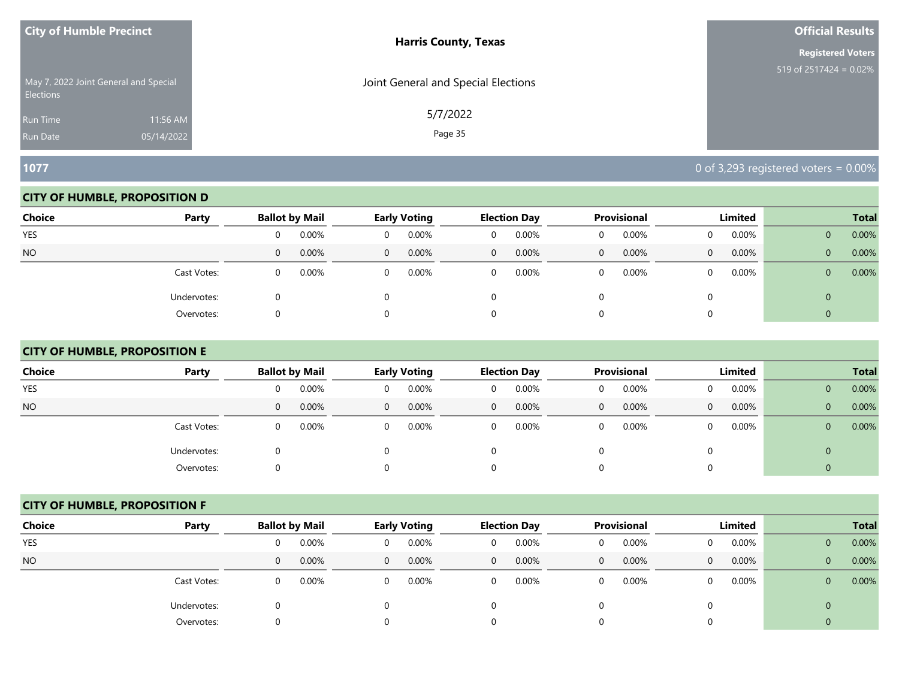| <b>City of Humble Precinct</b>                            |            | <b>Harris County, Texas</b>         | <b>Official Results</b>   |
|-----------------------------------------------------------|------------|-------------------------------------|---------------------------|
|                                                           |            |                                     | <b>Registered Voters</b>  |
| May 7, 2022 Joint General and Special<br><b>Elections</b> |            | Joint General and Special Elections | 519 of $2517424 = 0.02\%$ |
| <b>Run Time</b>                                           | 11:56 AM   | 5/7/2022                            |                           |
| <b>Run Date</b>                                           | 05/14/2022 | Page 35                             |                           |

#### **CITY OF HUMBLE, PROPOSITION D**

| <b>Choice</b> | Party       |   | <b>Ballot by Mail</b> |          | <b>Early Voting</b> |                | <b>Election Day</b> |              | Provisional |          | Limited  |                | <b>Total</b> |
|---------------|-------------|---|-----------------------|----------|---------------------|----------------|---------------------|--------------|-------------|----------|----------|----------------|--------------|
| YES           |             | 0 | 0.00%                 |          | 0.00%               | 0              | 0.00%               |              | 0.00%       |          | 0.00%    | $\mathbf{0}$   | 0.00%        |
| <b>NO</b>     |             | 0 | 0.00%                 | $\Omega$ | 0.00%               | $\overline{0}$ | 0.00%               | $\mathbf{0}$ | $0.00\%$    | $\Omega$ | 0.00%    | $\mathbf{0}$   | 0.00%        |
|               | Cast Votes: | 0 | 0.00%                 | 0        | 0.00%               | 0              | 0.00%               |              | 0.00%       | $\Omega$ | $0.00\%$ | $\overline{0}$ | 0.00%        |
|               | Undervotes: |   |                       |          |                     |                |                     |              |             |          |          | 0              |              |
|               | Overvotes:  |   |                       |          |                     |                |                     |              |             |          |          |                |              |

# **CITY OF HUMBLE, PROPOSITION E**

| <b>Choice</b> | Party       | <b>Ballot by Mail</b> |       |          | <b>Early Voting</b> |   | <b>Election Day</b> |              | Provisional |   | Limited  |                | <b>Total</b> |
|---------------|-------------|-----------------------|-------|----------|---------------------|---|---------------------|--------------|-------------|---|----------|----------------|--------------|
| <b>YES</b>    |             | 0                     | 0.00% | 0        | 0.00%               | 0 | 0.00%               | 0            | 0.00%       | 0 | $0.00\%$ | $\mathbf{0}$   | 0.00%        |
| <b>NO</b>     |             | 0                     | 0.00% | $\Omega$ | 0.00%               | 0 | 0.00%               | $\mathbf{0}$ | 0.00%       | 0 | $0.00\%$ | $\overline{0}$ | 0.00%        |
|               | Cast Votes: | 0                     | 0.00% | $\Omega$ | $0.00\%$            | 0 | 0.00%               | 0            | 0.00%       |   | 0.00%    | $\mathbf{0}$   | 0.00%        |
|               | Undervotes: | 0                     |       | 0        |                     |   |                     | 0            |             |   |          | 0              |              |
|               | Overvotes:  | 0                     |       | 0        |                     |   |                     | 0            |             | 0 |          |                |              |

#### **CITY OF HUMBLE, PROPOSITION F**

| <b>Choice</b> | Party       |   | <b>Ballot by Mail</b> |                | Early Voting |              | <b>Election Day</b> |              | <b>Provisional</b> |          | Limited |                | <b>Total</b> |
|---------------|-------------|---|-----------------------|----------------|--------------|--------------|---------------------|--------------|--------------------|----------|---------|----------------|--------------|
| <b>YES</b>    |             | 0 | 0.00%                 | 0              | 0.00%        | 0            | 0.00%               | 0            | 0.00%              | 0        | 0.00%   | $\mathbf{0}$   | 0.00%        |
| <b>NO</b>     |             | 0 | 0.00%                 | $\overline{0}$ | 0.00%        | $\mathbf{0}$ | 0.00%               | $\mathbf{0}$ | 0.00%              | $\Omega$ | 0.00%   | $\mathbf{0}$   | 0.00%        |
|               | Cast Votes: | 0 | 0.00%                 | $\Omega$       | 0.00%        | 0            | 0.00%               | 0            | 0.00%              | $\Omega$ | 0.00%   | $\mathbf{0}$   | 0.00%        |
|               | Undervotes: | 0 |                       |                |              |              |                     |              |                    |          |         | $\overline{0}$ |              |
|               | Overvotes:  | 0 |                       |                |              | 0            |                     |              |                    | $\Omega$ |         |                |              |

**1077** 0 of 3,293 registered voters = 0.00%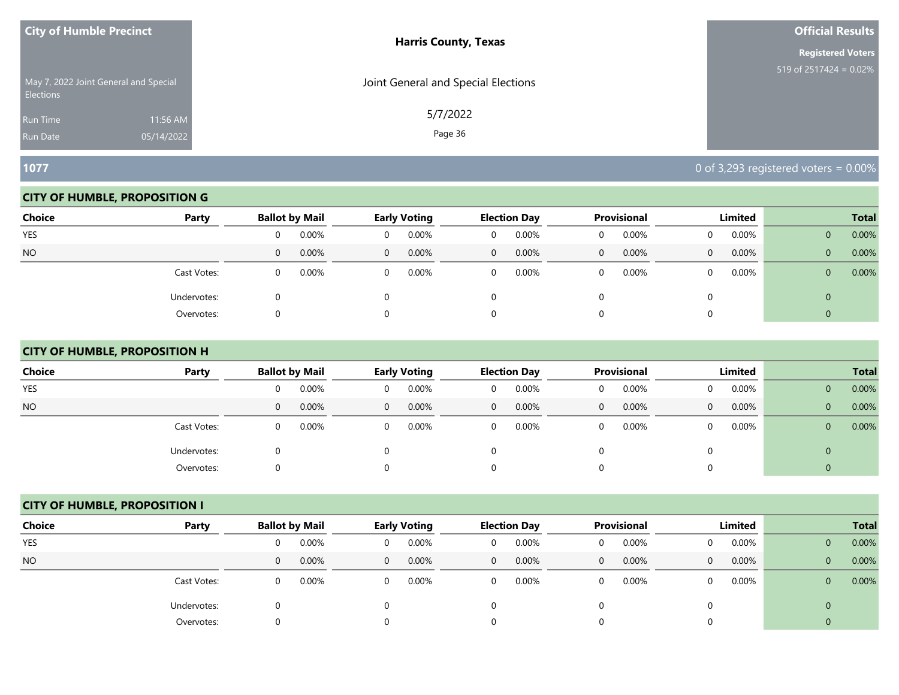| <b>City of Humble Precinct</b> |                                       | <b>Harris County, Texas</b>         | <b>Official Results</b>   |
|--------------------------------|---------------------------------------|-------------------------------------|---------------------------|
|                                |                                       |                                     | <b>Registered Voters</b>  |
| <b>Elections</b>               | May 7, 2022 Joint General and Special | Joint General and Special Elections | 519 of $2517424 = 0.02\%$ |
| Run Time                       | 11:56 AM                              | 5/7/2022                            |                           |
| <b>Run Date</b>                | 05/14/2022                            | Page 36                             |                           |

#### **CITY OF HUMBLE, PROPOSITION G**

| <b>Choice</b> | Party       |          | <b>Ballot by Mail</b> |          | <b>Early Voting</b> |                | <b>Election Day</b> |              | Provisional |          | Limited  |                | <b>Total</b> |
|---------------|-------------|----------|-----------------------|----------|---------------------|----------------|---------------------|--------------|-------------|----------|----------|----------------|--------------|
| YES           |             | 0        | 0.00%                 |          | 0.00%               | 0              | 0.00%               |              | 0.00%       |          | 0.00%    | $\mathbf{0}$   | 0.00%        |
| <b>NO</b>     |             | 0        | 0.00%                 | $\Omega$ | 0.00%               | $\overline{0}$ | 0.00%               | $\mathbf{0}$ | $0.00\%$    | $\Omega$ | 0.00%    | $\mathbf{0}$   | 0.00%        |
|               | Cast Votes: | $\Omega$ | 0.00%                 | 0        | 0.00%               | 0              | 0.00%               |              | 0.00%       | $\Omega$ | $0.00\%$ | $\overline{0}$ | 0.00%        |
|               | Undervotes: |          |                       |          |                     |                |                     |              |             |          |          | 0              |              |
|               | Overvotes:  |          |                       |          |                     |                |                     |              |             |          |          |                |              |

# **CITY OF HUMBLE, PROPOSITION H**

| <b>Choice</b> | Party       | <b>Ballot by Mail</b> |       |          | <b>Early Voting</b> |              | <b>Election Day</b> |              | <b>Provisional</b> |              | Limited  |              | <b>Total</b> |
|---------------|-------------|-----------------------|-------|----------|---------------------|--------------|---------------------|--------------|--------------------|--------------|----------|--------------|--------------|
| YES           |             | 0                     | 0.00% | $\Omega$ | 0.00%               | 0            | 0.00%               | 0            | 0.00%              | 0            | $0.00\%$ | $\mathbf{0}$ | 0.00%        |
| NO.           |             | $\mathbf{0}$          | 0.00% | $\Omega$ | 0.00%               | $\mathbf{0}$ | 0.00%               | $\mathbf{0}$ | 0.00%              | $\mathbf{0}$ | 0.00%    | $\mathbf{0}$ | 0.00%        |
|               | Cast Votes: | 0                     | 0.00% | $\Omega$ | 0.00%               | 0            | 0.00%               | 0            | 0.00%              | $\Omega$     | $0.00\%$ | $\mathbf{0}$ | 0.00%        |
|               | Undervotes: | 0                     |       | 0        |                     |              |                     | $\Omega$     |                    | 0            |          | $\mathbf{0}$ |              |
|               | Overvotes:  | 0                     |       | 0        |                     |              |                     | 0            |                    | $\Omega$     |          | $\theta$     |              |

#### **CITY OF HUMBLE, PROPOSITION I**

| <b>Choice</b> | Party       |   | <b>Ballot by Mail</b> |                | Early Voting |              | <b>Election Day</b> |              | <b>Provisional</b> |          | Limited |                | <b>Total</b> |
|---------------|-------------|---|-----------------------|----------------|--------------|--------------|---------------------|--------------|--------------------|----------|---------|----------------|--------------|
| <b>YES</b>    |             | 0 | 0.00%                 | 0              | 0.00%        | 0            | 0.00%               | 0            | 0.00%              | 0        | 0.00%   | $\mathbf{0}$   | 0.00%        |
| <b>NO</b>     |             | 0 | 0.00%                 | $\overline{0}$ | 0.00%        | $\mathbf{0}$ | 0.00%               | $\mathbf{0}$ | 0.00%              | $\Omega$ | 0.00%   | $\mathbf{0}$   | 0.00%        |
|               | Cast Votes: | 0 | 0.00%                 | $\Omega$       | 0.00%        | 0            | 0.00%               | 0            | 0.00%              | $\Omega$ | 0.00%   | $\mathbf{0}$   | 0.00%        |
|               | Undervotes: | 0 |                       |                |              |              |                     |              |                    |          |         | $\overline{0}$ |              |
|               | Overvotes:  | 0 |                       |                |              | 0            |                     |              |                    | $\Omega$ |         |                |              |

**1077** 0 of 3,293 registered voters = 0.00%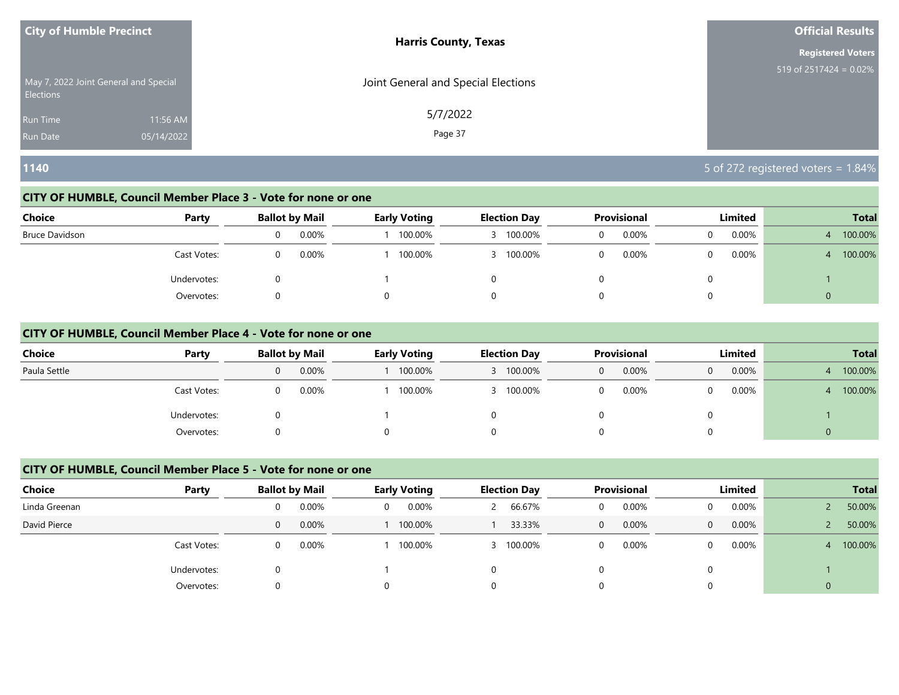| <b>City of Humble Precinct</b>                     | <b>Harris County, Texas</b>         | <b>Official Results</b>   |
|----------------------------------------------------|-------------------------------------|---------------------------|
|                                                    |                                     | <b>Registered Voters</b>  |
| May 7, 2022 Joint General and Special<br>Elections | Joint General and Special Elections | 519 of $2517424 = 0.02\%$ |
| 11:56 AM<br><b>Run Time</b>                        | 5/7/2022                            |                           |
| 05/14/2022<br><b>Run Date</b>                      | Page 37                             |                           |

# **1140** 5 of 272 registered voters = 1.84%

#### **CITY OF HUMBLE, Council Member Place 3 - Vote for none or one**

| <b>Choice</b><br>Party | <b>Ballot by Mail</b> | <b>Early Voting</b> | <b>Election Day</b> |              | <b>Provisional</b> |          | Limited |   | <b>Total</b> |
|------------------------|-----------------------|---------------------|---------------------|--------------|--------------------|----------|---------|---|--------------|
| Bruce Davidson         | 0.00%                 | 100.00%             |                     | 100.00%<br>0 | 0.00%              | 0        | 0.00%   |   | 100.00%      |
| Cast Votes:            | 0.00%                 | 100.00%             |                     | 100.00%      | 0.00%              | 0        | 0.00%   |   | 100.00%      |
| Undervotes:            |                       |                     |                     |              |                    | 0        |         |   |              |
| Overvotes:             |                       |                     |                     |              |                    | $\Omega$ |         | 0 |              |

#### **CITY OF HUMBLE, Council Member Place 4 - Vote for none or one**

| <b>Choice</b> | Party       |   | <b>Ballot by Mail</b> | <b>Early Voting</b> | <b>Election Day</b> |   | <b>Provisional</b> |   | Limited | <b>Total</b> |
|---------------|-------------|---|-----------------------|---------------------|---------------------|---|--------------------|---|---------|--------------|
| Paula Settle  |             | 0 | 0.00%                 | 100.00%             | 100.00%             | 0 | 0.00%              | 0 | 0.00%   | 100.00%      |
|               | Cast Votes: | 0 | 0.00%                 | 100.00%             | 100.00%             |   | 0.00%              |   | 0.00%   | 100.00%      |
|               | Undervotes: | O |                       |                     |                     |   |                    |   |         |              |
|               | Overvotes:  | 0 |                       |                     |                     |   |                    |   |         |              |

# **CITY OF HUMBLE, Council Member Place 5 - Vote for none or one**

| <b>Choice</b> | Party       |   | <b>Ballot by Mail</b> |          | <b>Early Voting</b> | <b>Election Day</b> |              | <b>Provisional</b> | Limited  |                | <b>Total</b> |
|---------------|-------------|---|-----------------------|----------|---------------------|---------------------|--------------|--------------------|----------|----------------|--------------|
| Linda Greenan |             |   | 0.00%                 | $\Omega$ | 0.00%               | 66.67%              | 0            | 0.00%              | $0.00\%$ |                | 50.00%       |
| David Pierce  |             | 0 | 0.00%                 |          | 100.00%             | 33.33%              | $\mathbf{0}$ | 0.00%              | 0.00%    |                | 50.00%       |
|               | Cast Votes: |   | 0.00%                 |          | 100.00%             | 3 100.00%           | 0            | 0.00%              | $0.00\%$ |                | 100.00%      |
|               | Undervotes: |   |                       |          |                     |                     |              |                    |          |                |              |
|               | Overvotes:  |   |                       | $\Omega$ |                     |                     |              |                    |          | $\overline{0}$ |              |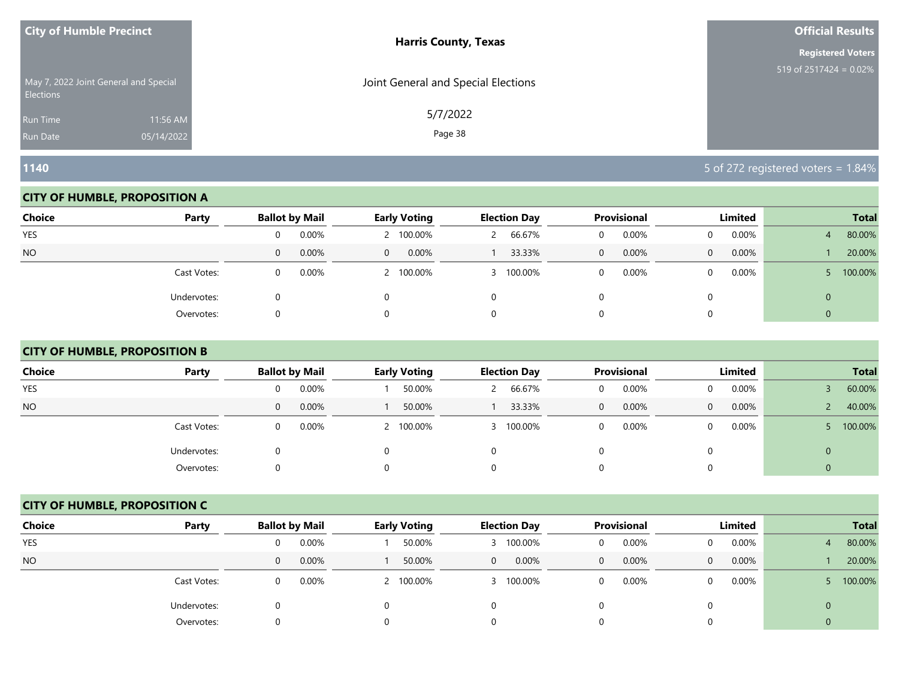| <b>City of Humble Precinct</b>                            |            | <b>Harris County, Texas</b>         | <b>Official Results</b>   |
|-----------------------------------------------------------|------------|-------------------------------------|---------------------------|
|                                                           |            |                                     | <b>Registered Voters</b>  |
| May 7, 2022 Joint General and Special<br><b>Elections</b> |            | Joint General and Special Elections | 519 of $2517424 = 0.02\%$ |
| <b>Run Time</b>                                           | 11:56 AM   | 5/7/2022                            |                           |
| <b>Run Date</b>                                           | 05/14/2022 | Page 38                             |                           |

#### **CITY OF HUMBLE, PROPOSITION A**

| <b>Choice</b> | Party       | <b>Ballot by Mail</b>    | <b>Early Voting</b>  | <b>Election Day</b> | Provisional   | Limited           | <b>Total</b>             |
|---------------|-------------|--------------------------|----------------------|---------------------|---------------|-------------------|--------------------------|
| YES           |             | 0.00%<br>0               | 2 100.00%            | 66.67%              | 0.00%<br>0    | 0.00%             | 80.00%<br>$\overline{4}$ |
| <b>NO</b>     |             | $0.00\%$<br>$\mathbf{0}$ | $0.00\%$<br>$\Omega$ | 33.33%              | $0.00\%$<br>0 | 0.00%<br>$\Omega$ | 20.00%                   |
|               | Cast Votes: | 0.00%<br>0               | 2 100.00%            | 100.00%<br>3.       | 0.00%         | $0.00\%$          | 100.00%                  |
|               | Undervotes: |                          |                      | 0                   |               |                   | 0                        |
|               | Overvotes:  | O                        |                      | 0                   |               |                   |                          |

# **CITY OF HUMBLE, PROPOSITION B**

| <b>Choice</b> | Party       | <b>Ballot by Mail</b> | Early Voting | <b>Election Day</b> | Provisional | Limited              | <b>Total</b>         |
|---------------|-------------|-----------------------|--------------|---------------------|-------------|----------------------|----------------------|
| <b>YES</b>    |             | 0.00%<br>0            | 50.00%       | 66.67%              | 0.00%<br>U  | $0.00\%$             | 60.00%               |
| <b>NO</b>     |             | 0.00%<br>$\mathbf{0}$ | 50.00%       | 33.33%              | 0.00%<br>0  | $0.00\%$<br>$\Omega$ | 40.00%<br>$\epsilon$ |
|               | Cast Votes: | 0.00%<br>0            | 2 100.00%    | 100.00%             | 0.00%<br>0  | $0.00\%$             | 100.00%              |
|               | Undervotes: | O                     |              |                     |             | 0                    | $\mathbf{0}$         |
|               | Overvotes:  | O                     |              |                     |             |                      | 0                    |

#### **CITY OF HUMBLE, PROPOSITION C**

| <b>Choice</b> | Party       | <b>Ballot by Mail</b> |       | <b>Early Voting</b> |           |              | <b>Election Day</b> |              | <b>Provisional</b> |   | Limited  | <b>Total</b> |
|---------------|-------------|-----------------------|-------|---------------------|-----------|--------------|---------------------|--------------|--------------------|---|----------|--------------|
| <b>YES</b>    |             | 0                     | 0.00% |                     | 50.00%    |              | 100.00%             | 0            | 0.00%              |   | $0.00\%$ | 80.00%       |
| <b>NO</b>     |             | $\mathbf{0}$          | 0.00% |                     | 50.00%    | $\mathbf{0}$ | $0.00\%$            | $\mathbf{0}$ | 0.00%              | 0 | 0.00%    | 20.00%       |
|               | Cast Votes: | 0                     | 0.00% |                     | 2 100.00% |              | 100.00%             | 0            | 0.00%              |   | $0.00\%$ | 100.00%      |
|               | Undervotes: | 0                     |       | $\Omega$            |           |              |                     |              |                    |   |          |              |
|               | Overvotes:  | 0                     |       | 0                   |           |              |                     |              |                    |   |          |              |

**1140** 5 of 272 registered voters = 1.84%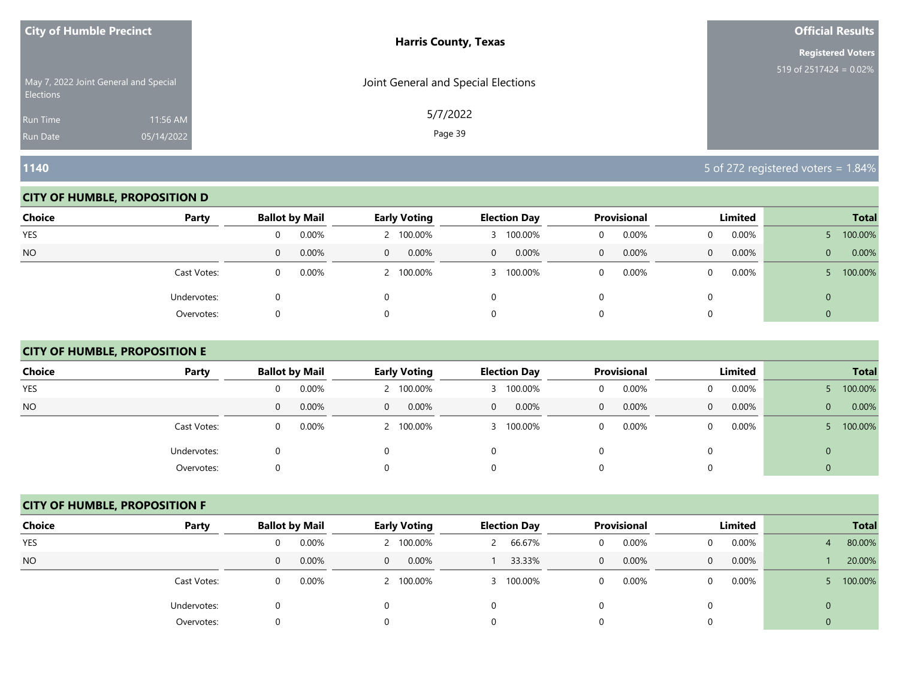| <b>City of Humble Precinct</b>                            |            | <b>Harris County, Texas</b>         | <b>Official Results</b>   |
|-----------------------------------------------------------|------------|-------------------------------------|---------------------------|
|                                                           |            |                                     | <b>Registered Voters</b>  |
| May 7, 2022 Joint General and Special<br><b>Elections</b> |            | Joint General and Special Elections | 519 of $2517424 = 0.02\%$ |
| <b>Run Time</b>                                           | 11:56 AM   | 5/7/2022                            |                           |
| <b>Run Date</b>                                           | 05/14/2022 | Page 39                             |                           |

#### **CITY OF HUMBLE, PROPOSITION D**

| <b>Choice</b> | Party       | <b>Ballot by Mail</b>    | <b>Early Voting</b>  | <b>Election Day</b>     | Provisional   | Limited           | <b>Total</b>          |
|---------------|-------------|--------------------------|----------------------|-------------------------|---------------|-------------------|-----------------------|
| YES           |             | 0.00%<br>0               | 2 100.00%            | 100.00%                 | 0.00%         | 0.00%             | 100.00%               |
| <b>NO</b>     |             | $0.00\%$<br>$\mathbf{0}$ | $0.00\%$<br>$\Omega$ | 0.00%<br>$\overline{0}$ | $0.00\%$<br>0 | 0.00%<br>$\Omega$ | 0.00%<br>$\mathbf{0}$ |
|               | Cast Votes: | 0.00%<br>0               | 2 100.00%            | 100.00%<br>3.           | 0.00%         | $0.00\%$          | 100.00%               |
|               | Undervotes: |                          |                      | 0                       |               |                   | 0                     |
|               | Overvotes:  | O                        |                      | 0                       |               |                   |                       |

# **CITY OF HUMBLE, PROPOSITION E**

| <b>Choice</b> | Party       | <b>Ballot by Mail</b> | <b>Early Voting</b>  | <b>Election Day</b> | Provisional              | Limited       | <b>Total</b>          |
|---------------|-------------|-----------------------|----------------------|---------------------|--------------------------|---------------|-----------------------|
| <b>YES</b>    |             | 0.00%<br>0            | 2 100.00%            | 100.00%             | 0.00%<br>0               | 0.00%         | 100.00%               |
| <b>NO</b>     |             | 0.00%<br>$\mathbf{0}$ | $0.00\%$<br>$\Omega$ | 0.00%<br>0          | $0.00\%$<br>$\mathbf{0}$ | $0.00\%$<br>0 | 0.00%<br>$\mathbf{0}$ |
|               | Cast Votes: | 0.00%<br>0            | 2 100.00%            | 100.00%             | 0.00%<br>0               | 0.00%         | 100.00%               |
|               | Undervotes: | 0                     | 0                    |                     | 0                        |               | 0                     |
|               | Overvotes:  | 0                     | $\Omega$             |                     | 0                        | 0             |                       |

#### **CITY OF HUMBLE, PROPOSITION F**

| <b>Choice</b> | Party       | <b>Ballot by Mail</b> |       | <b>Early Voting</b>     | <b>Election Day</b> |              | <b>Provisional</b> |   | Limited  | <b>Total</b> |
|---------------|-------------|-----------------------|-------|-------------------------|---------------------|--------------|--------------------|---|----------|--------------|
| <b>YES</b>    |             | 0                     | 0.00% | 2 100.00%               | 66.67%              | 0            | 0.00%              |   | 0.00%    | 80.00%       |
| <b>NO</b>     |             | $\mathbf 0$           | 0.00% | 0.00%<br>$\overline{0}$ | 33.33%              | $\mathbf{0}$ | 0.00%              | 0 | 0.00%    | 20.00%       |
|               | Cast Votes: | 0                     | 0.00% | 2 100.00%               | 100.00%             | 0            | 0.00%              |   | $0.00\%$ | 100.00%      |
|               | Undervotes: | 0                     |       | 0                       |                     |              |                    |   |          |              |
|               | Overvotes:  | 0                     |       | 0                       |                     |              |                    |   |          |              |

**1140** 5 of 272 registered voters = 1.84%